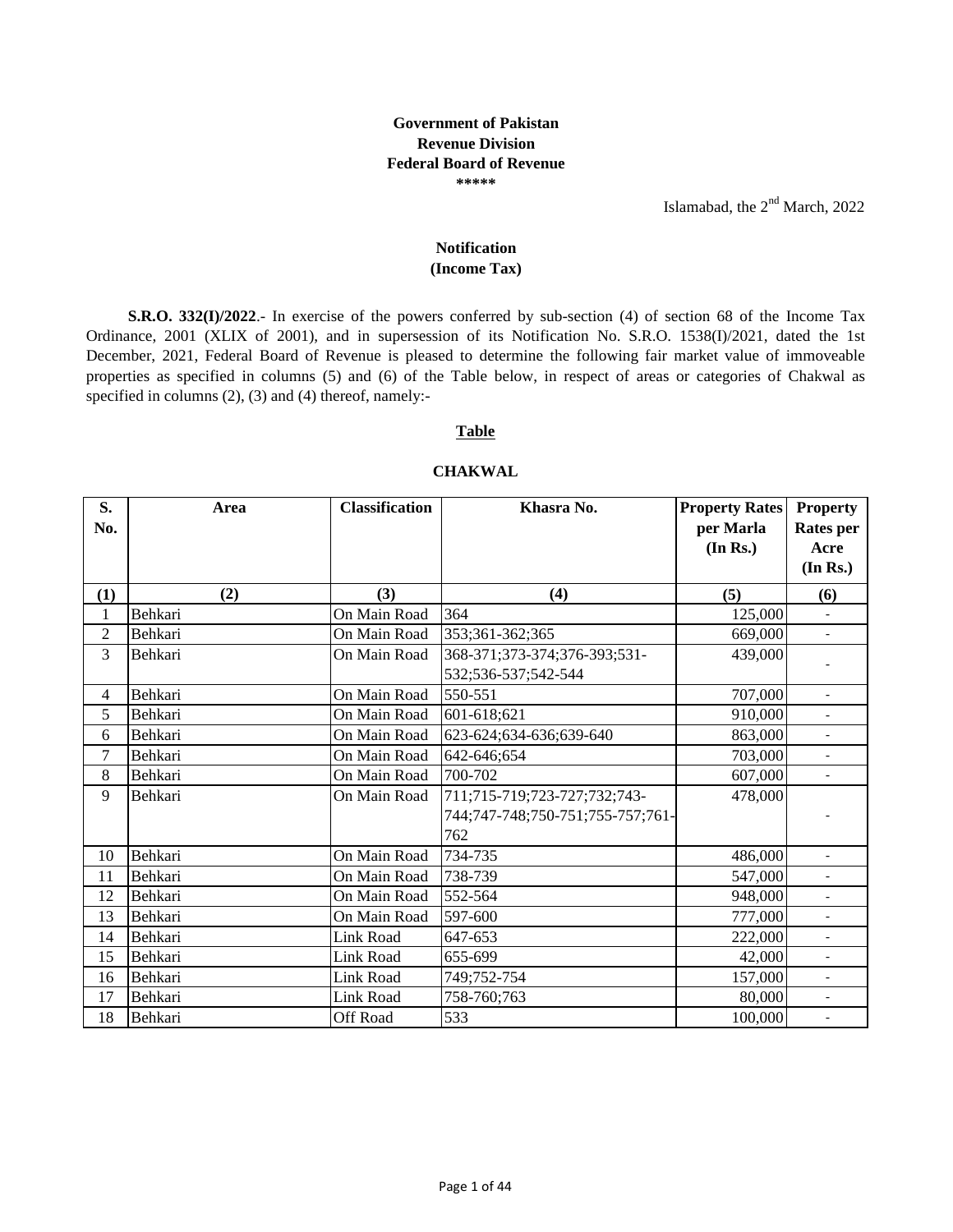## **Government of Pakistan Revenue Division Federal Board of Revenue \*\*\*\*\***

Islamabad, the  $2<sup>nd</sup>$  March, 2022

## **Notification (Income Tax)**

**S.R.O. 332(I)/2022**.- In exercise of the powers conferred by sub-section (4) of section 68 of the Income Tax Ordinance, 2001 (XLIX of 2001), and in supersession of its Notification No. S.R.O. 1538(I)/2021, dated the 1st December, 2021, Federal Board of Revenue is pleased to determine the following fair market value of immoveable properties as specified in columns (5) and (6) of the Table below, in respect of areas or categories of Chakwal as specified in columns (2), (3) and (4) thereof, namely:-

## **Table**

## **CHAKWAL**

| S.<br>No.    | Area    | <b>Classification</b> | Khasra No.                       | <b>Property Rates</b><br>per Marla<br>(In Rs.) | <b>Property</b><br><b>Rates</b> per<br>Acre<br>(In Rs.) |
|--------------|---------|-----------------------|----------------------------------|------------------------------------------------|---------------------------------------------------------|
| $\bf(1)$     | (2)     | (3)                   | (4)                              | (5)                                            | (6)                                                     |
| $\mathbf{1}$ | Behkari | On Main Road          | 364                              | 125,000                                        |                                                         |
| 2            | Behkari | On Main Road          | 353;361-362;365                  | 669,000                                        | $\blacksquare$                                          |
| 3            | Behkari | On Main Road          | 368-371;373-374;376-393;531-     | 439,000                                        |                                                         |
|              |         |                       | 532;536-537;542-544              |                                                |                                                         |
| 4            | Behkari | On Main Road          | 550-551                          | 707,000                                        | $\overline{\phantom{a}}$                                |
| 5            | Behkari | On Main Road          | 601-618;621                      | 910,000                                        |                                                         |
| 6            | Behkari | On Main Road          | 623-624;634-636;639-640          | 863,000                                        | $\overline{\phantom{a}}$                                |
| 7            | Behkari | On Main Road          | 642-646;654                      | 703,000                                        | $\blacksquare$                                          |
| 8            | Behkari | On Main Road          | 700-702                          | 607,000                                        | $\blacksquare$                                          |
| 9            | Behkari | On Main Road          | 711;715-719;723-727;732;743-     | 478,000                                        |                                                         |
|              |         |                       | 744;747-748;750-751;755-757;761- |                                                |                                                         |
|              |         |                       | 762                              |                                                |                                                         |
| 10           | Behkari | On Main Road          | 734-735                          | 486,000                                        | $\blacksquare$                                          |
| 11           | Behkari | On Main Road          | 738-739                          | 547,000                                        | $\overline{\phantom{a}}$                                |
| 12           | Behkari | On Main Road          | 552-564                          | 948,000                                        | $\overline{\phantom{a}}$                                |
| 13           | Behkari | On Main Road          | 597-600                          | 777,000                                        | $\overline{\phantom{a}}$                                |
| 14           | Behkari | Link Road             | 647-653                          | 222,000                                        | $\blacksquare$                                          |
| 15           | Behkari | Link Road             | 655-699                          | 42,000                                         |                                                         |
| 16           | Behkari | <b>Link Road</b>      | 749;752-754                      | 157,000                                        | $\blacksquare$                                          |
| 17           | Behkari | Link Road             | 758-760;763                      | 80,000                                         | $\overline{\phantom{a}}$                                |
| 18           | Behkari | <b>Off Road</b>       | 533                              | 100,000                                        | $\overline{\phantom{a}}$                                |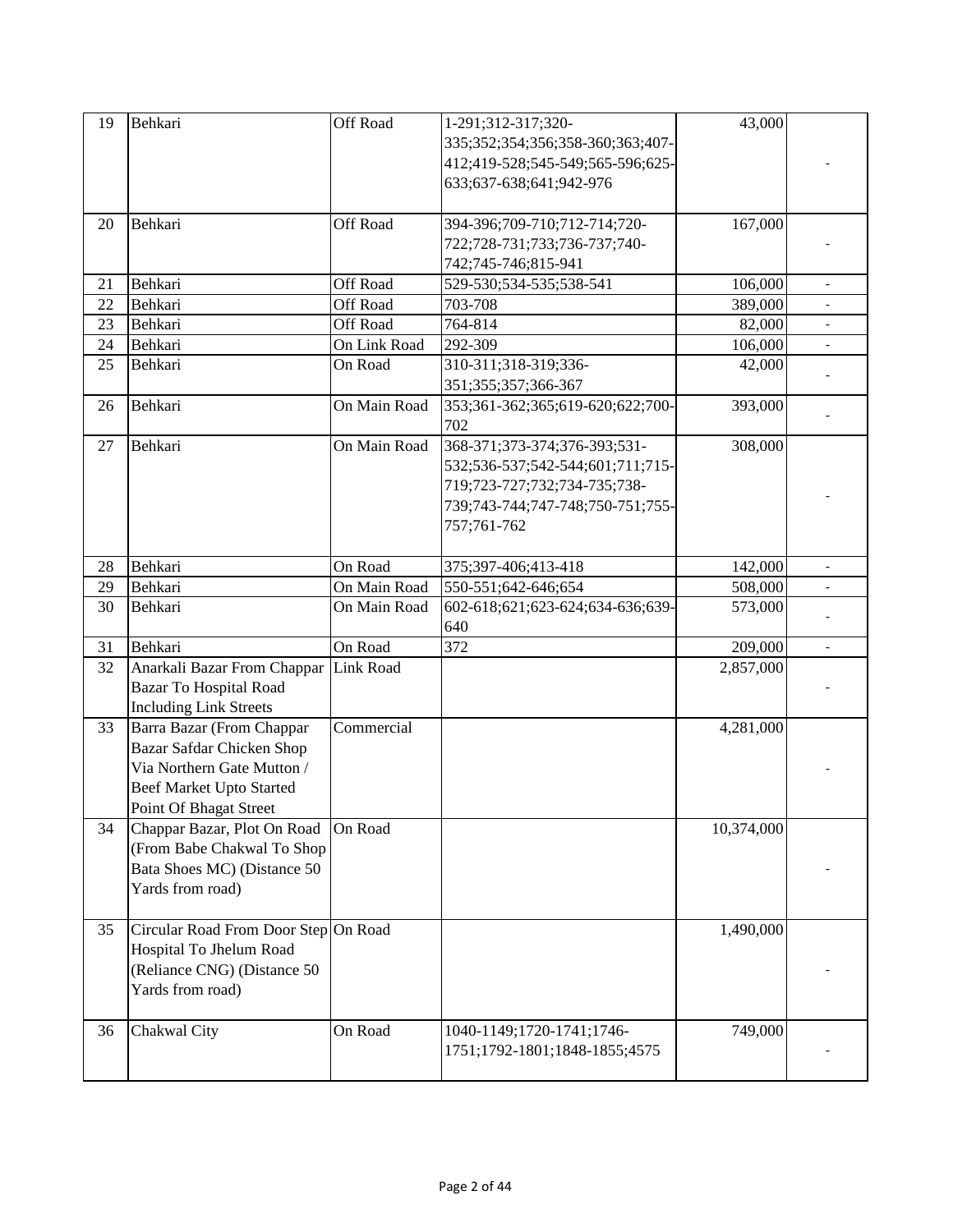| 19 | Behkari                                                                                                                                           | Off Road         | 1-291;312-317;320-<br>335;352;354;356;358-360;363;407-<br>412;419-528;545-549;565-596;625-<br>633;637-638;641;942-976                               | 43,000     |                          |
|----|---------------------------------------------------------------------------------------------------------------------------------------------------|------------------|-----------------------------------------------------------------------------------------------------------------------------------------------------|------------|--------------------------|
| 20 | Behkari                                                                                                                                           | Off Road         | 394-396;709-710;712-714;720-<br>722;728-731;733;736-737;740-<br>742;745-746;815-941                                                                 | 167,000    |                          |
| 21 | Behkari                                                                                                                                           | Off Road         | 529-530;534-535;538-541                                                                                                                             | 106,000    | $\overline{\phantom{a}}$ |
| 22 | Behkari                                                                                                                                           | Off Road         | 703-708                                                                                                                                             | 389,000    |                          |
| 23 | Behkari                                                                                                                                           | Off Road         | 764-814                                                                                                                                             | 82,000     |                          |
| 24 | Behkari                                                                                                                                           | On Link Road     | 292-309                                                                                                                                             | 106,000    |                          |
| 25 | Behkari                                                                                                                                           | On Road          | 310-311;318-319;336-<br>351;355;357;366-367                                                                                                         | 42,000     |                          |
| 26 | Behkari                                                                                                                                           | On Main Road     | 353;361-362;365;619-620;622;700-<br>702                                                                                                             | 393,000    |                          |
| 27 | Behkari                                                                                                                                           | On Main Road     | 368-371;373-374;376-393;531-<br>532;536-537;542-544;601;711;715-<br>719;723-727;732;734-735;738-<br>739;743-744;747-748;750-751;755-<br>757;761-762 | 308,000    |                          |
| 28 | Behkari                                                                                                                                           | On Road          | 375;397-406;413-418                                                                                                                                 | 142,000    | $\overline{\phantom{a}}$ |
| 29 | Behkari                                                                                                                                           | On Main Road     | 550-551;642-646;654                                                                                                                                 | 508,000    |                          |
| 30 | Behkari                                                                                                                                           | On Main Road     | 602-618;621;623-624;634-636;639-<br>640                                                                                                             | 573,000    |                          |
| 31 | Behkari                                                                                                                                           | On Road          | 372                                                                                                                                                 | 209,000    | $\overline{\phantom{a}}$ |
| 32 | Anarkali Bazar From Chappar                                                                                                                       | <b>Link Road</b> |                                                                                                                                                     | 2,857,000  |                          |
|    | <b>Bazar To Hospital Road</b><br><b>Including Link Streets</b>                                                                                    |                  |                                                                                                                                                     |            |                          |
| 33 | Barra Bazar (From Chappar<br>Bazar Safdar Chicken Shop<br>Via Northern Gate Mutton /<br><b>Beef Market Upto Started</b><br>Point Of Bhagat Street | Commercial       |                                                                                                                                                     | 4,281,000  |                          |
| 34 | Chappar Bazar, Plot On Road<br>(From Babe Chakwal To Shop<br>Bata Shoes MC) (Distance 50<br>Yards from road)                                      | On Road          |                                                                                                                                                     | 10,374,000 |                          |
| 35 | Circular Road From Door Step On Road<br>Hospital To Jhelum Road<br>(Reliance CNG) (Distance 50<br>Yards from road)                                |                  |                                                                                                                                                     | 1,490,000  |                          |
| 36 | Chakwal City                                                                                                                                      | On Road          | 1040-1149;1720-1741;1746-<br>1751;1792-1801;1848-1855;4575                                                                                          | 749,000    |                          |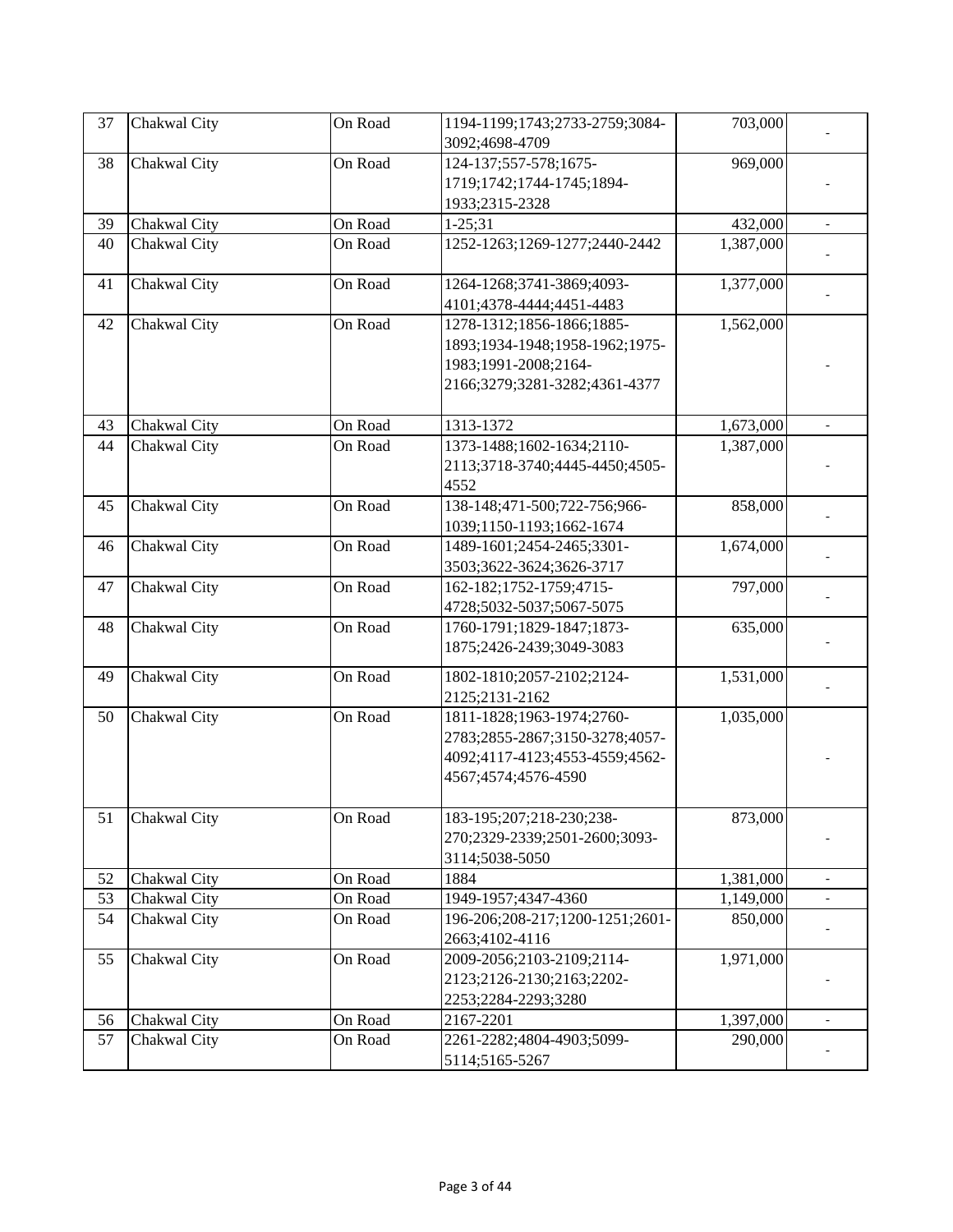| 37 | Chakwal City | On Road | 1194-1199;1743;2733-2759;3084-  | 703,000   |                          |
|----|--------------|---------|---------------------------------|-----------|--------------------------|
|    |              |         | 3092;4698-4709                  |           |                          |
| 38 | Chakwal City | On Road | 124-137;557-578;1675-           | 969,000   |                          |
|    |              |         | 1719;1742;1744-1745;1894-       |           |                          |
|    |              |         | 1933;2315-2328                  |           |                          |
| 39 | Chakwal City | On Road | $1 - 25; 31$                    | 432,000   | $\overline{\phantom{a}}$ |
| 40 | Chakwal City | On Road | 1252-1263;1269-1277;2440-2442   | 1,387,000 |                          |
| 41 | Chakwal City | On Road | 1264-1268;3741-3869;4093-       | 1,377,000 |                          |
|    |              |         | 4101;4378-4444;4451-4483        |           |                          |
| 42 | Chakwal City | On Road | 1278-1312;1856-1866;1885-       | 1,562,000 |                          |
|    |              |         | 1893;1934-1948;1958-1962;1975-  |           |                          |
|    |              |         | 1983;1991-2008;2164-            |           |                          |
|    |              |         | 2166;3279;3281-3282;4361-4377   |           |                          |
| 43 | Chakwal City | On Road | 1313-1372                       | 1,673,000 | $\overline{\phantom{a}}$ |
| 44 | Chakwal City | On Road | 1373-1488;1602-1634;2110-       | 1,387,000 |                          |
|    |              |         | 2113;3718-3740;4445-4450;4505-  |           |                          |
|    |              |         | 4552                            |           |                          |
| 45 | Chakwal City | On Road | 138-148;471-500;722-756;966-    | 858,000   |                          |
|    |              |         | 1039;1150-1193;1662-1674        |           |                          |
| 46 | Chakwal City | On Road | 1489-1601;2454-2465;3301-       | 1,674,000 |                          |
|    |              |         | 3503;3622-3624;3626-3717        |           |                          |
| 47 | Chakwal City | On Road | 162-182;1752-1759;4715-         | 797,000   |                          |
|    |              |         | 4728;5032-5037;5067-5075        |           |                          |
| 48 | Chakwal City | On Road | 1760-1791;1829-1847;1873-       | 635,000   |                          |
|    |              |         | 1875;2426-2439;3049-3083        |           |                          |
| 49 | Chakwal City | On Road | 1802-1810;2057-2102;2124-       | 1,531,000 |                          |
|    |              |         | 2125;2131-2162                  |           |                          |
| 50 | Chakwal City | On Road | 1811-1828;1963-1974;2760-       | 1,035,000 |                          |
|    |              |         | 2783;2855-2867;3150-3278;4057-  |           |                          |
|    |              |         | 4092;4117-4123;4553-4559;4562-  |           |                          |
|    |              |         | 4567;4574;4576-4590             |           |                          |
| 51 | Chakwal City | On Road | 183-195;207;218-230;238-        | 873,000   |                          |
|    |              |         | 270;2329-2339;2501-2600;3093-   |           |                          |
|    |              |         | 3114;5038-5050                  |           |                          |
| 52 | Chakwal City | On Road | 1884                            | 1,381,000 | $\overline{\phantom{a}}$ |
| 53 | Chakwal City | On Road | 1949-1957;4347-4360             | 1,149,000 | $\blacksquare$           |
| 54 | Chakwal City | On Road | 196-206;208-217;1200-1251;2601- | 850,000   |                          |
|    |              |         | 2663;4102-4116                  |           |                          |
| 55 | Chakwal City | On Road | 2009-2056;2103-2109;2114-       | 1,971,000 |                          |
|    |              |         | 2123;2126-2130;2163;2202-       |           |                          |
|    |              |         | 2253;2284-2293;3280             |           |                          |
| 56 | Chakwal City | On Road | 2167-2201                       | 1,397,000 | $\overline{\phantom{a}}$ |
| 57 | Chakwal City | On Road | 2261-2282;4804-4903;5099-       | 290,000   |                          |
|    |              |         | 5114;5165-5267                  |           |                          |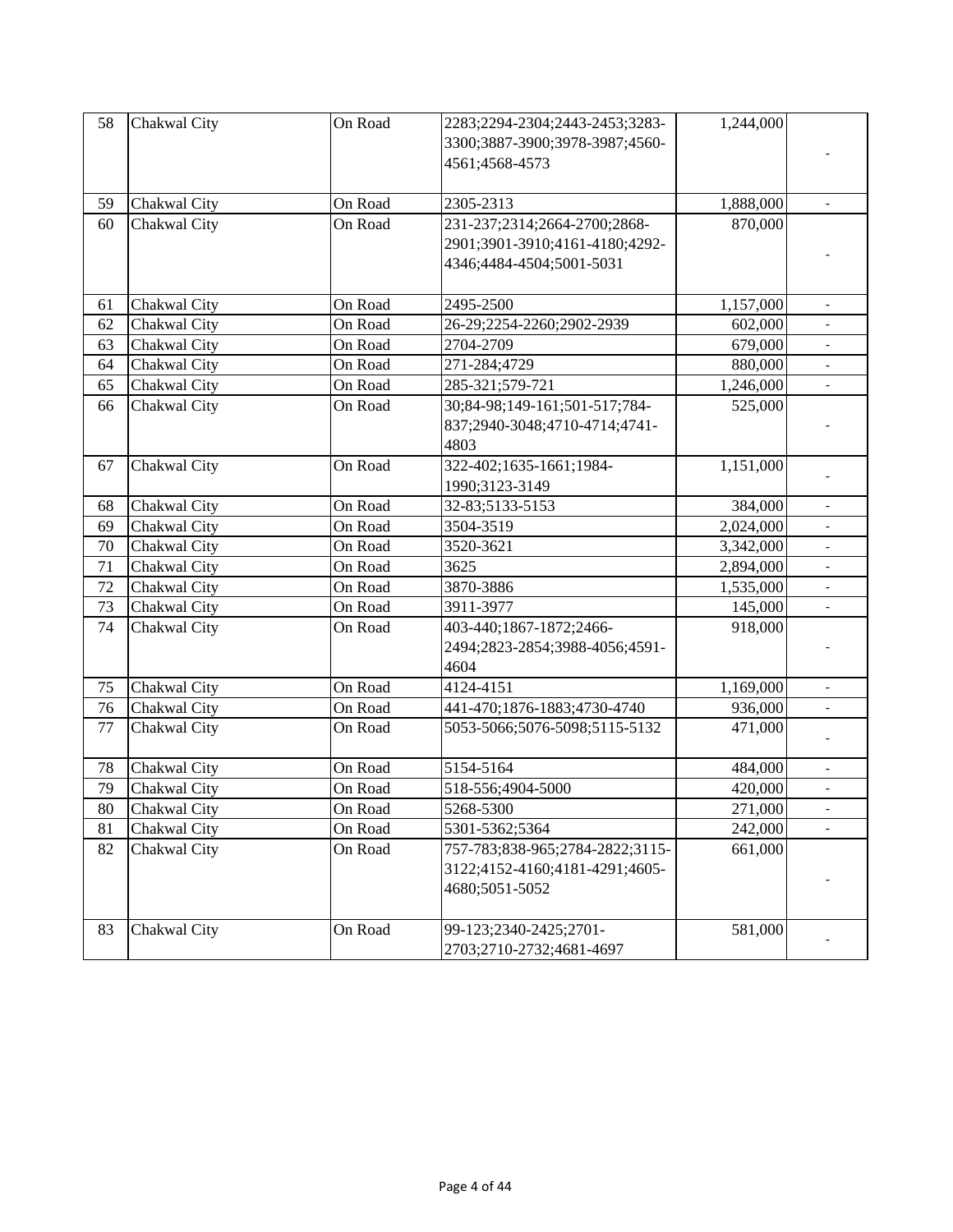| 58     | Chakwal City | On Road | 2283;2294-2304;2443-2453;3283-  | 1,244,000 |                          |
|--------|--------------|---------|---------------------------------|-----------|--------------------------|
|        |              |         | 3300;3887-3900;3978-3987;4560-  |           |                          |
|        |              |         | 4561;4568-4573                  |           |                          |
|        |              |         |                                 |           |                          |
| 59     | Chakwal City | On Road | 2305-2313                       | 1,888,000 |                          |
| 60     | Chakwal City | On Road | 231-237;2314;2664-2700;2868-    | 870,000   |                          |
|        |              |         | 2901;3901-3910;4161-4180;4292-  |           |                          |
|        |              |         | 4346;4484-4504;5001-5031        |           |                          |
|        |              |         |                                 |           |                          |
| 61     | Chakwal City | On Road | 2495-2500                       | 1,157,000 | $\blacksquare$           |
| 62     | Chakwal City | On Road | 26-29;2254-2260;2902-2939       | 602,000   |                          |
| 63     | Chakwal City | On Road | 2704-2709                       | 679,000   |                          |
| 64     | Chakwal City | On Road | 271-284;4729                    | 880,000   |                          |
| 65     | Chakwal City | On Road | 285-321;579-721                 | 1,246,000 | $\blacksquare$           |
| 66     | Chakwal City | On Road | 30;84-98;149-161;501-517;784-   | 525,000   |                          |
|        |              |         | 837;2940-3048;4710-4714;4741-   |           |                          |
|        |              |         | 4803                            |           |                          |
| 67     | Chakwal City | On Road | 322-402;1635-1661;1984-         | 1,151,000 |                          |
|        |              |         | 1990;3123-3149                  |           |                          |
| 68     | Chakwal City | On Road | 32-83;5133-5153                 | 384,000   | $\blacksquare$           |
| 69     | Chakwal City | On Road | 3504-3519                       | 2,024,000 | $\blacksquare$           |
| 70     | Chakwal City | On Road | 3520-3621                       | 3,342,000 | $\frac{1}{2}$            |
| 71     | Chakwal City | On Road | 3625                            | 2,894,000 | $\overline{a}$           |
| 72     | Chakwal City | On Road | 3870-3886                       | 1,535,000 |                          |
| 73     | Chakwal City | On Road | 3911-3977                       | 145,000   |                          |
| 74     | Chakwal City | On Road | 403-440;1867-1872;2466-         | 918,000   |                          |
|        |              |         | 2494;2823-2854;3988-4056;4591-  |           |                          |
|        |              |         | 4604                            |           |                          |
| 75     | Chakwal City | On Road | 4124-4151                       | 1,169,000 |                          |
| 76     | Chakwal City | On Road | 441-470;1876-1883;4730-4740     | 936,000   |                          |
| 77     | Chakwal City | On Road | 5053-5066;5076-5098;5115-5132   | 471,000   |                          |
|        |              |         |                                 |           |                          |
| 78     | Chakwal City | On Road | 5154-5164                       | 484,000   | $\blacksquare$           |
| 79     | Chakwal City | On Road | 518-556;4904-5000               | 420,000   | $\overline{\phantom{a}}$ |
| $80\,$ | Chakwal City | On Road | 5268-5300                       | 271,000   |                          |
| 81     | Chakwal City | On Road | 5301-5362;5364                  | 242,000   |                          |
| 82     | Chakwal City | On Road | 757-783;838-965;2784-2822;3115- | 661,000   |                          |
|        |              |         | 3122;4152-4160;4181-4291;4605-  |           |                          |
|        |              |         | 4680;5051-5052                  |           |                          |
|        |              |         |                                 |           |                          |
| 83     | Chakwal City | On Road | 99-123;2340-2425;2701-          | 581,000   |                          |
|        |              |         | 2703;2710-2732;4681-4697        |           |                          |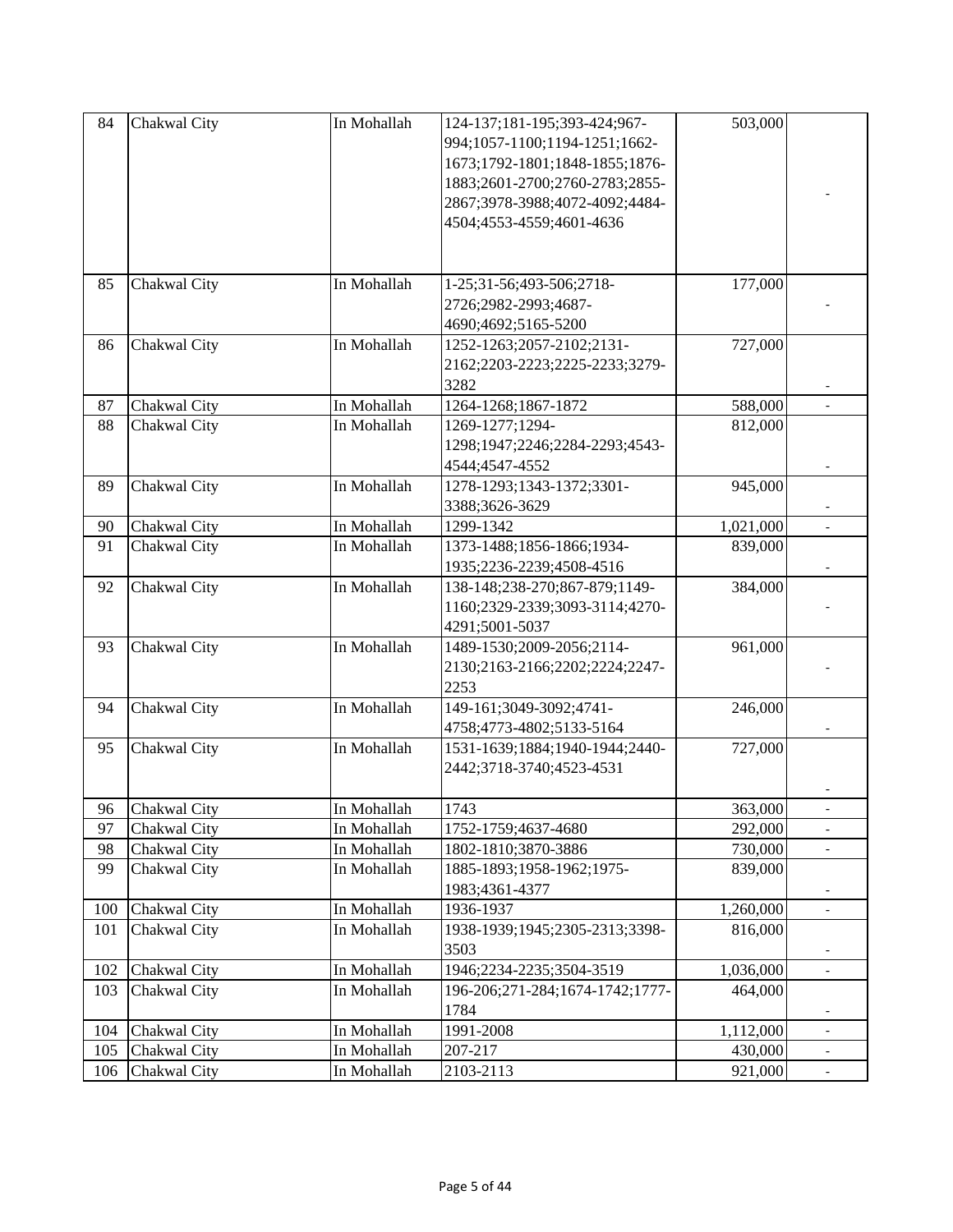| 84  | Chakwal City    | In Mohallah | 124-137;181-195;393-424;967-    | 503,000   |                          |
|-----|-----------------|-------------|---------------------------------|-----------|--------------------------|
|     |                 |             | 994;1057-1100;1194-1251;1662-   |           |                          |
|     |                 |             | 1673;1792-1801;1848-1855;1876-  |           |                          |
|     |                 |             | 1883;2601-2700;2760-2783;2855-  |           |                          |
|     |                 |             | 2867;3978-3988;4072-4092;4484-  |           |                          |
|     |                 |             | 4504;4553-4559;4601-4636        |           |                          |
|     |                 |             |                                 |           |                          |
|     |                 |             |                                 |           |                          |
|     |                 |             |                                 |           |                          |
| 85  | Chakwal City    | In Mohallah | 1-25;31-56;493-506;2718-        | 177,000   |                          |
|     |                 |             | 2726;2982-2993;4687-            |           |                          |
|     |                 |             | 4690;4692;5165-5200             |           |                          |
| 86  | Chakwal City    | In Mohallah | 1252-1263;2057-2102;2131-       | 727,000   |                          |
|     |                 |             | 2162;2203-2223;2225-2233;3279-  |           |                          |
|     |                 |             | 3282                            |           |                          |
| 87  | Chakwal City    | In Mohallah | 1264-1268;1867-1872             | 588,000   | $\overline{a}$           |
| 88  | Chakwal City    | In Mohallah | 1269-1277;1294-                 | 812,000   |                          |
|     |                 |             | 1298;1947;2246;2284-2293;4543-  |           |                          |
|     |                 |             | 4544;4547-4552                  |           |                          |
| 89  | Chakwal City    | In Mohallah | 1278-1293;1343-1372;3301-       | 945,000   |                          |
|     |                 |             | 3388;3626-3629                  |           |                          |
| 90  | Chakwal City    | In Mohallah | 1299-1342                       | 1,021,000 | $\overline{a}$           |
| 91  | Chakwal City    | In Mohallah | 1373-1488;1856-1866;1934-       | 839,000   |                          |
|     |                 |             | 1935;2236-2239;4508-4516        |           |                          |
| 92  | Chakwal City    | In Mohallah | 138-148;238-270;867-879;1149-   | 384,000   |                          |
|     |                 |             | 1160;2329-2339;3093-3114;4270-  |           |                          |
|     |                 |             | 4291;5001-5037                  |           |                          |
| 93  | Chakwal City    | In Mohallah | 1489-1530;2009-2056;2114-       | 961,000   |                          |
|     |                 |             | 2130;2163-2166;2202;2224;2247-  |           |                          |
|     |                 |             | 2253                            |           |                          |
| 94  | Chakwal City    | In Mohallah | 149-161;3049-3092;4741-         | 246,000   |                          |
|     |                 |             | 4758;4773-4802;5133-5164        |           |                          |
| 95  | Chakwal City    | In Mohallah | 1531-1639;1884;1940-1944;2440-  | 727,000   |                          |
|     |                 |             | 2442;3718-3740;4523-4531        |           |                          |
|     |                 |             |                                 |           |                          |
|     |                 |             | 1743                            |           |                          |
|     | 96 Chakwal City | In Mohallah |                                 | 363,000   |                          |
| 97  | Chakwal City    | In Mohallah | 1752-1759;4637-4680             | 292,000   |                          |
| 98  | Chakwal City    | In Mohallah | 1802-1810;3870-3886             | 730,000   |                          |
| 99  | Chakwal City    | In Mohallah | 1885-1893;1958-1962;1975-       | 839,000   |                          |
|     |                 |             | 1983;4361-4377                  |           |                          |
| 100 | Chakwal City    | In Mohallah | 1936-1937                       | 1,260,000 | $\overline{a}$           |
| 101 | Chakwal City    | In Mohallah | 1938-1939;1945;2305-2313;3398-  | 816,000   |                          |
|     |                 |             | 3503                            |           |                          |
| 102 | Chakwal City    | In Mohallah | 1946;2234-2235;3504-3519        | 1,036,000 |                          |
| 103 | Chakwal City    | In Mohallah | 196-206;271-284;1674-1742;1777- | 464,000   |                          |
|     |                 |             | 1784                            |           |                          |
| 104 | Chakwal City    | In Mohallah | 1991-2008                       | 1,112,000 | $\overline{\phantom{0}}$ |
| 105 | Chakwal City    | In Mohallah | 207-217                         | 430,000   |                          |
| 106 | Chakwal City    | In Mohallah | 2103-2113                       | 921,000   |                          |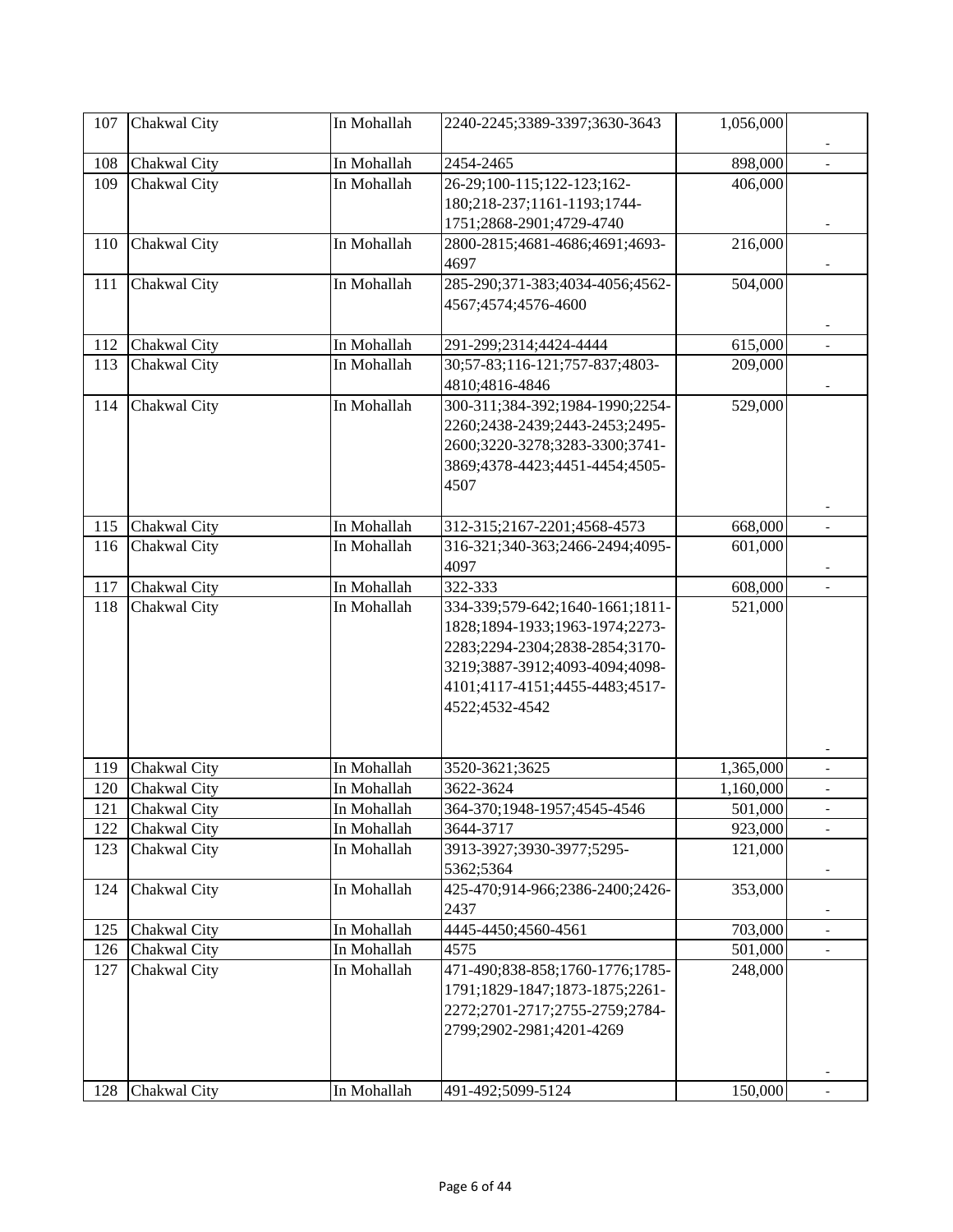| 107 | Chakwal City     | In Mohallah | 2240-2245;3389-3397;3630-3643   | 1,056,000 |                          |
|-----|------------------|-------------|---------------------------------|-----------|--------------------------|
| 108 | Chakwal City     | In Mohallah | 2454-2465                       | 898,000   |                          |
| 109 | Chakwal City     | In Mohallah | 26-29;100-115;122-123;162-      | 406,000   |                          |
|     |                  |             | 180;218-237;1161-1193;1744-     |           |                          |
|     |                  |             | 1751;2868-2901;4729-4740        |           |                          |
| 110 | Chakwal City     | In Mohallah | 2800-2815;4681-4686;4691;4693-  | 216,000   |                          |
|     |                  |             | 4697                            |           |                          |
| 111 | Chakwal City     | In Mohallah | 285-290;371-383;4034-4056;4562- | 504,000   |                          |
|     |                  |             | 4567;4574;4576-4600             |           |                          |
|     |                  |             |                                 |           |                          |
| 112 | Chakwal City     | In Mohallah | 291-299;2314;4424-4444          | 615,000   |                          |
| 113 | Chakwal City     | In Mohallah | 30;57-83;116-121;757-837;4803-  | 209,000   |                          |
|     |                  |             | 4810;4816-4846                  |           |                          |
| 114 | Chakwal City     | In Mohallah | 300-311;384-392;1984-1990;2254- | 529,000   |                          |
|     |                  |             | 2260;2438-2439;2443-2453;2495-  |           |                          |
|     |                  |             | 2600;3220-3278;3283-3300;3741-  |           |                          |
|     |                  |             | 3869;4378-4423;4451-4454;4505-  |           |                          |
|     |                  |             | 4507                            |           |                          |
| 115 | Chakwal City     | In Mohallah | 312-315;2167-2201;4568-4573     | 668,000   | $\overline{a}$           |
| 116 | Chakwal City     | In Mohallah | 316-321;340-363;2466-2494;4095- | 601,000   |                          |
|     |                  |             | 4097                            |           |                          |
| 117 | Chakwal City     | In Mohallah | 322-333                         | 608,000   |                          |
| 118 | Chakwal City     | In Mohallah | 334-339;579-642;1640-1661;1811- | 521,000   |                          |
|     |                  |             | 1828;1894-1933;1963-1974;2273-  |           |                          |
|     |                  |             | 2283;2294-2304;2838-2854;3170-  |           |                          |
|     |                  |             | 3219;3887-3912;4093-4094;4098-  |           |                          |
|     |                  |             | 4101;4117-4151;4455-4483;4517-  |           |                          |
|     |                  |             | 4522;4532-4542                  |           |                          |
|     |                  |             |                                 |           |                          |
| 119 | Chakwal City     | In Mohallah | 3520-3621;3625                  | 1,365,000 | $\overline{\phantom{a}}$ |
| 120 | Chakwal City     | In Mohallah | 3622-3624                       | 1,160,000 |                          |
|     | 121 Chakwal City | In Mohallah | 364-370;1948-1957;4545-4546     | 501,000   |                          |
| 122 | Chakwal City     | In Mohallah | 3644-3717                       | 923,000   |                          |
| 123 | Chakwal City     | In Mohallah | 3913-3927;3930-3977;5295-       | 121,000   |                          |
|     |                  |             | 5362;5364                       |           |                          |
| 124 | Chakwal City     | In Mohallah | 425-470;914-966;2386-2400;2426- | 353,000   |                          |
|     |                  |             | 2437                            |           |                          |
| 125 | Chakwal City     | In Mohallah | 4445-4450;4560-4561             | 703,000   | $\blacksquare$           |
| 126 | Chakwal City     | In Mohallah | 4575                            | 501,000   |                          |
| 127 | Chakwal City     | In Mohallah | 471-490;838-858;1760-1776;1785- | 248,000   |                          |
|     |                  |             | 1791;1829-1847;1873-1875;2261-  |           |                          |
|     |                  |             | 2272;2701-2717;2755-2759;2784-  |           |                          |
|     |                  |             | 2799;2902-2981;4201-4269        |           |                          |
|     |                  |             |                                 |           |                          |
| 128 | Chakwal City     | In Mohallah | 491-492;5099-5124               | 150,000   |                          |
|     |                  |             |                                 |           |                          |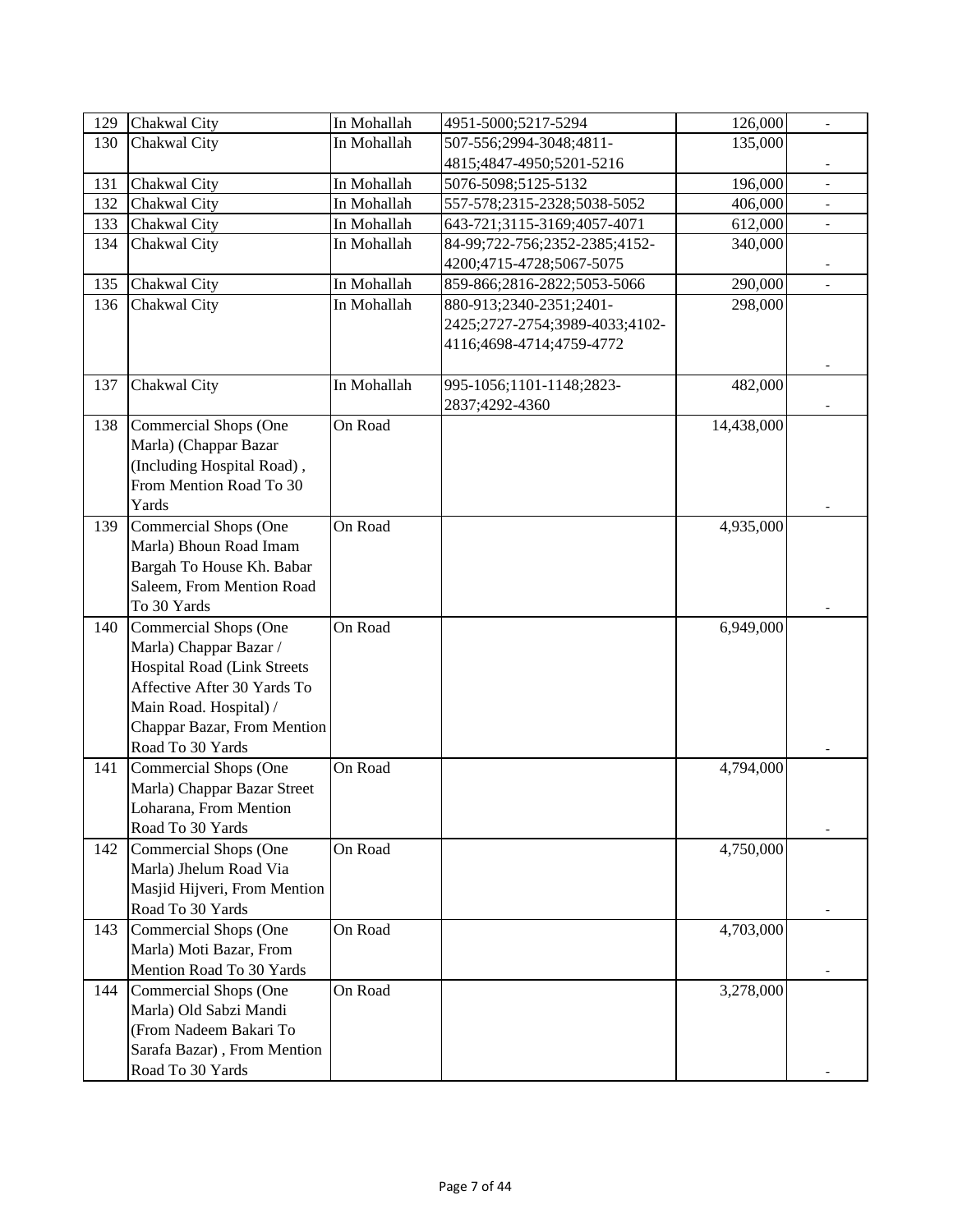| 129 | Chakwal City                                           | In Mohallah | 4951-5000;5217-5294            | 126,000    | $\overline{\phantom{a}}$ |
|-----|--------------------------------------------------------|-------------|--------------------------------|------------|--------------------------|
| 130 | Chakwal City                                           | In Mohallah | 507-556;2994-3048;4811-        | 135,000    |                          |
|     |                                                        |             | 4815;4847-4950;5201-5216       |            |                          |
| 131 | Chakwal City                                           | In Mohallah | 5076-5098;5125-5132            | 196,000    |                          |
| 132 | Chakwal City                                           | In Mohallah | 557-578;2315-2328;5038-5052    | 406,000    |                          |
| 133 | Chakwal City                                           | In Mohallah | 643-721;3115-3169;4057-4071    | 612,000    |                          |
| 134 | Chakwal City                                           | In Mohallah | 84-99;722-756;2352-2385;4152-  | 340,000    |                          |
|     |                                                        |             | 4200;4715-4728;5067-5075       |            |                          |
| 135 | Chakwal City                                           | In Mohallah | 859-866;2816-2822;5053-5066    | 290,000    |                          |
| 136 | Chakwal City                                           | In Mohallah | 880-913;2340-2351;2401-        | 298,000    |                          |
|     |                                                        |             | 2425;2727-2754;3989-4033;4102- |            |                          |
|     |                                                        |             | 4116;4698-4714;4759-4772       |            |                          |
|     |                                                        |             |                                |            |                          |
| 137 | Chakwal City                                           | In Mohallah | 995-1056;1101-1148;2823-       | 482,000    |                          |
|     |                                                        |             | 2837;4292-4360                 |            |                          |
| 138 | Commercial Shops (One                                  | On Road     |                                | 14,438,000 |                          |
|     | Marla) (Chappar Bazar                                  |             |                                |            |                          |
|     | (Including Hospital Road),                             |             |                                |            |                          |
|     | From Mention Road To 30                                |             |                                |            |                          |
|     | Yards                                                  |             |                                |            |                          |
| 139 | Commercial Shops (One                                  | On Road     |                                | 4,935,000  |                          |
|     | Marla) Bhoun Road Imam                                 |             |                                |            |                          |
|     | Bargah To House Kh. Babar                              |             |                                |            |                          |
|     | Saleem, From Mention Road                              |             |                                |            |                          |
|     | To 30 Yards                                            |             |                                |            |                          |
| 140 | Commercial Shops (One                                  | On Road     |                                | 6,949,000  |                          |
|     | Marla) Chappar Bazar /                                 |             |                                |            |                          |
|     | <b>Hospital Road (Link Streets</b>                     |             |                                |            |                          |
|     | Affective After 30 Yards To                            |             |                                |            |                          |
|     | Main Road. Hospital) /                                 |             |                                |            |                          |
|     | Chappar Bazar, From Mention                            |             |                                |            |                          |
|     | Road To 30 Yards                                       |             |                                |            |                          |
| 141 | Commercial Shops (One                                  | On Road     |                                | 4,794,000  |                          |
|     | Marla) Chappar Bazar Street                            |             |                                |            |                          |
|     | Loharana, From Mention                                 |             |                                |            |                          |
|     | Road To 30 Yards                                       |             |                                |            |                          |
| 142 | Commercial Shops (One                                  | On Road     |                                | 4,750,000  |                          |
|     | Marla) Jhelum Road Via<br>Masjid Hijveri, From Mention |             |                                |            |                          |
|     | Road To 30 Yards                                       |             |                                |            |                          |
| 143 | Commercial Shops (One                                  | On Road     |                                | 4,703,000  |                          |
|     | Marla) Moti Bazar, From                                |             |                                |            |                          |
|     | Mention Road To 30 Yards                               |             |                                |            |                          |
| 144 | <b>Commercial Shops (One</b>                           | On Road     |                                | 3,278,000  |                          |
|     | Marla) Old Sabzi Mandi                                 |             |                                |            |                          |
|     | (From Nadeem Bakari To                                 |             |                                |            |                          |
|     | Sarafa Bazar), From Mention                            |             |                                |            |                          |
|     | Road To 30 Yards                                       |             |                                |            |                          |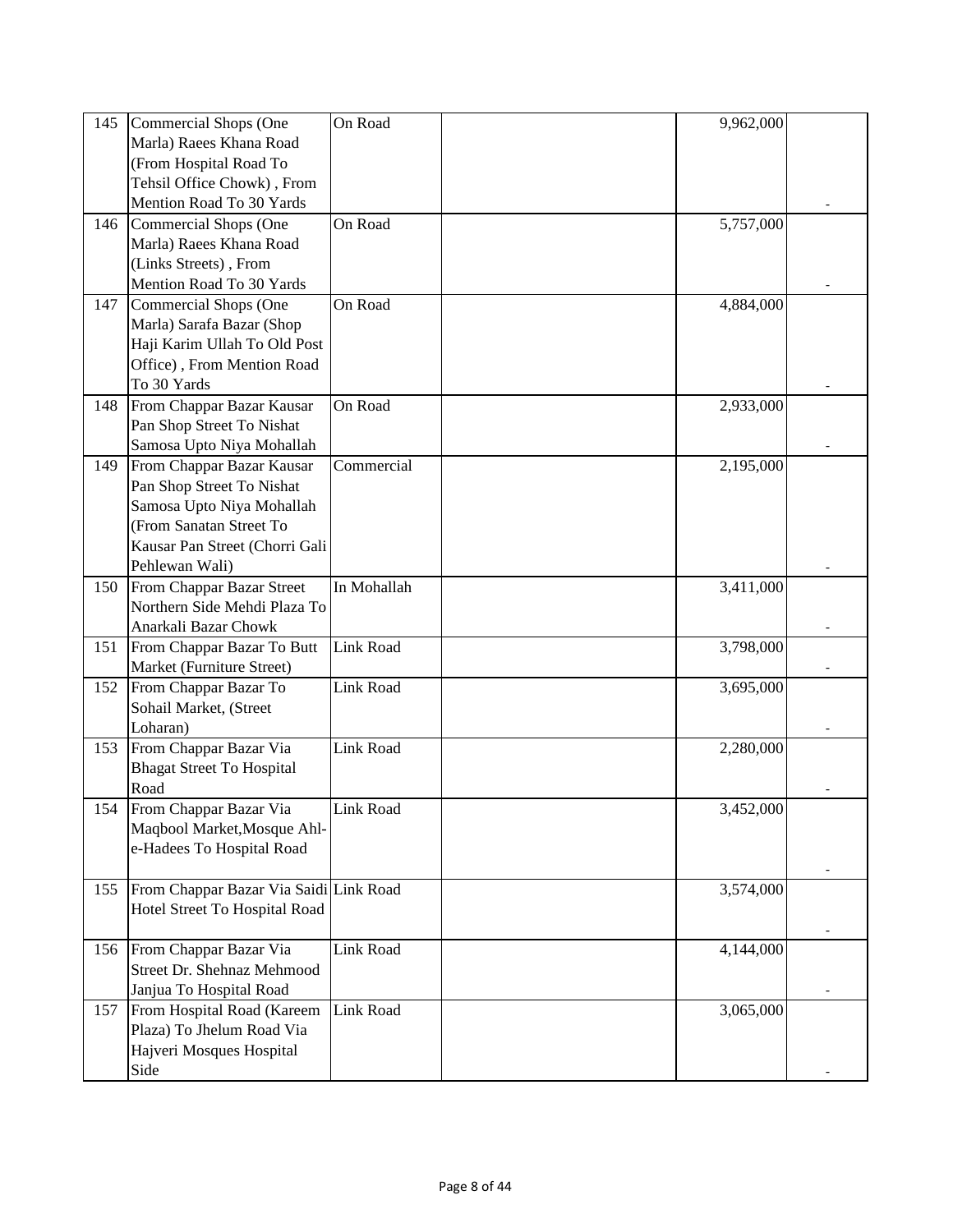| 145 | Commercial Shops (One                  | On Road          | 9,962,000 |  |
|-----|----------------------------------------|------------------|-----------|--|
|     | Marla) Raees Khana Road                |                  |           |  |
|     | (From Hospital Road To                 |                  |           |  |
|     | Tehsil Office Chowk), From             |                  |           |  |
|     | Mention Road To 30 Yards               |                  |           |  |
| 146 | Commercial Shops (One                  | On Road          | 5,757,000 |  |
|     | Marla) Raees Khana Road                |                  |           |  |
|     |                                        |                  |           |  |
|     | (Links Streets), From                  |                  |           |  |
|     | Mention Road To 30 Yards               |                  |           |  |
| 147 | Commercial Shops (One                  | On Road          | 4,884,000 |  |
|     | Marla) Sarafa Bazar (Shop              |                  |           |  |
|     | Haji Karim Ullah To Old Post           |                  |           |  |
|     | Office), From Mention Road             |                  |           |  |
|     | To 30 Yards                            |                  |           |  |
| 148 | From Chappar Bazar Kausar              | On Road          | 2,933,000 |  |
|     | Pan Shop Street To Nishat              |                  |           |  |
|     | Samosa Upto Niya Mohallah              |                  |           |  |
| 149 | From Chappar Bazar Kausar              | Commercial       | 2,195,000 |  |
|     | Pan Shop Street To Nishat              |                  |           |  |
|     | Samosa Upto Niya Mohallah              |                  |           |  |
|     | (From Sanatan Street To                |                  |           |  |
|     | Kausar Pan Street (Chorri Gali         |                  |           |  |
|     | Pehlewan Wali)                         |                  |           |  |
| 150 | From Chappar Bazar Street              | In Mohallah      | 3,411,000 |  |
|     | Northern Side Mehdi Plaza To           |                  |           |  |
|     | Anarkali Bazar Chowk                   |                  |           |  |
| 151 | From Chappar Bazar To Butt             | <b>Link Road</b> | 3,798,000 |  |
|     | Market (Furniture Street)              |                  |           |  |
| 152 | From Chappar Bazar To                  | <b>Link Road</b> | 3,695,000 |  |
|     | Sohail Market, (Street                 |                  |           |  |
|     | Loharan)                               |                  |           |  |
| 153 | From Chappar Bazar Via                 | Link Road        | 2,280,000 |  |
|     | <b>Bhagat Street To Hospital</b>       |                  |           |  |
|     | Road                                   |                  |           |  |
| 154 | From Chappar Bazar Via                 | Link Road        | 3,452,000 |  |
|     | Maqbool Market, Mosque Ahl-            |                  |           |  |
|     | e-Hadees To Hospital Road              |                  |           |  |
|     |                                        |                  |           |  |
| 155 | From Chappar Bazar Via Saidi Link Road |                  | 3,574,000 |  |
|     | Hotel Street To Hospital Road          |                  |           |  |
|     |                                        |                  |           |  |
| 156 | From Chappar Bazar Via                 | Link Road        | 4,144,000 |  |
|     | Street Dr. Shehnaz Mehmood             |                  |           |  |
|     | Janjua To Hospital Road                |                  |           |  |
| 157 | From Hospital Road (Kareem             | Link Road        | 3,065,000 |  |
|     | Plaza) To Jhelum Road Via              |                  |           |  |
|     |                                        |                  |           |  |
|     | Hajveri Mosques Hospital               |                  |           |  |
|     | Side                                   |                  |           |  |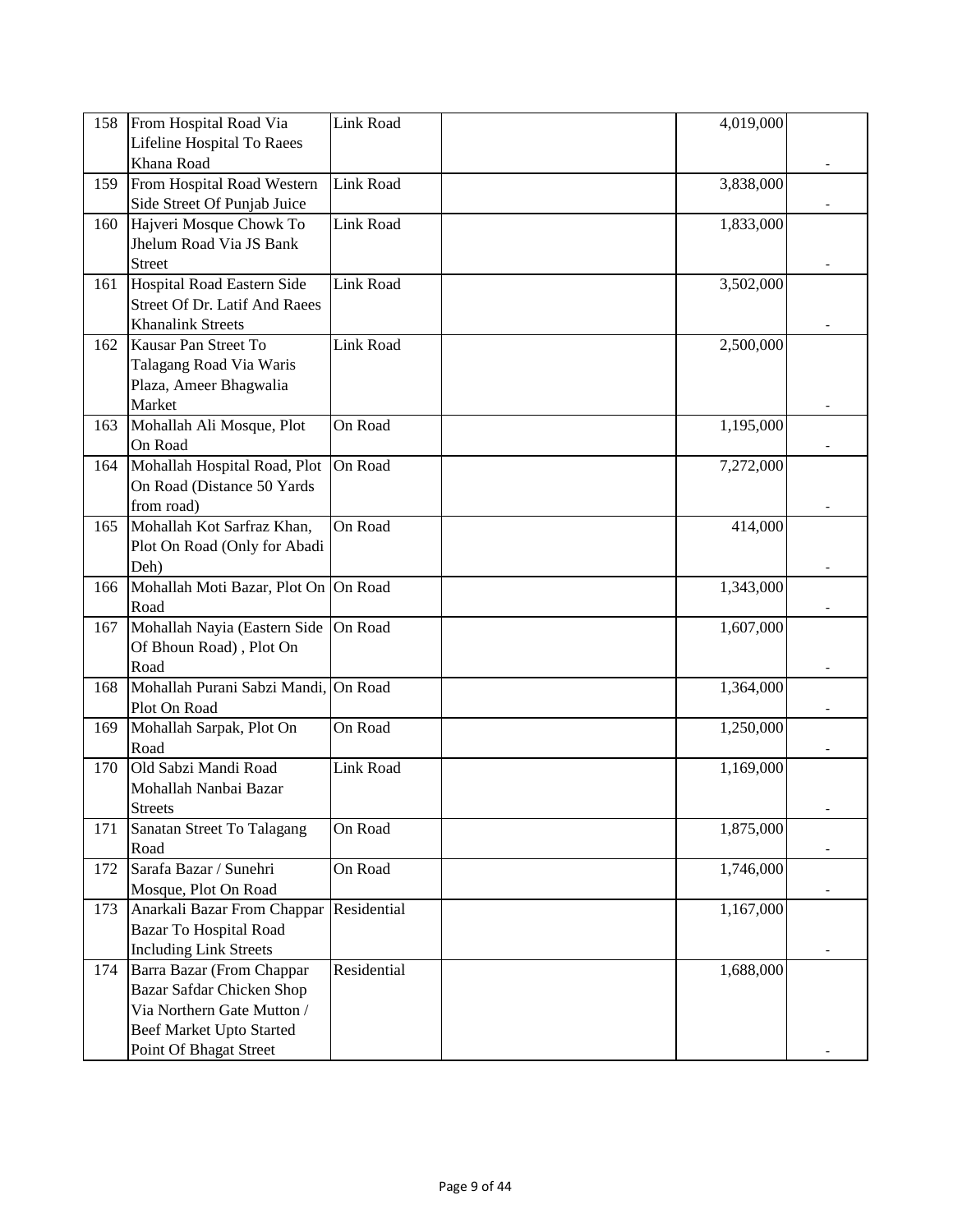| 158 | From Hospital Road Via               | Link Road   | 4,019,000 |  |
|-----|--------------------------------------|-------------|-----------|--|
|     | Lifeline Hospital To Raees           |             |           |  |
|     | Khana Road                           |             |           |  |
| 159 | From Hospital Road Western           | Link Road   | 3,838,000 |  |
|     | Side Street Of Punjab Juice          |             |           |  |
| 160 | Hajveri Mosque Chowk To              | Link Road   | 1,833,000 |  |
|     | Jhelum Road Via JS Bank              |             |           |  |
|     | <b>Street</b>                        |             |           |  |
| 161 | <b>Hospital Road Eastern Side</b>    | Link Road   | 3,502,000 |  |
|     | Street Of Dr. Latif And Raees        |             |           |  |
|     | <b>Khanalink Streets</b>             |             |           |  |
| 162 | Kausar Pan Street To                 | Link Road   | 2,500,000 |  |
|     | Talagang Road Via Waris              |             |           |  |
|     | Plaza, Ameer Bhagwalia               |             |           |  |
|     | Market                               |             |           |  |
| 163 | Mohallah Ali Mosque, Plot            | On Road     | 1,195,000 |  |
|     | On Road                              |             |           |  |
| 164 | Mohallah Hospital Road, Plot         | On Road     | 7,272,000 |  |
|     | On Road (Distance 50 Yards           |             |           |  |
|     | from road)                           |             |           |  |
| 165 | Mohallah Kot Sarfraz Khan,           | On Road     | 414,000   |  |
|     | Plot On Road (Only for Abadi         |             |           |  |
|     | Deh)                                 |             |           |  |
| 166 | Mohallah Moti Bazar, Plot On On Road |             | 1,343,000 |  |
|     | Road                                 |             |           |  |
| 167 | Mohallah Nayia (Eastern Side         | On Road     | 1,607,000 |  |
|     | Of Bhoun Road), Plot On              |             |           |  |
|     | Road                                 |             |           |  |
| 168 | Mohallah Purani Sabzi Mandi, On Road |             | 1,364,000 |  |
|     | Plot On Road                         |             |           |  |
| 169 | Mohallah Sarpak, Plot On             | On Road     | 1,250,000 |  |
|     | Road                                 |             |           |  |
| 170 | Old Sabzi Mandi Road                 | Link Road   | 1,169,000 |  |
|     | Mohallah Nanbai Bazar                |             |           |  |
|     | <b>Streets</b>                       |             |           |  |
| 171 | Sanatan Street To Talagang           | On Road     | 1,875,000 |  |
|     | Road                                 |             |           |  |
| 172 | Sarafa Bazar / Sunehri               | On Road     | 1,746,000 |  |
|     | Mosque, Plot On Road                 |             |           |  |
| 173 | Anarkali Bazar From Chappar          | Residential | 1,167,000 |  |
|     | Bazar To Hospital Road               |             |           |  |
|     | <b>Including Link Streets</b>        |             |           |  |
| 174 | Barra Bazar (From Chappar            | Residential | 1,688,000 |  |
|     | Bazar Safdar Chicken Shop            |             |           |  |
|     | Via Northern Gate Mutton /           |             |           |  |
|     | Beef Market Upto Started             |             |           |  |
|     | Point Of Bhagat Street               |             |           |  |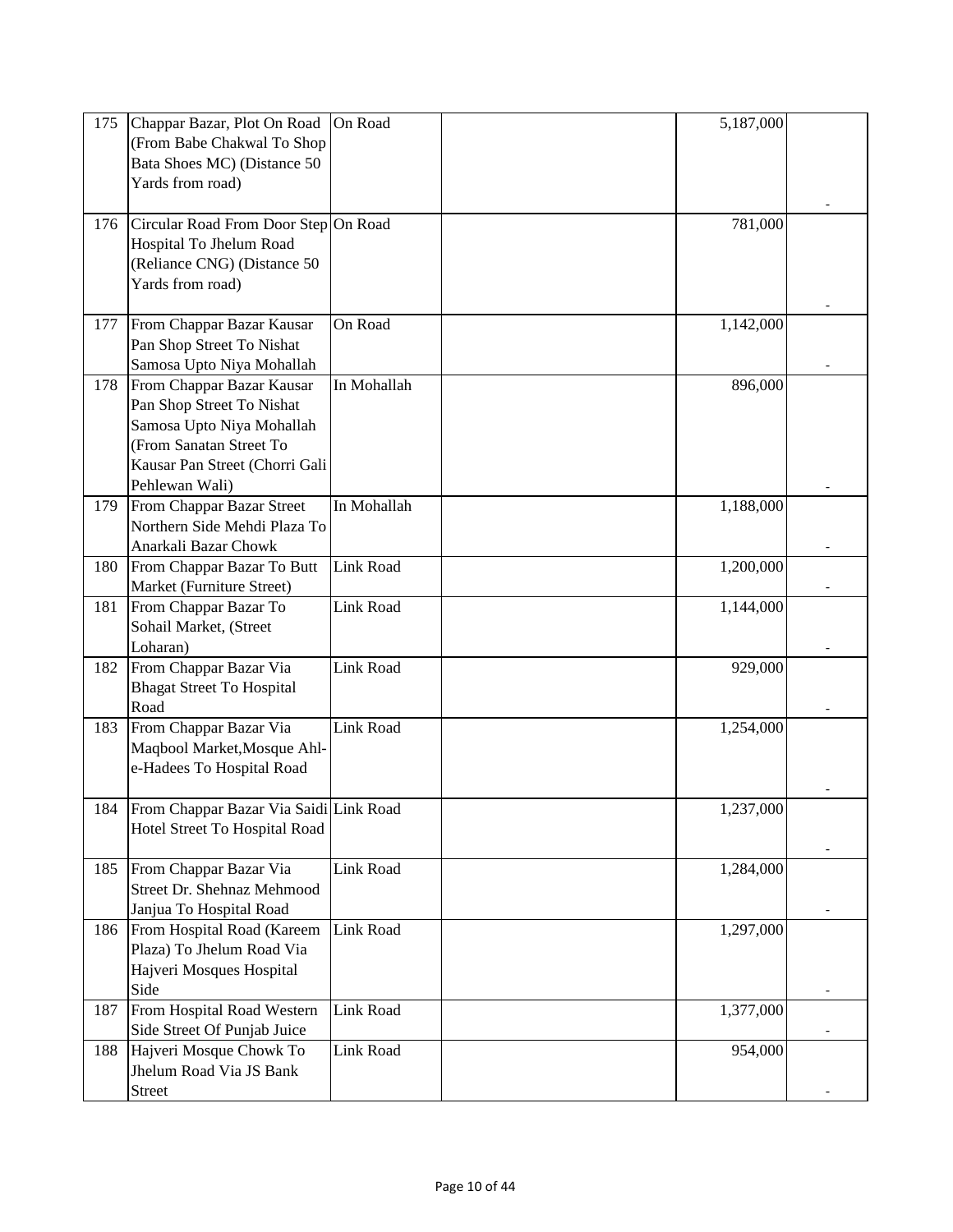| 175 | Chappar Bazar, Plot On Road<br>(From Babe Chakwal To Shop<br>Bata Shoes MC) (Distance 50<br>Yards from road)                                                       | On Road     | 5,187,000 |  |
|-----|--------------------------------------------------------------------------------------------------------------------------------------------------------------------|-------------|-----------|--|
| 176 | Circular Road From Door Step On Road<br>Hospital To Jhelum Road<br>(Reliance CNG) (Distance 50<br>Yards from road)                                                 |             | 781,000   |  |
| 177 | From Chappar Bazar Kausar<br>Pan Shop Street To Nishat<br>Samosa Upto Niya Mohallah                                                                                | On Road     | 1,142,000 |  |
| 178 | From Chappar Bazar Kausar<br>Pan Shop Street To Nishat<br>Samosa Upto Niya Mohallah<br>(From Sanatan Street To<br>Kausar Pan Street (Chorri Gali<br>Pehlewan Wali) | In Mohallah | 896,000   |  |
| 179 | From Chappar Bazar Street<br>Northern Side Mehdi Plaza To<br>Anarkali Bazar Chowk                                                                                  | In Mohallah | 1,188,000 |  |
| 180 | From Chappar Bazar To Butt<br>Market (Furniture Street)                                                                                                            | Link Road   | 1,200,000 |  |
| 181 | From Chappar Bazar To<br>Sohail Market, (Street<br>Loharan)                                                                                                        | Link Road   | 1,144,000 |  |
| 182 | From Chappar Bazar Via<br><b>Bhagat Street To Hospital</b><br>Road                                                                                                 | Link Road   | 929,000   |  |
| 183 | From Chappar Bazar Via<br>Maqbool Market, Mosque Ahl-<br>e-Hadees To Hospital Road                                                                                 | Link Road   | 1,254,000 |  |
| 184 | From Chappar Bazar Via Saidi Link Road<br>Hotel Street To Hospital Road                                                                                            |             | 1,237,000 |  |
| 185 | From Chappar Bazar Via<br>Street Dr. Shehnaz Mehmood<br>Janjua To Hospital Road                                                                                    | Link Road   | 1,284,000 |  |
| 186 | From Hospital Road (Kareem<br>Plaza) To Jhelum Road Via<br>Hajveri Mosques Hospital<br>Side                                                                        | Link Road   | 1,297,000 |  |
| 187 | From Hospital Road Western<br>Side Street Of Punjab Juice                                                                                                          | Link Road   | 1,377,000 |  |
| 188 | Hajveri Mosque Chowk To<br>Jhelum Road Via JS Bank<br><b>Street</b>                                                                                                | Link Road   | 954,000   |  |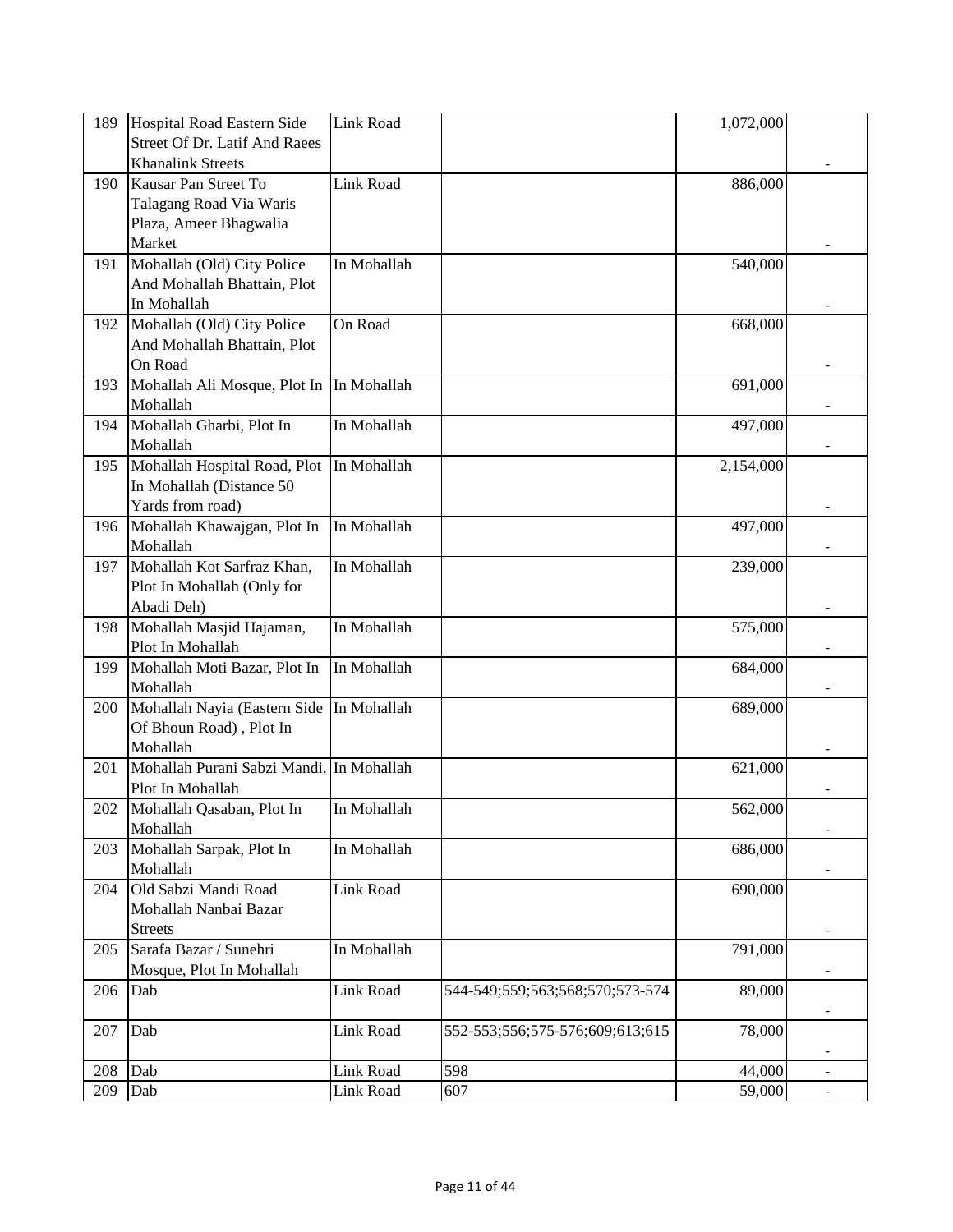| 189 | Hospital Road Eastern Side               | Link Road   |                                 | 1,072,000 |                          |
|-----|------------------------------------------|-------------|---------------------------------|-----------|--------------------------|
|     | Street Of Dr. Latif And Raees            |             |                                 |           |                          |
|     | <b>Khanalink Streets</b>                 |             |                                 |           |                          |
| 190 | Kausar Pan Street To                     | Link Road   |                                 | 886,000   |                          |
|     | Talagang Road Via Waris                  |             |                                 |           |                          |
|     | Plaza, Ameer Bhagwalia                   |             |                                 |           |                          |
|     | Market                                   |             |                                 |           |                          |
| 191 | Mohallah (Old) City Police               | In Mohallah |                                 | 540,000   |                          |
|     | And Mohallah Bhattain, Plot              |             |                                 |           |                          |
|     | In Mohallah                              |             |                                 |           |                          |
| 192 | Mohallah (Old) City Police               | On Road     |                                 | 668,000   |                          |
|     | And Mohallah Bhattain, Plot              |             |                                 |           |                          |
|     | On Road                                  |             |                                 |           |                          |
| 193 | Mohallah Ali Mosque, Plot In In Mohallah |             |                                 | 691,000   |                          |
|     | Mohallah                                 |             |                                 |           |                          |
| 194 | Mohallah Gharbi, Plot In                 | In Mohallah |                                 | 497,000   |                          |
|     | Mohallah                                 |             |                                 |           |                          |
| 195 | Mohallah Hospital Road, Plot             | In Mohallah |                                 | 2,154,000 |                          |
|     | In Mohallah (Distance 50                 |             |                                 |           |                          |
|     | Yards from road)                         |             |                                 |           |                          |
| 196 | Mohallah Khawajgan, Plot In              | In Mohallah |                                 | 497,000   |                          |
|     | Mohallah                                 |             |                                 |           |                          |
| 197 | Mohallah Kot Sarfraz Khan,               | In Mohallah |                                 | 239,000   |                          |
|     | Plot In Mohallah (Only for               |             |                                 |           |                          |
|     | Abadi Deh)                               |             |                                 |           |                          |
| 198 | Mohallah Masjid Hajaman,                 | In Mohallah |                                 | 575,000   |                          |
|     | Plot In Mohallah                         |             |                                 |           |                          |
| 199 | Mohallah Moti Bazar, Plot In             | In Mohallah |                                 | 684,000   |                          |
|     | Mohallah                                 |             |                                 |           |                          |
| 200 | Mohallah Nayia (Eastern Side             | In Mohallah |                                 | 689,000   |                          |
|     | Of Bhoun Road), Plot In                  |             |                                 |           |                          |
|     | Mohallah                                 |             |                                 |           |                          |
| 201 | Mohallah Purani Sabzi Mandi, In Mohallah |             |                                 | 621,000   |                          |
|     | Plot In Mohallah                         |             |                                 |           |                          |
| 202 | Mohallah Qasaban, Plot In                | In Mohallah |                                 | 562,000   |                          |
|     | Mohallah                                 |             |                                 |           |                          |
| 203 | Mohallah Sarpak, Plot In                 | In Mohallah |                                 | 686,000   |                          |
|     | Mohallah                                 |             |                                 |           |                          |
| 204 | Old Sabzi Mandi Road                     | Link Road   |                                 | 690,000   |                          |
|     | Mohallah Nanbai Bazar                    |             |                                 |           |                          |
|     | <b>Streets</b>                           |             |                                 |           |                          |
| 205 | Sarafa Bazar / Sunehri                   | In Mohallah |                                 | 791,000   |                          |
|     | Mosque, Plot In Mohallah                 |             |                                 |           |                          |
| 206 | Dab                                      | Link Road   | 544-549;559;563;568;570;573-574 | 89,000    |                          |
|     |                                          |             |                                 |           |                          |
| 207 | Dab                                      | Link Road   | 552-553;556;575-576;609;613;615 | 78,000    |                          |
|     |                                          |             |                                 |           |                          |
| 208 | Dab                                      | Link Road   | 598                             | 44,000    |                          |
| 209 | Dab                                      | Link Road   | 607                             | 59,000    | $\overline{\phantom{a}}$ |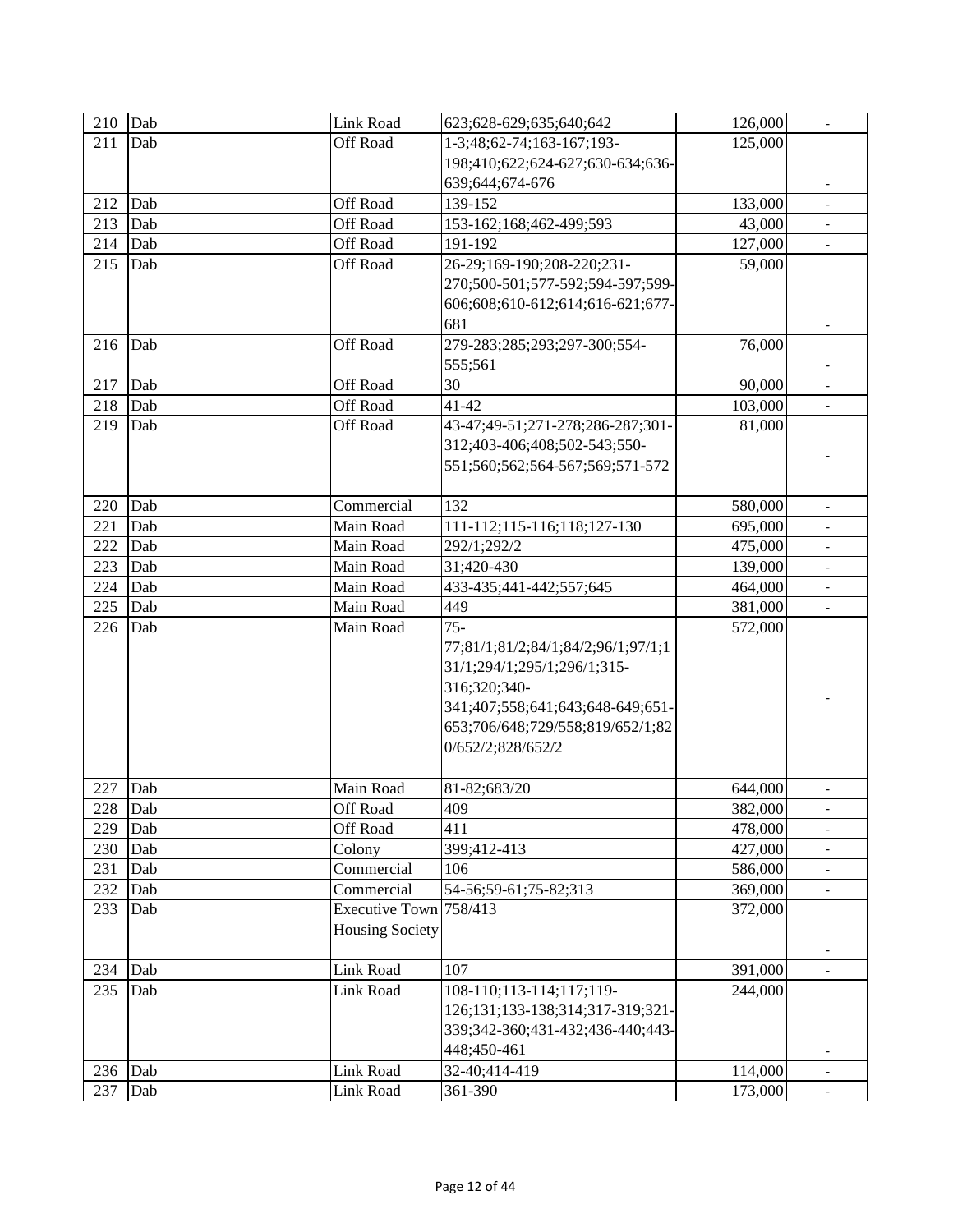| 210       | Dab | Link Road              | 623;628-629;635;640;642            | 126,000 |                          |
|-----------|-----|------------------------|------------------------------------|---------|--------------------------|
| 211       | Dab | Off Road               | 1-3;48;62-74;163-167;193-          | 125,000 |                          |
|           |     |                        | 198;410;622;624-627;630-634;636-   |         |                          |
|           |     |                        | 639;644;674-676                    |         |                          |
| 212       | Dab | Off Road               | 139-152                            | 133,000 |                          |
| 213       | Dab | Off Road               | 153-162;168;462-499;593            | 43,000  |                          |
| 214       | Dab | Off Road               | 191-192                            | 127,000 |                          |
| 215       | Dab | <b>Off Road</b>        | 26-29;169-190;208-220;231-         | 59,000  |                          |
|           |     |                        | 270;500-501;577-592;594-597;599-   |         |                          |
|           |     |                        | 606;608;610-612;614;616-621;677-   |         |                          |
|           |     |                        | 681                                |         |                          |
| 216       | Dab | Off Road               | 279-283;285;293;297-300;554-       | 76,000  |                          |
|           |     |                        | 555;561                            |         |                          |
| 217       | Dab | Off Road               | 30                                 | 90,000  |                          |
| 218       | Dab | Off Road               | $41 - 42$                          | 103,000 | $\overline{\phantom{a}}$ |
| 219       | Dab | Off Road               | 43-47;49-51;271-278;286-287;301-   | 81,000  |                          |
|           |     |                        | 312;403-406;408;502-543;550-       |         |                          |
|           |     |                        | 551;560;562;564-567;569;571-572    |         |                          |
|           |     |                        |                                    |         |                          |
| 220       | Dab | Commercial             | 132                                | 580,000 | $\overline{\phantom{0}}$ |
| 221       | Dab | Main Road              | 111-112;115-116;118;127-130        | 695,000 | $\blacksquare$           |
| 222       | Dab | Main Road              | 292/1;292/2                        | 475,000 | ÷.                       |
| 223       | Dab | Main Road              | 31;420-430                         | 139,000 |                          |
| 224       | Dab | Main Road              | 433-435;441-442;557;645            | 464,000 |                          |
| 225       | Dab | Main Road              | 449                                | 381,000 |                          |
| 226       | Dab | Main Road              | $75 -$                             | 572,000 |                          |
|           |     |                        | 77;81/1;81/2;84/1;84/2;96/1;97/1;1 |         |                          |
|           |     |                        | 31/1;294/1;295/1;296/1;315-        |         |                          |
|           |     |                        | 316;320;340-                       |         |                          |
|           |     |                        | 341;407;558;641;643;648-649;651-   |         |                          |
|           |     |                        | 653;706/648;729/558;819/652/1;82   |         |                          |
|           |     |                        | 0/652/2;828/652/2                  |         |                          |
|           |     |                        |                                    |         |                          |
| 227       | Dab | Main Road              | 81-82;683/20                       | 644,000 | $\overline{\phantom{0}}$ |
| 228       | Dab | Off Road               | 409                                | 382,000 |                          |
| 229       | Dab | Off Road               | 411                                | 478,000 |                          |
| 230       | Dab | Colony                 | 399;412-413                        | 427,000 |                          |
| 231       | Dab | Commercial             | 106                                | 586,000 |                          |
| 232       | Dab | Commercial             | 54-56;59-61;75-82;313              | 369,000 |                          |
| 233       | Dab | Executive Town 758/413 |                                    | 372,000 |                          |
|           |     | <b>Housing Society</b> |                                    |         |                          |
|           |     |                        |                                    |         |                          |
| 234       | Dab | Link Road              | 107                                | 391,000 |                          |
| 235       | Dab | Link Road              | 108-110;113-114;117;119-           | 244,000 |                          |
|           |     |                        | 126;131;133-138;314;317-319;321-   |         |                          |
|           |     |                        | 339;342-360;431-432;436-440;443-   |         |                          |
|           |     |                        | 448;450-461                        |         |                          |
| $236$ Dab |     | Link Road              | 32-40;414-419                      | 114,000 |                          |
| 237       | Dab | Link Road              | 361-390                            | 173,000 |                          |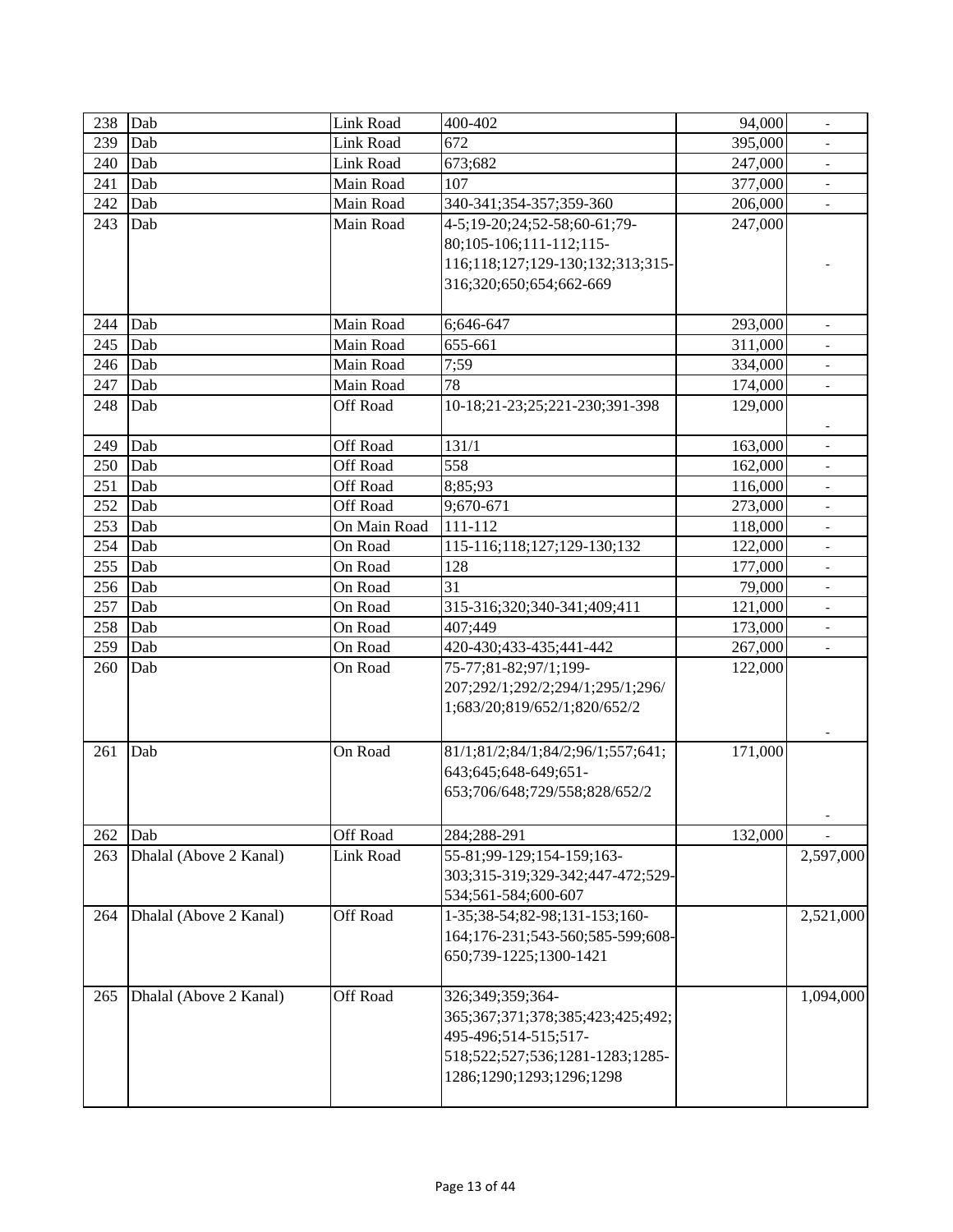| 238 | Dab                    | Link Road       | 400-402                           | 94,000  | $\overline{\phantom{a}}$ |
|-----|------------------------|-----------------|-----------------------------------|---------|--------------------------|
| 239 | Dab                    | Link Road       | 672                               | 395,000 |                          |
| 240 | Dab                    | Link Road       | 673;682                           | 247,000 |                          |
| 241 | Dab                    | Main Road       | 107                               | 377,000 |                          |
| 242 | Dab                    | Main Road       | 340-341;354-357;359-360           | 206,000 |                          |
| 243 | Dab                    | Main Road       | 4-5;19-20;24;52-58;60-61;79-      | 247,000 |                          |
|     |                        |                 | 80;105-106;111-112;115-           |         |                          |
|     |                        |                 | 116;118;127;129-130;132;313;315   |         |                          |
|     |                        |                 | 316;320;650;654;662-669           |         |                          |
|     |                        |                 |                                   |         |                          |
| 244 | Dab                    | Main Road       | 6;646-647                         | 293,000 |                          |
| 245 | Dab                    | Main Road       | 655-661                           | 311,000 |                          |
| 246 | Dab                    | Main Road       | 7:59                              | 334,000 | $\overline{\phantom{a}}$ |
| 247 | Dab                    | Main Road       | 78                                | 174,000 | $\overline{\phantom{a}}$ |
| 248 | Dab                    | Off Road        | 10-18;21-23;25;221-230;391-398    | 129,000 |                          |
|     |                        |                 |                                   |         |                          |
| 249 | Dab                    | Off Road        | 131/1                             | 163,000 |                          |
| 250 | Dab                    | <b>Off Road</b> | 558                               | 162,000 |                          |
| 251 | Dab                    | Off Road        | 8;85;93                           | 116,000 | $\overline{\phantom{a}}$ |
| 252 | Dab                    | Off Road        | 9;670-671                         | 273,000 | $\overline{\phantom{a}}$ |
| 253 | Dab                    | On Main Road    | 111-112                           | 118,000 | $\blacksquare$           |
| 254 | Dab                    | On Road         | 115-116;118;127;129-130;132       | 122,000 |                          |
| 255 | Dab                    | On Road         | 128                               | 177,000 |                          |
| 256 | Dab                    | On Road         | 31                                | 79,000  |                          |
| 257 | Dab                    | On Road         | 315-316;320;340-341;409;411       | 121,000 | $\blacksquare$           |
| 258 | Dab                    | On Road         | 407;449                           | 173,000 | $\overline{\phantom{a}}$ |
| 259 | Dab                    | On Road         | 420-430;433-435;441-442           | 267,000 | $\overline{\phantom{a}}$ |
| 260 | Dab                    | On Road         | 75-77;81-82;97/1;199-             | 122,000 |                          |
|     |                        |                 | 207;292/1;292/2;294/1;295/1;296/  |         |                          |
|     |                        |                 | 1;683/20;819/652/1;820/652/2      |         |                          |
|     |                        |                 |                                   |         |                          |
| 261 | Dab                    | On Road         | 81/1;81/2;84/1;84/2;96/1;557;641; | 171,000 |                          |
|     |                        |                 | 643;645;648-649;651-              |         |                          |
|     |                        |                 | 653;706/648;729/558;828/652/2     |         |                          |
|     |                        |                 |                                   |         |                          |
| 262 | Dab                    | Off Road        | 284;288-291                       | 132,000 |                          |
| 263 | Dhalal (Above 2 Kanal) | Link Road       | 55-81;99-129;154-159;163-         |         | 2,597,000                |
|     |                        |                 | 303;315-319;329-342;447-472;529-  |         |                          |
|     |                        |                 | 534;561-584;600-607               |         |                          |
| 264 | Dhalal (Above 2 Kanal) | Off Road        | 1-35;38-54;82-98;131-153;160-     |         | 2,521,000                |
|     |                        |                 | 164;176-231;543-560;585-599;608-  |         |                          |
|     |                        |                 | 650;739-1225;1300-1421            |         |                          |
|     |                        |                 |                                   |         |                          |
| 265 | Dhalal (Above 2 Kanal) | Off Road        | 326;349;359;364-                  |         | 1,094,000                |
|     |                        |                 | 365;367;371;378;385;423;425;492;  |         |                          |
|     |                        |                 | 495-496;514-515;517-              |         |                          |
|     |                        |                 | 518;522;527;536;1281-1283;1285-   |         |                          |
|     |                        |                 | 1286;1290;1293;1296;1298          |         |                          |
|     |                        |                 |                                   |         |                          |
|     |                        |                 |                                   |         |                          |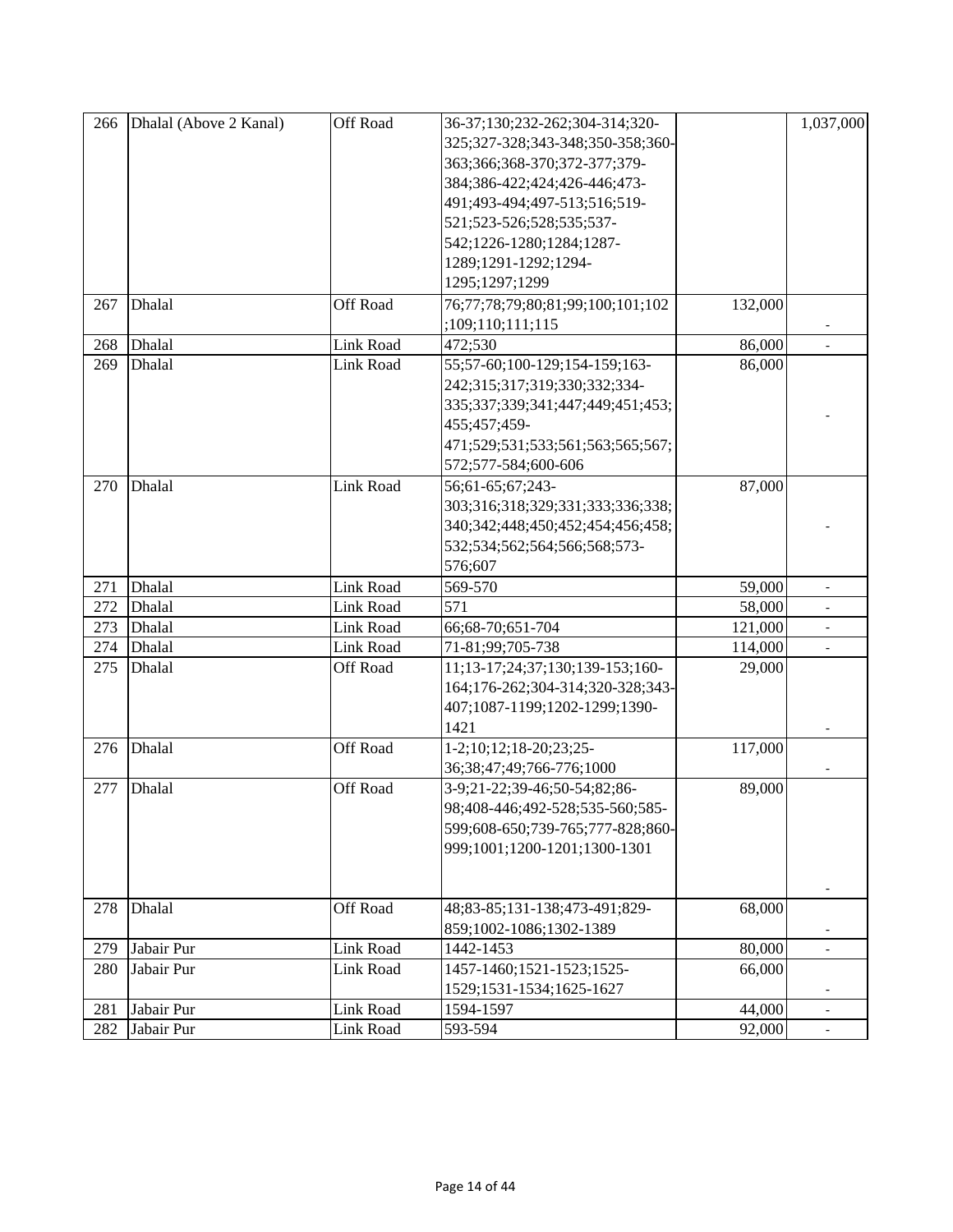| 266 | Dhalal (Above 2 Kanal) | Off Road         | 36-37;130;232-262;304-314;320-   |         | 1,037,000                |
|-----|------------------------|------------------|----------------------------------|---------|--------------------------|
|     |                        |                  | 325;327-328;343-348;350-358;360- |         |                          |
|     |                        |                  | 363;366;368-370;372-377;379-     |         |                          |
|     |                        |                  | 384;386-422;424;426-446;473-     |         |                          |
|     |                        |                  | 491;493-494;497-513;516;519-     |         |                          |
|     |                        |                  | 521;523-526;528;535;537-         |         |                          |
|     |                        |                  | 542;1226-1280;1284;1287-         |         |                          |
|     |                        |                  | 1289;1291-1292;1294-             |         |                          |
|     |                        |                  | 1295;1297;1299                   |         |                          |
| 267 | Dhalal                 | Off Road         | 76;77;78;79;80;81;99;100;101;102 | 132,000 |                          |
|     |                        |                  | ;109;110;111;115                 |         |                          |
|     | Dhalal                 | Link Road        | 472;530                          | 86,000  |                          |
| 268 |                        |                  |                                  |         |                          |
| 269 | Dhalal                 | <b>Link Road</b> | 55;57-60;100-129;154-159;163-    | 86,000  |                          |
|     |                        |                  | 242;315;317;319;330;332;334-     |         |                          |
|     |                        |                  | 335;337;339;341;447;449;451;453; |         |                          |
|     |                        |                  | 455;457;459-                     |         |                          |
|     |                        |                  | 471;529;531;533;561;563;565;567; |         |                          |
|     |                        |                  | 572;577-584;600-606              |         |                          |
| 270 | Dhalal                 | <b>Link Road</b> | 56;61-65;67;243-                 | 87,000  |                          |
|     |                        |                  | 303;316;318;329;331;333;336;338; |         |                          |
|     |                        |                  | 340;342;448;450;452;454;456;458; |         |                          |
|     |                        |                  | 532;534;562;564;566;568;573-     |         |                          |
|     |                        |                  | 576;607                          |         |                          |
| 271 | Dhalal                 | Link Road        | 569-570                          | 59,000  |                          |
| 272 | Dhalal                 | <b>Link Road</b> | 571                              | 58,000  |                          |
| 273 | Dhalal                 | Link Road        | 66;68-70;651-704                 | 121,000 | $\overline{\phantom{a}}$ |
| 274 | Dhalal                 | Link Road        | 71-81;99;705-738                 | 114,000 | $\overline{\phantom{a}}$ |
| 275 | Dhalal                 | Off Road         | 11;13-17;24;37;130;139-153;160-  | 29,000  |                          |
|     |                        |                  | 164;176-262;304-314;320-328;343- |         |                          |
|     |                        |                  | 407;1087-1199;1202-1299;1390-    |         |                          |
|     |                        |                  | 1421                             |         |                          |
| 276 | Dhalal                 | Off Road         | 1-2;10;12;18-20;23;25-           | 117,000 |                          |
|     |                        |                  | 36;38;47;49;766-776;1000         |         |                          |
| 277 | Dhalal                 | Off Road         | 3-9;21-22;39-46;50-54;82;86-     | 89,000  |                          |
|     |                        |                  | 98;408-446;492-528;535-560;585-  |         |                          |
|     |                        |                  | 599;608-650;739-765;777-828;860- |         |                          |
|     |                        |                  | 999;1001;1200-1201;1300-1301     |         |                          |
|     |                        |                  |                                  |         |                          |
|     |                        |                  |                                  |         |                          |
| 278 | Dhalal                 | Off Road         | 48;83-85;131-138;473-491;829-    | 68,000  |                          |
|     |                        |                  | 859;1002-1086;1302-1389          |         |                          |
| 279 | Jabair Pur             | Link Road        | 1442-1453                        | 80,000  |                          |
| 280 | Jabair Pur             | <b>Link Road</b> | 1457-1460;1521-1523;1525-        | 66,000  |                          |
|     |                        |                  | 1529;1531-1534;1625-1627         |         |                          |
| 281 | Jabair Pur             | Link Road        | 1594-1597                        | 44,000  | $\overline{\phantom{a}}$ |
| 282 | Jabair Pur             | Link Road        | 593-594                          | 92,000  | $\overline{\phantom{a}}$ |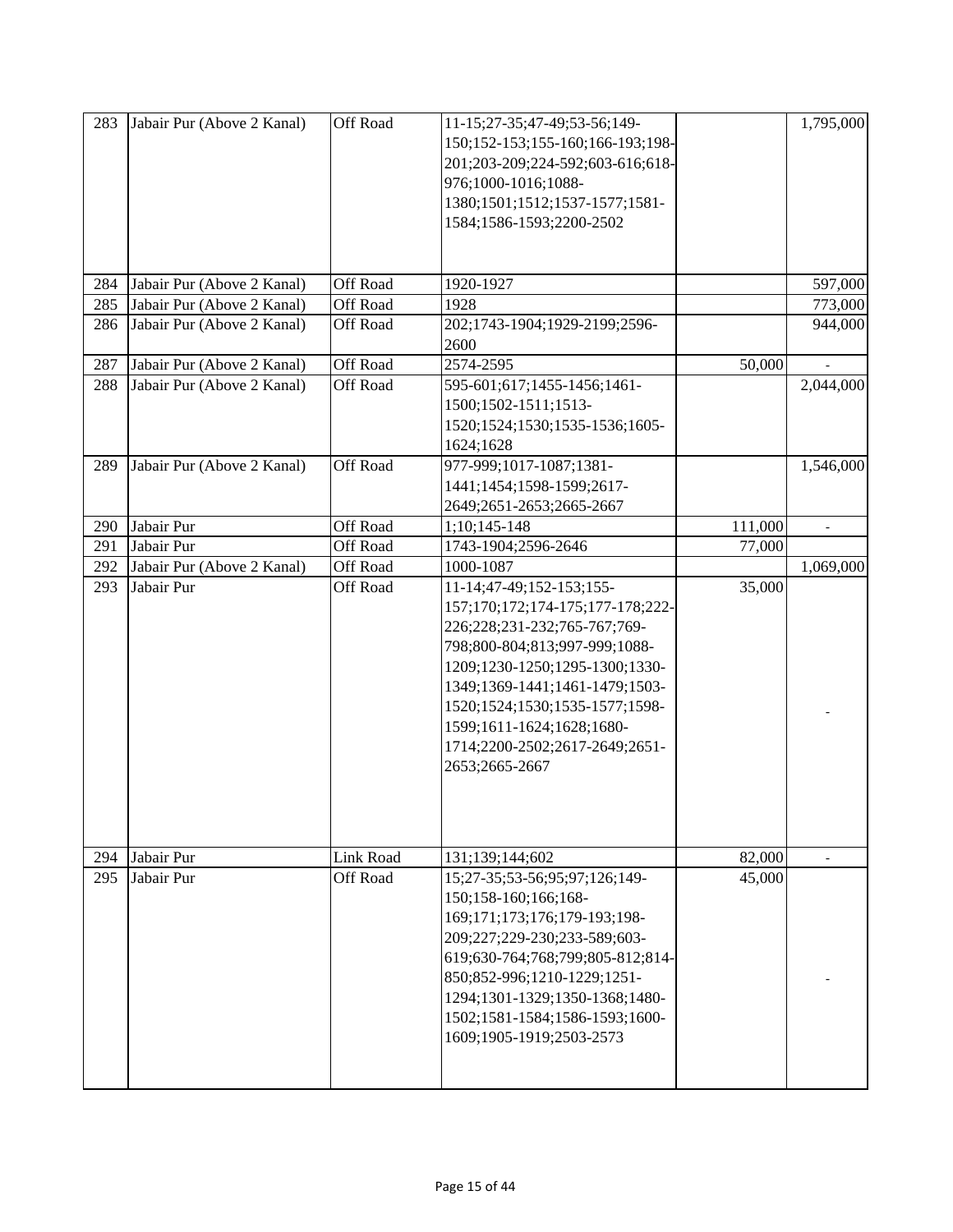| 283 | Jabair Pur (Above 2 Kanal) | Off Road        | 11-15;27-35;47-49;53-56;149-<br>150;152-153;155-160;166-193;198-<br>201;203-209;224-592;603-616;618-<br>976;1000-1016;1088-<br>1380;1501;1512;1537-1577;1581-<br>1584;1586-1593;2200-2502                                                                                                                            |         | 1,795,000                |
|-----|----------------------------|-----------------|----------------------------------------------------------------------------------------------------------------------------------------------------------------------------------------------------------------------------------------------------------------------------------------------------------------------|---------|--------------------------|
| 284 | Jabair Pur (Above 2 Kanal) | Off Road        | 1920-1927                                                                                                                                                                                                                                                                                                            |         | 597,000                  |
| 285 | Jabair Pur (Above 2 Kanal) | Off Road        | 1928                                                                                                                                                                                                                                                                                                                 |         | 773,000                  |
| 286 | Jabair Pur (Above 2 Kanal) | Off Road        | 202;1743-1904;1929-2199;2596-                                                                                                                                                                                                                                                                                        |         | 944,000                  |
|     |                            |                 | 2600                                                                                                                                                                                                                                                                                                                 |         |                          |
| 287 | Jabair Pur (Above 2 Kanal) | Off Road        | 2574-2595                                                                                                                                                                                                                                                                                                            | 50,000  |                          |
| 288 | Jabair Pur (Above 2 Kanal) | Off Road        | 595-601;617;1455-1456;1461-                                                                                                                                                                                                                                                                                          |         | 2,044,000                |
|     |                            |                 | 1500;1502-1511;1513-                                                                                                                                                                                                                                                                                                 |         |                          |
|     |                            |                 | 1520;1524;1530;1535-1536;1605-                                                                                                                                                                                                                                                                                       |         |                          |
|     |                            |                 | 1624;1628                                                                                                                                                                                                                                                                                                            |         |                          |
| 289 | Jabair Pur (Above 2 Kanal) | Off Road        | 977-999;1017-1087;1381-                                                                                                                                                                                                                                                                                              |         | 1,546,000                |
|     |                            |                 | 1441;1454;1598-1599;2617-                                                                                                                                                                                                                                                                                            |         |                          |
|     |                            |                 | 2649;2651-2653;2665-2667                                                                                                                                                                                                                                                                                             |         |                          |
| 290 | Jabair Pur                 | Off Road        | 1;10;145-148                                                                                                                                                                                                                                                                                                         | 111,000 | $\overline{\phantom{a}}$ |
| 291 | Jabair Pur                 | Off Road        | 1743-1904;2596-2646                                                                                                                                                                                                                                                                                                  | 77,000  |                          |
| 292 | Jabair Pur (Above 2 Kanal) | Off Road        | 1000-1087                                                                                                                                                                                                                                                                                                            |         | 1,069,000                |
| 293 | Jabair Pur                 | Off Road        | 11-14;47-49;152-153;155-<br>157;170;172;174-175;177-178;222-<br>226;228;231-232;765-767;769-<br>798;800-804;813;997-999;1088-<br>1209;1230-1250;1295-1300;1330-<br>1349;1369-1441;1461-1479;1503-<br>1520;1524;1530;1535-1577;1598-<br>1599;1611-1624;1628;1680-<br>1714;2200-2502;2617-2649;2651-<br>2653;2665-2667 | 35,000  |                          |
| 294 | Jabair Pur                 | Link Road       | 131;139;144;602                                                                                                                                                                                                                                                                                                      | 82,000  |                          |
| 295 | Jabair Pur                 | <b>Off Road</b> | 15;27-35;53-56;95;97;126;149-<br>150;158-160;166;168-<br>169;171;173;176;179-193;198-<br>209;227;229-230;233-589;603-<br>619;630-764;768;799;805-812;814-<br>850;852-996;1210-1229;1251-<br>1294;1301-1329;1350-1368;1480-<br>1502;1581-1584;1586-1593;1600-<br>1609;1905-1919;2503-2573                             | 45,000  |                          |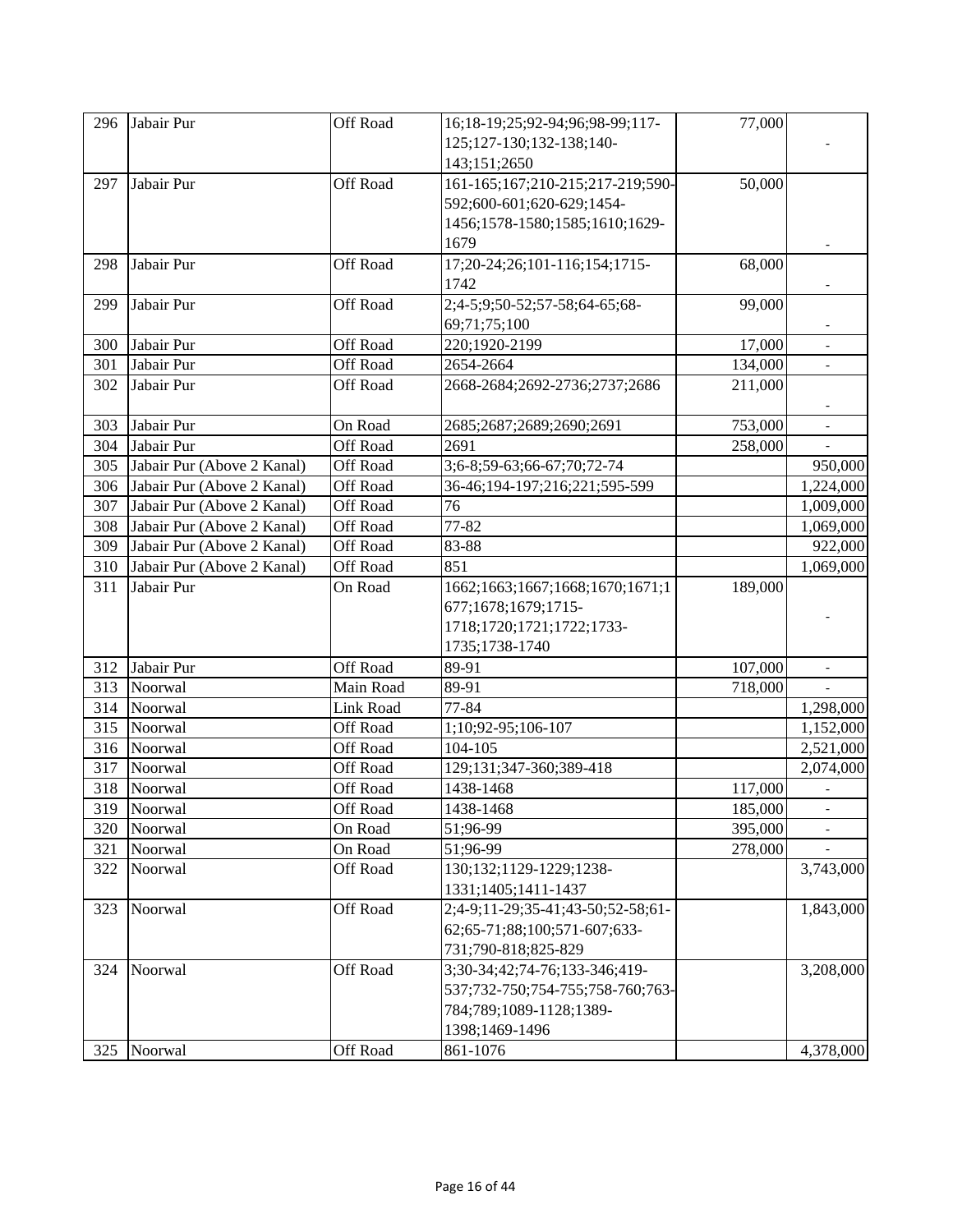| 296 | Jabair Pur                 | Off Road        | 16;18-19;25;92-94;96;98-99;117-   | 77,000  |                          |
|-----|----------------------------|-----------------|-----------------------------------|---------|--------------------------|
|     |                            |                 | 125;127-130;132-138;140-          |         |                          |
|     |                            |                 | 143;151;2650                      |         |                          |
| 297 | Jabair Pur                 | <b>Off Road</b> | 161-165;167;210-215;217-219;590-  | 50,000  |                          |
|     |                            |                 | 592;600-601;620-629;1454-         |         |                          |
|     |                            |                 | 1456;1578-1580;1585;1610;1629-    |         |                          |
|     |                            |                 | 1679                              |         |                          |
| 298 | Jabair Pur                 | Off Road        | 17;20-24;26;101-116;154;1715-     | 68,000  |                          |
|     |                            |                 | 1742                              |         |                          |
| 299 | Jabair Pur                 | <b>Off Road</b> | 2;4-5;9;50-52;57-58;64-65;68-     | 99,000  |                          |
|     |                            |                 | 69;71;75;100                      |         |                          |
| 300 | Jabair Pur                 | Off Road        | 220;1920-2199                     | 17,000  |                          |
| 301 | Jabair Pur                 | Off Road        | 2654-2664                         | 134,000 | $\overline{\phantom{a}}$ |
| 302 | Jabair Pur                 | Off Road        | 2668-2684;2692-2736;2737;2686     | 211,000 |                          |
|     |                            |                 |                                   |         |                          |
| 303 | Jabair Pur                 | On Road         | 2685;2687;2689;2690;2691          | 753,000 |                          |
| 304 | Jabair Pur                 | Off Road        | 2691                              | 258,000 |                          |
| 305 | Jabair Pur (Above 2 Kanal) | Off Road        | 3;6-8;59-63;66-67;70;72-74        |         | 950,000                  |
| 306 | Jabair Pur (Above 2 Kanal) | Off Road        | 36-46;194-197;216;221;595-599     |         | 1,224,000                |
| 307 | Jabair Pur (Above 2 Kanal) | Off Road        | 76                                |         | 1,009,000                |
| 308 | Jabair Pur (Above 2 Kanal) | Off Road        | 77-82                             |         | 1,069,000                |
| 309 | Jabair Pur (Above 2 Kanal) | Off Road        | 83-88                             |         | 922,000                  |
| 310 | Jabair Pur (Above 2 Kanal) | Off Road        | 851                               |         | 1,069,000                |
| 311 | Jabair Pur                 | On Road         | 1662;1663;1667;1668;1670;1671;1   | 189,000 |                          |
|     |                            |                 | 677;1678;1679;1715-               |         |                          |
|     |                            |                 | 1718;1720;1721;1722;1733-         |         |                          |
|     |                            |                 | 1735;1738-1740                    |         |                          |
| 312 | Jabair Pur                 | Off Road        | 89-91                             | 107,000 |                          |
| 313 | Noorwal                    | Main Road       | 89-91                             | 718,000 |                          |
| 314 | Noorwal                    | Link Road       | 77-84                             |         | 1,298,000                |
| 315 | Noorwal                    | Off Road        | 1;10;92-95;106-107                |         | 1,152,000                |
| 316 | Noorwal                    | Off Road        | 104-105                           |         | 2,521,000                |
| 317 | Noorwal                    | Off Road        | 129;131;347-360;389-418           |         | 2,074,000                |
| 318 | Noorwal                    | Off Road        | 1438-1468                         | 117,000 |                          |
|     | 319 Noorwal                | Off Road        | 1438-1468                         | 185,000 |                          |
| 320 | Noorwal                    | On Road         | 51;96-99                          | 395,000 |                          |
| 321 | Noorwal                    | On Road         | 51;96-99                          | 278,000 |                          |
| 322 | Noorwal                    | Off Road        | 130;132;1129-1229;1238-           |         | 3,743,000                |
|     |                            |                 | 1331;1405;1411-1437               |         |                          |
| 323 | Noorwal                    | Off Road        | 2;4-9;11-29;35-41;43-50;52-58;61- |         | 1,843,000                |
|     |                            |                 | 62;65-71;88;100;571-607;633-      |         |                          |
|     |                            |                 | 731;790-818;825-829               |         |                          |
| 324 | Noorwal                    | <b>Off Road</b> | 3;30-34;42;74-76;133-346;419-     |         | 3,208,000                |
|     |                            |                 | 537;732-750;754-755;758-760;763-  |         |                          |
|     |                            |                 | 784;789;1089-1128;1389-           |         |                          |
|     |                            |                 | 1398;1469-1496                    |         |                          |
| 325 | Noorwal                    | Off Road        | 861-1076                          |         | 4,378,000                |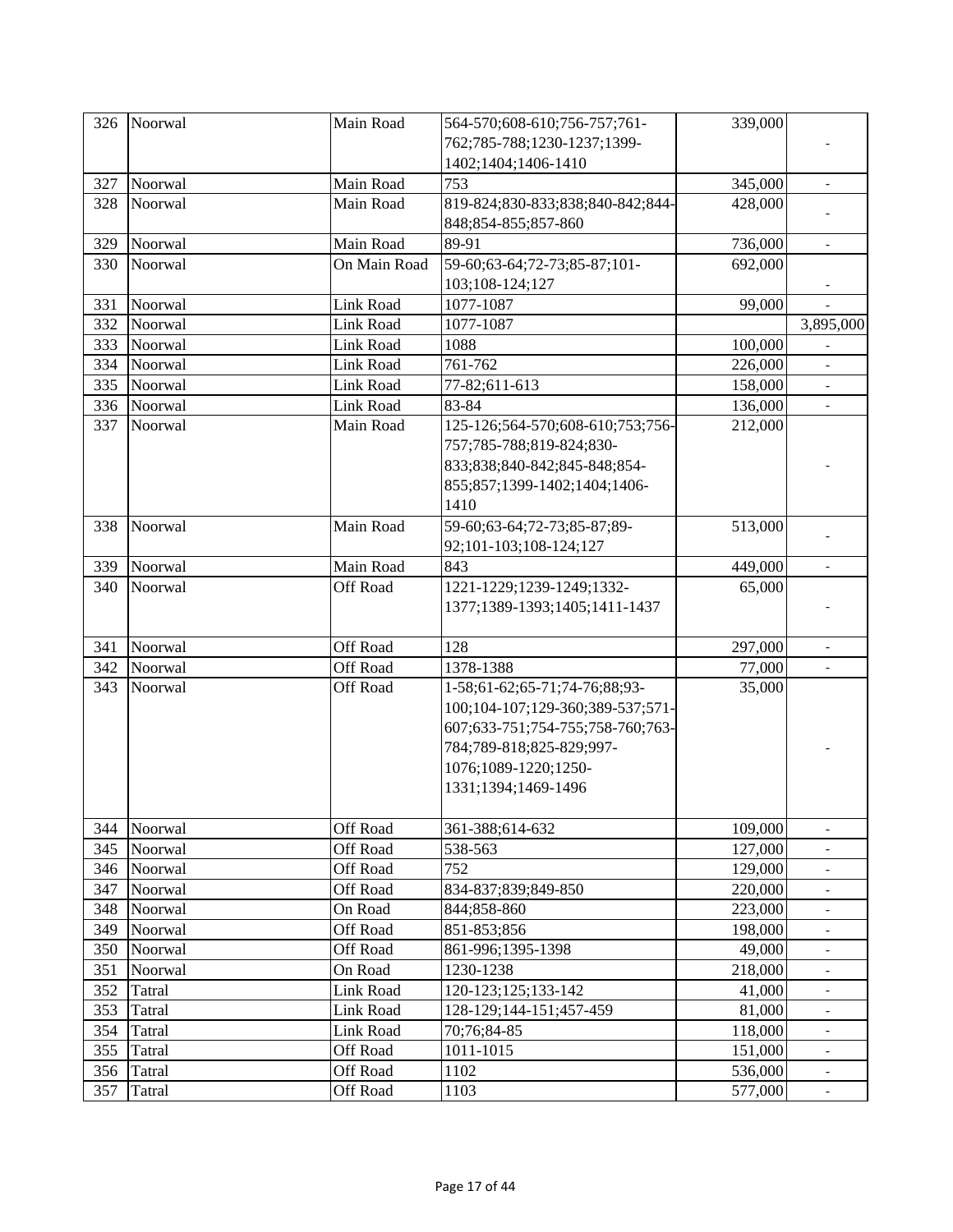| 326 | Noorwal | Main Road       | 564-570;608-610;756-757;761-     | 339,000 |                          |
|-----|---------|-----------------|----------------------------------|---------|--------------------------|
|     |         |                 | 762;785-788;1230-1237;1399-      |         |                          |
|     |         |                 | 1402;1404;1406-1410              |         |                          |
| 327 | Noorwal | Main Road       | 753                              | 345,000 |                          |
| 328 | Noorwal | Main Road       | 819-824;830-833;838;840-842;844- | 428,000 |                          |
|     |         |                 | 848;854-855;857-860              |         |                          |
| 329 | Noorwal | Main Road       | 89-91                            | 736,000 |                          |
| 330 | Noorwal | On Main Road    | 59-60;63-64;72-73;85-87;101-     | 692,000 |                          |
|     |         |                 | 103;108-124;127                  |         |                          |
| 331 | Noorwal | Link Road       | 1077-1087                        | 99,000  |                          |
| 332 | Noorwal | Link Road       | 1077-1087                        |         | 3,895,000                |
| 333 | Noorwal | Link Road       | 1088                             | 100,000 |                          |
| 334 | Noorwal | Link Road       | 761-762                          | 226,000 |                          |
| 335 | Noorwal | Link Road       | 77-82;611-613                    | 158,000 | $\blacksquare$           |
| 336 | Noorwal | Link Road       | 83-84                            | 136,000 | $\overline{a}$           |
| 337 | Noorwal | Main Road       | 125-126;564-570;608-610;753;756- | 212,000 |                          |
|     |         |                 | 757;785-788;819-824;830-         |         |                          |
|     |         |                 | 833;838;840-842;845-848;854-     |         |                          |
|     |         |                 | 855;857;1399-1402;1404;1406-     |         |                          |
|     |         |                 | 1410                             |         |                          |
| 338 | Noorwal | Main Road       | 59-60;63-64;72-73;85-87;89-      | 513,000 |                          |
|     |         |                 | 92;101-103;108-124;127           |         |                          |
| 339 | Noorwal | Main Road       | 843                              | 449,000 |                          |
| 340 | Noorwal | Off Road        | 1221-1229;1239-1249;1332-        | 65,000  |                          |
|     |         |                 | 1377;1389-1393;1405;1411-1437    |         |                          |
|     |         |                 |                                  |         |                          |
| 341 | Noorwal | Off Road        | 128                              | 297,000 | $\overline{\phantom{a}}$ |
| 342 | Noorwal | Off Road        | 1378-1388                        | 77,000  | $\overline{\phantom{a}}$ |
| 343 | Noorwal | Off Road        | 1-58;61-62;65-71;74-76;88;93-    | 35,000  |                          |
|     |         |                 | 100;104-107;129-360;389-537;571- |         |                          |
|     |         |                 | 607;633-751;754-755;758-760;763- |         |                          |
|     |         |                 | 784;789-818;825-829;997-         |         |                          |
|     |         |                 | 1076;1089-1220;1250-             |         |                          |
|     |         |                 | 1331;1394;1469-1496              |         |                          |
|     |         |                 |                                  |         |                          |
| 344 | Noorwal | Off Road        | 361-388;614-632                  | 109,000 |                          |
| 345 | Noorwal | Off Road        | 538-563                          | 127,000 |                          |
| 346 | Noorwal | <b>Off Road</b> | 752                              | 129,000 |                          |
| 347 | Noorwal | Off Road        | 834-837;839;849-850              | 220,000 | $\blacksquare$           |
| 348 | Noorwal | On Road         | 844;858-860                      | 223,000 | $\blacksquare$           |
| 349 | Noorwal | Off Road        | 851-853;856                      | 198,000 |                          |
| 350 | Noorwal | Off Road        | 861-996;1395-1398                | 49,000  |                          |
| 351 | Noorwal | On Road         | 1230-1238                        | 218,000 |                          |
| 352 | Tatral  | Link Road       | 120-123;125;133-142              | 41,000  |                          |
| 353 | Tatral  | Link Road       | 128-129;144-151;457-459          | 81,000  | $\overline{\phantom{a}}$ |
| 354 | Tatral  | Link Road       | 70;76;84-85                      | 118,000 | $\blacksquare$           |
| 355 | Tatral  | Off Road        | 1011-1015                        | 151,000 |                          |
| 356 | Tatral  | Off Road        | 1102                             | 536,000 |                          |
| 357 | Tatral  | Off Road        | 1103                             | 577,000 |                          |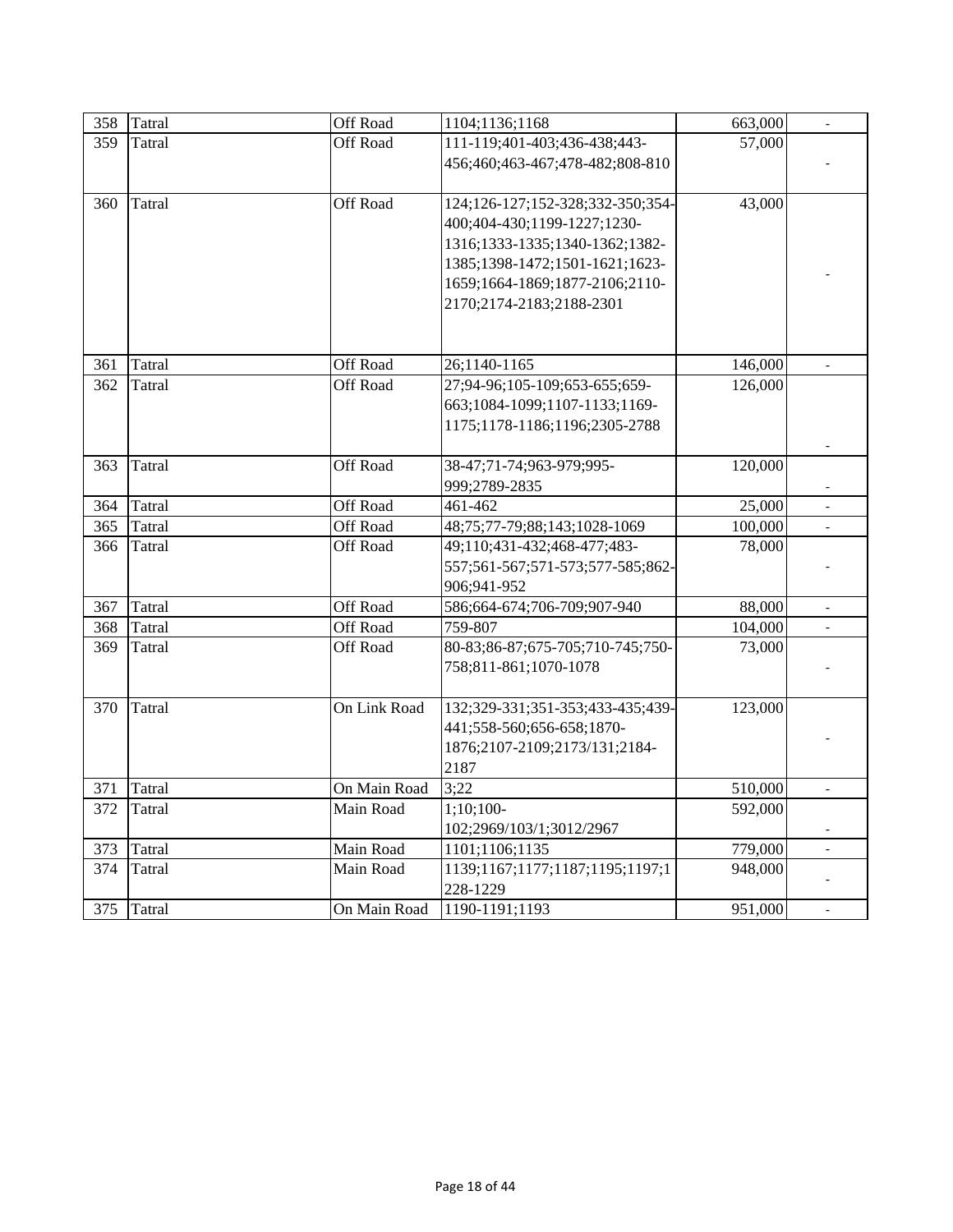| 358 | <b>Tatral</b>    | Off Road     | 1104;1136;1168                   | 663,000            |                          |
|-----|------------------|--------------|----------------------------------|--------------------|--------------------------|
|     |                  |              |                                  |                    |                          |
| 359 | Tatral           | Off Road     | 111-119;401-403;436-438;443-     | 57,000             |                          |
|     |                  |              | 456;460;463-467;478-482;808-810  |                    |                          |
| 360 | <b>Tatral</b>    | Off Road     | 124;126-127;152-328;332-350;354- | 43,000             |                          |
|     |                  |              | 400;404-430;1199-1227;1230-      |                    |                          |
|     |                  |              | 1316;1333-1335;1340-1362;1382-   |                    |                          |
|     |                  |              | 1385;1398-1472;1501-1621;1623-   |                    |                          |
|     |                  |              | 1659;1664-1869;1877-2106;2110-   |                    |                          |
|     |                  |              | 2170;2174-2183;2188-2301         |                    |                          |
|     |                  |              |                                  |                    |                          |
|     |                  | Off Road     | 26;1140-1165                     |                    |                          |
| 361 | Tatral<br>Tatral | Off Road     | 27;94-96;105-109;653-655;659-    | 146,000<br>126,000 |                          |
| 362 |                  |              |                                  |                    |                          |
|     |                  |              | 663;1084-1099;1107-1133;1169-    |                    |                          |
|     |                  |              | 1175;1178-1186;1196;2305-2788    |                    |                          |
| 363 | Tatral           | Off Road     | 38-47;71-74;963-979;995-         | 120,000            |                          |
|     |                  |              | 999;2789-2835                    |                    |                          |
| 364 | <b>Tatral</b>    | Off Road     | 461-462                          | 25,000             |                          |
| 365 | Tatral           | Off Road     | 48;75;77-79;88;143;1028-1069     | 100,000            | $\blacksquare$           |
| 366 | Tatral           | Off Road     | 49;110;431-432;468-477;483-      | 78,000             |                          |
|     |                  |              | 557;561-567;571-573;577-585;862- |                    |                          |
|     |                  |              | 906;941-952                      |                    |                          |
| 367 | Tatral           | Off Road     | 586;664-674;706-709;907-940      | 88,000             | $\overline{\phantom{a}}$ |
| 368 | Tatral           | Off Road     | 759-807                          | 104,000            |                          |
| 369 | Tatral           | Off Road     | 80-83;86-87;675-705;710-745;750- | 73,000             |                          |
|     |                  |              | 758;811-861;1070-1078            |                    |                          |
|     |                  |              |                                  |                    |                          |
| 370 | Tatral           | On Link Road | 132;329-331;351-353;433-435;439- | 123,000            |                          |
|     |                  |              | 441;558-560;656-658;1870-        |                    |                          |
|     |                  |              | 1876;2107-2109;2173/131;2184-    |                    |                          |
|     |                  |              | 2187                             |                    |                          |
| 371 | <b>Tatral</b>    | On Main Road | 3:22                             | 510,000            |                          |
| 372 | Tatral           | Main Road    | $1:10:100-$                      | 592,000            |                          |
|     |                  |              | 102;2969/103/1;3012/2967         |                    |                          |
| 373 | Tatral           | Main Road    | 1101;1106;1135                   | 779,000            | $\overline{a}$           |
| 374 | Tatral           | Main Road    | 1139;1167;1177;1187;1195;1197;1  | 948,000            |                          |
|     |                  |              | 228-1229                         |                    |                          |
| 375 | Tatral           | On Main Road | 1190-1191;1193                   | 951,000            |                          |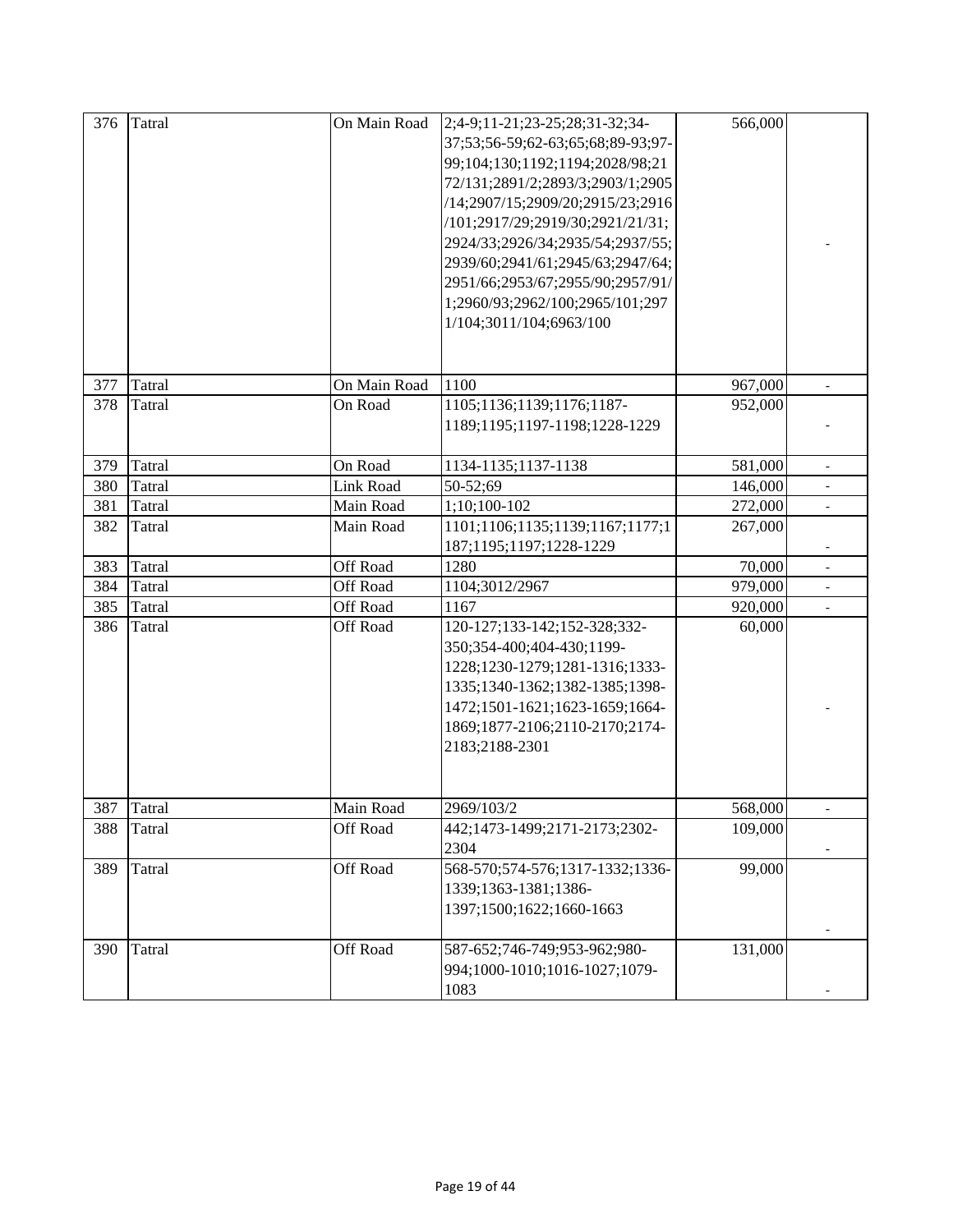| 376 | <b>Tatral</b> | On Main Road    | 2;4-9;11-21;23-25;28;31-32;34-<br>37;53;56-59;62-63;65;68;89-93;97-<br>99;104;130;1192;1194;2028/98;21<br>72/131;2891/2;2893/3;2903/1;2905<br>/14;2907/15;2909/20;2915/23;2916<br>/101;2917/29;2919/30;2921/21/31;<br>2924/33;2926/34;2935/54;2937/55;<br>2939/60;2941/61;2945/63;2947/64;<br>2951/66;2953/67;2955/90;2957/91/<br>1;2960/93;2962/100;2965/101;297<br>1/104;3011/104;6963/100 | 566,000 |                          |
|-----|---------------|-----------------|----------------------------------------------------------------------------------------------------------------------------------------------------------------------------------------------------------------------------------------------------------------------------------------------------------------------------------------------------------------------------------------------|---------|--------------------------|
| 377 | Tatral        | On Main Road    | 1100                                                                                                                                                                                                                                                                                                                                                                                         | 967,000 |                          |
| 378 | Tatral        | On Road         | 1105;1136;1139;1176;1187-<br>1189;1195;1197-1198;1228-1229                                                                                                                                                                                                                                                                                                                                   | 952,000 |                          |
| 379 | Tatral        | On Road         | 1134-1135;1137-1138                                                                                                                                                                                                                                                                                                                                                                          | 581,000 |                          |
| 380 | Tatral        | Link Road       | 50-52;69                                                                                                                                                                                                                                                                                                                                                                                     | 146,000 | $\overline{\phantom{a}}$ |
| 381 | Tatral        | Main Road       | 1;10;100-102                                                                                                                                                                                                                                                                                                                                                                                 | 272,000 | $\overline{\phantom{0}}$ |
| 382 | Tatral        | Main Road       | 1101;1106;1135;1139;1167;1177;1<br>187;1195;1197;1228-1229                                                                                                                                                                                                                                                                                                                                   | 267,000 |                          |
| 383 | Tatral        | Off Road        | 1280                                                                                                                                                                                                                                                                                                                                                                                         | 70,000  |                          |
| 384 | Tatral        | <b>Off Road</b> | 1104;3012/2967                                                                                                                                                                                                                                                                                                                                                                               | 979,000 |                          |
| 385 | <b>Tatral</b> | Off Road        | 1167                                                                                                                                                                                                                                                                                                                                                                                         | 920,000 | $\blacksquare$           |
| 386 | Tatral        | Off Road        | 120-127;133-142;152-328;332-<br>350;354-400;404-430;1199-<br>1228;1230-1279;1281-1316;1333-<br>1335;1340-1362;1382-1385;1398-<br>1472;1501-1621;1623-1659;1664-<br>1869;1877-2106;2110-2170;2174-<br>2183;2188-2301                                                                                                                                                                          | 60,000  |                          |
|     | 387 Tatral    | Main Road       | 2969/103/2                                                                                                                                                                                                                                                                                                                                                                                   | 568,000 |                          |
| 388 | Tatral        | Off Road        | 442;1473-1499;2171-2173;2302-<br>2304                                                                                                                                                                                                                                                                                                                                                        | 109,000 |                          |
| 389 | Tatral        | Off Road        | 568-570;574-576;1317-1332;1336-<br>1339;1363-1381;1386-<br>1397;1500;1622;1660-1663                                                                                                                                                                                                                                                                                                          | 99,000  |                          |
| 390 | Tatral        | Off Road        | 587-652;746-749;953-962;980-<br>994;1000-1010;1016-1027;1079-<br>1083                                                                                                                                                                                                                                                                                                                        | 131,000 |                          |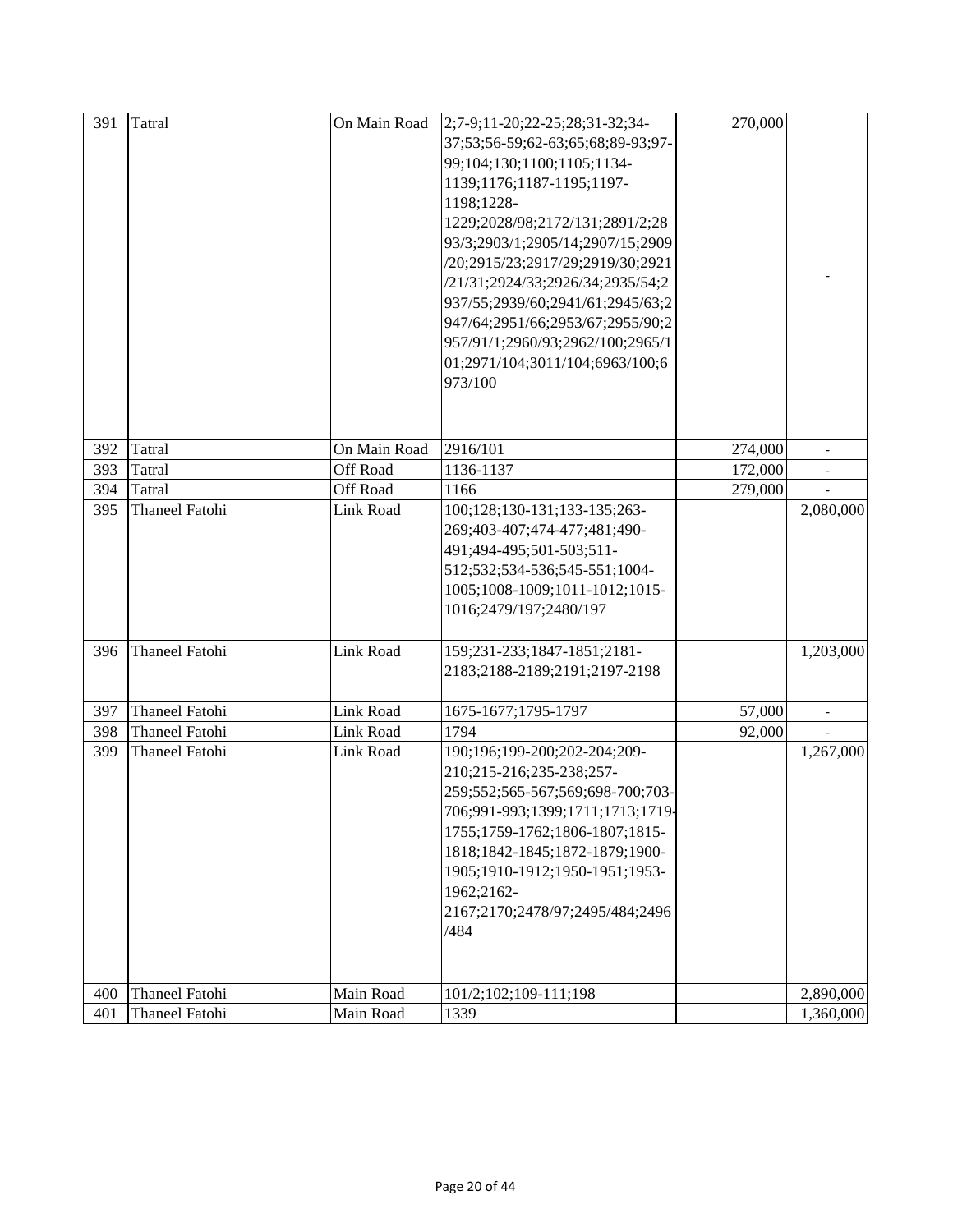| 391 | Tatral                | On Main Road | $2;7-9;11-20;22-25;28;31-32;34-$  | 270,000 |                          |
|-----|-----------------------|--------------|-----------------------------------|---------|--------------------------|
|     |                       |              | 37;53;56-59;62-63;65;68;89-93;97- |         |                          |
|     |                       |              | 99;104;130;1100;1105;1134-        |         |                          |
|     |                       |              | 1139;1176;1187-1195;1197-         |         |                          |
|     |                       |              | 1198;1228-                        |         |                          |
|     |                       |              | 1229;2028/98;2172/131;2891/2;28   |         |                          |
|     |                       |              | 93/3;2903/1;2905/14;2907/15;2909  |         |                          |
|     |                       |              | /20;2915/23;2917/29;2919/30;2921  |         |                          |
|     |                       |              | /21/31;2924/33;2926/34;2935/54;2  |         |                          |
|     |                       |              | 937/55;2939/60;2941/61;2945/63;2  |         |                          |
|     |                       |              | 947/64;2951/66;2953/67;2955/90;2  |         |                          |
|     |                       |              | 957/91/1;2960/93;2962/100;2965/1  |         |                          |
|     |                       |              | 01;2971/104;3011/104;6963/100;6   |         |                          |
|     |                       |              | 973/100                           |         |                          |
|     |                       |              |                                   |         |                          |
|     |                       |              |                                   |         |                          |
| 392 | Tatral                | On Main Road | 2916/101                          | 274,000 | $\overline{\phantom{a}}$ |
| 393 | Tatral                | Off Road     | 1136-1137                         | 172,000 |                          |
| 394 | Tatral                | Off Road     | 1166                              | 279,000 |                          |
| 395 | <b>Thaneel Fatohi</b> | Link Road    | 100;128;130-131;133-135;263-      |         | 2,080,000                |
|     |                       |              | 269;403-407;474-477;481;490-      |         |                          |
|     |                       |              | 491;494-495;501-503;511-          |         |                          |
|     |                       |              | 512;532;534-536;545-551;1004-     |         |                          |
|     |                       |              | 1005;1008-1009;1011-1012;1015-    |         |                          |
|     |                       |              | 1016;2479/197;2480/197            |         |                          |
|     |                       |              |                                   |         |                          |
| 396 | Thaneel Fatohi        | Link Road    | 159;231-233;1847-1851;2181-       |         | 1,203,000                |
|     |                       |              | 2183;2188-2189;2191;2197-2198     |         |                          |
| 397 | <b>Thaneel Fatohi</b> | Link Road    | 1675-1677;1795-1797               | 57,000  | $\blacksquare$           |
| 398 | <b>Thaneel Fatohi</b> | Link Road    | 1794                              | 92,000  |                          |
| 399 | <b>Thaneel Fatohi</b> | Link Road    | 190;196;199-200;202-204;209-      |         | 1,267,000                |
|     |                       |              | 210;215-216;235-238;257-          |         |                          |
|     |                       |              | 259;552;565-567;569;698-700;703-  |         |                          |
|     |                       |              | 706;991-993;1399;1711;1713;1719-  |         |                          |
|     |                       |              | 1755;1759-1762;1806-1807;1815-    |         |                          |
|     |                       |              | 1818;1842-1845;1872-1879;1900-    |         |                          |
|     |                       |              | 1905;1910-1912;1950-1951;1953-    |         |                          |
|     |                       |              | 1962;2162-                        |         |                          |
|     |                       |              | 2167;2170;2478/97;2495/484;2496   |         |                          |
|     |                       |              | /484                              |         |                          |
|     |                       |              |                                   |         |                          |
|     |                       |              |                                   |         |                          |
| 400 | <b>Thaneel Fatohi</b> | Main Road    | 101/2;102;109-111;198             |         | 2,890,000                |
| 401 | <b>Thaneel Fatohi</b> | Main Road    | 1339                              |         | 1,360,000                |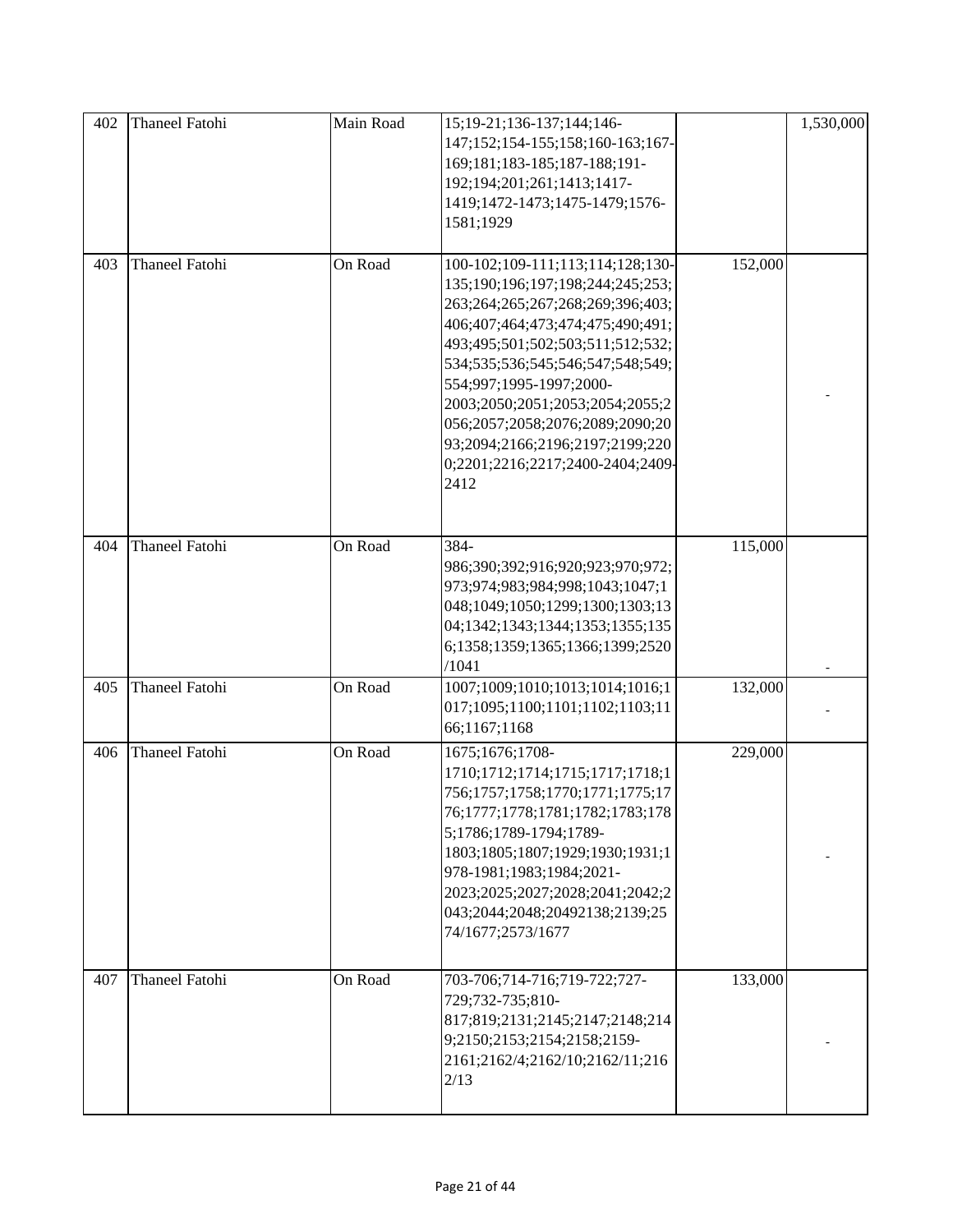| 402 | <b>Thaneel Fatohi</b> | Main Road | 15;19-21;136-137;144;146-<br>147;152;154-155;158;160-163;167-<br>169;181;183-185;187-188;191-<br>192;194;201;261;1413;1417-<br>1419;1472-1473;1475-1479;1576-<br>1581;1929                                                                                                                                                                                                                           |         | 1,530,000 |
|-----|-----------------------|-----------|------------------------------------------------------------------------------------------------------------------------------------------------------------------------------------------------------------------------------------------------------------------------------------------------------------------------------------------------------------------------------------------------------|---------|-----------|
| 403 | <b>Thaneel Fatohi</b> | On Road   | 100-102;109-111;113;114;128;130-<br>135;190;196;197;198;244;245;253;<br>263;264;265;267;268;269;396;403;<br>406;407;464;473;474;475;490;491;<br>493;495;501;502;503;511;512;532;<br>534;535;536;545;546;547;548;549;<br>554;997;1995-1997;2000-<br>2003;2050;2051;2053;2054;2055;2<br>056;2057;2058;2076;2089;2090;20<br>93;2094;2166;2196;2197;2199;220<br>0;2201;2216;2217;2400-2404;2409-<br>2412 | 152,000 |           |
| 404 | <b>Thaneel Fatohi</b> | On Road   | 384-<br>986;390;392;916;920;923;970;972;<br>973;974;983;984;998;1043;1047;1<br>048;1049;1050;1299;1300;1303;13<br>04;1342;1343;1344;1353;1355;135<br>6;1358;1359;1365;1366;1399;2520<br>/1041                                                                                                                                                                                                        | 115,000 |           |
| 405 | <b>Thaneel Fatohi</b> | On Road   | 1007;1009;1010;1013;1014;1016;1<br>017;1095;1100;1101;1102;1103;11<br>66;1167;1168                                                                                                                                                                                                                                                                                                                   | 132,000 |           |
| 406 | <b>Thaneel Fatohi</b> | On Road   | 1675;1676;1708-<br>1710;1712;1714;1715;1717;1718;1<br>756;1757;1758;1770;1771;1775;17<br>76;1777;1778;1781;1782;1783;178<br>5;1786;1789-1794;1789-<br>1803;1805;1807;1929;1930;1931;1<br>978-1981;1983;1984;2021-<br>2023;2025;2027;2028;2041;2042;2<br>043;2044;2048;20492138;2139;25<br>74/1677;2573/1677                                                                                          | 229,000 |           |
| 407 | <b>Thaneel Fatohi</b> | On Road   | 703-706;714-716;719-722;727-<br>729;732-735;810-<br>817;819;2131;2145;2147;2148;214<br>9;2150;2153;2154;2158;2159-<br>2161;2162/4;2162/10;2162/11;216<br>2/13                                                                                                                                                                                                                                        | 133,000 |           |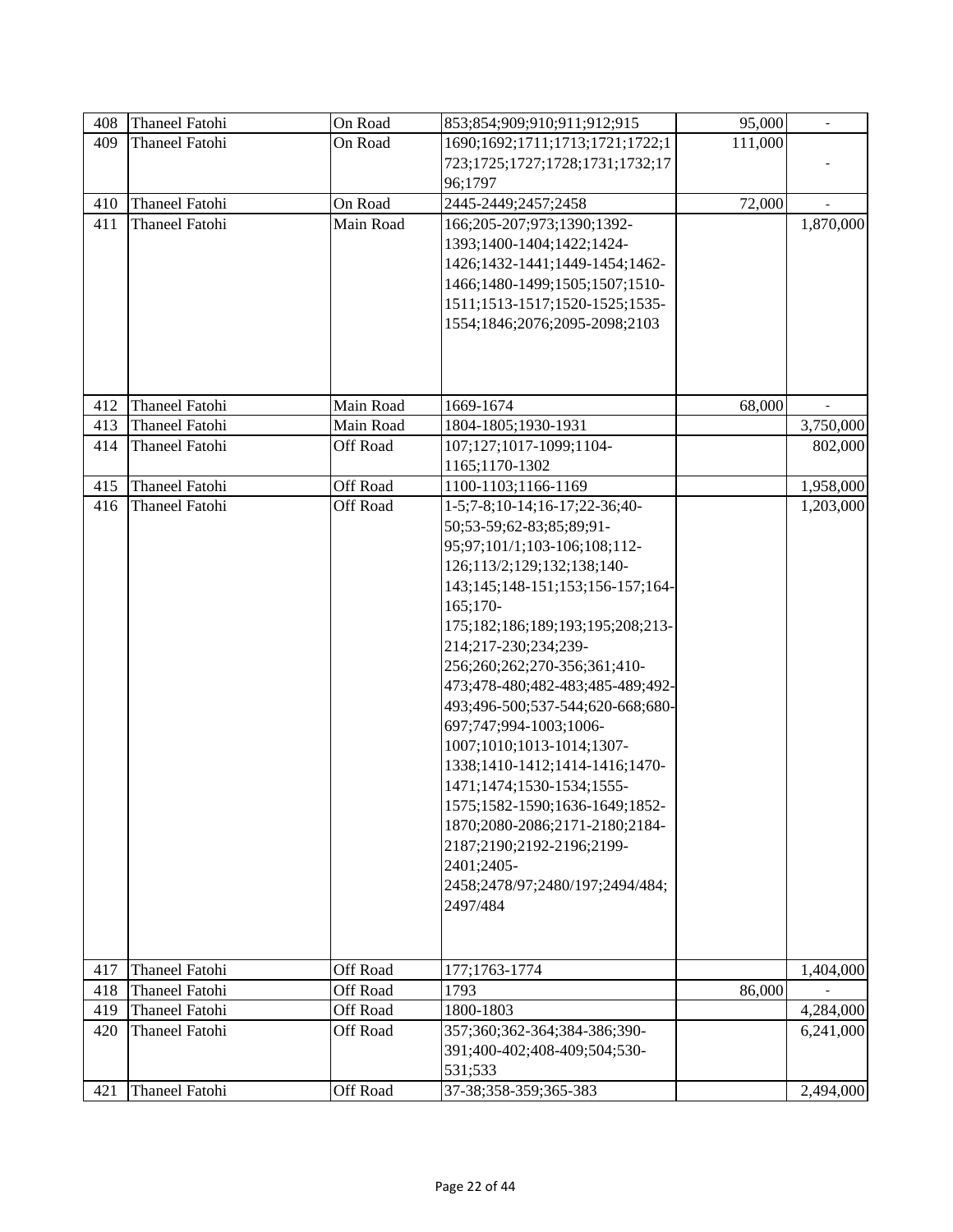| 408 | <b>Thaneel Fatohi</b> | On Road   | 853;854;909;910;911;912;915      | 95,000  | $\overline{\phantom{a}}$ |
|-----|-----------------------|-----------|----------------------------------|---------|--------------------------|
| 409 | <b>Thaneel Fatohi</b> | On Road   | 1690;1692;1711;1713;1721;1722;1  | 111,000 |                          |
|     |                       |           | 723;1725;1727;1728;1731;1732;17  |         |                          |
|     |                       |           | 96;1797                          |         |                          |
| 410 | Thaneel Fatohi        | On Road   | 2445-2449;2457;2458              | 72,000  |                          |
| 411 | <b>Thaneel Fatohi</b> | Main Road | 166;205-207;973;1390;1392-       |         | 1,870,000                |
|     |                       |           | 1393;1400-1404;1422;1424-        |         |                          |
|     |                       |           | 1426;1432-1441;1449-1454;1462-   |         |                          |
|     |                       |           | 1466;1480-1499;1505;1507;1510-   |         |                          |
|     |                       |           | 1511;1513-1517;1520-1525;1535-   |         |                          |
|     |                       |           | 1554;1846;2076;2095-2098;2103    |         |                          |
|     |                       |           |                                  |         |                          |
|     |                       |           |                                  |         |                          |
|     |                       |           |                                  |         |                          |
| 412 | <b>Thaneel Fatohi</b> | Main Road | 1669-1674                        | 68,000  |                          |
| 413 | <b>Thaneel Fatohi</b> | Main Road | 1804-1805;1930-1931              |         | 3,750,000                |
| 414 | Thaneel Fatohi        | Off Road  | 107;127;1017-1099;1104-          |         | 802,000                  |
|     |                       |           | 1165;1170-1302                   |         |                          |
| 415 | <b>Thaneel Fatohi</b> | Off Road  | 1100-1103;1166-1169              |         | 1,958,000                |
| 416 | <b>Thaneel Fatohi</b> | Off Road  | 1-5;7-8;10-14;16-17;22-36;40-    |         | 1,203,000                |
|     |                       |           | 50;53-59;62-83;85;89;91-         |         |                          |
|     |                       |           | 95;97;101/1;103-106;108;112-     |         |                          |
|     |                       |           | 126;113/2;129;132;138;140-       |         |                          |
|     |                       |           | 143;145;148-151;153;156-157;164- |         |                          |
|     |                       |           | 165;170-                         |         |                          |
|     |                       |           | 175;182;186;189;193;195;208;213- |         |                          |
|     |                       |           | 214;217-230;234;239-             |         |                          |
|     |                       |           | 256;260;262;270-356;361;410-     |         |                          |
|     |                       |           | 473;478-480;482-483;485-489;492- |         |                          |
|     |                       |           | 493;496-500;537-544;620-668;680- |         |                          |
|     |                       |           | 697;747;994-1003;1006-           |         |                          |
|     |                       |           | 1007;1010;1013-1014;1307-        |         |                          |
|     |                       |           | 1338;1410-1412;1414-1416;1470-   |         |                          |
|     |                       |           | 1471;1474;1530-1534;1555-        |         |                          |
|     |                       |           | 1575;1582-1590;1636-1649;1852-   |         |                          |
|     |                       |           | 1870;2080-2086;2171-2180;2184-   |         |                          |
|     |                       |           | 2187;2190;2192-2196;2199-        |         |                          |
|     |                       |           | 2401;2405-                       |         |                          |
|     |                       |           | 2458;2478/97;2480/197;2494/484;  |         |                          |
|     |                       |           | 2497/484                         |         |                          |
|     |                       |           |                                  |         |                          |
|     |                       |           |                                  |         |                          |
| 417 | Thaneel Fatohi        | Off Road  | 177;1763-1774                    |         | 1,404,000                |
| 418 | <b>Thaneel Fatohi</b> | Off Road  | 1793                             | 86,000  |                          |
| 419 | <b>Thaneel Fatohi</b> | Off Road  | 1800-1803                        |         | 4,284,000                |
| 420 | <b>Thaneel Fatohi</b> | Off Road  | 357;360;362-364;384-386;390-     |         | 6,241,000                |
|     |                       |           | 391;400-402;408-409;504;530-     |         |                          |
|     |                       |           | 531;533                          |         |                          |
| 421 | Thaneel Fatohi        | Off Road  | 37-38;358-359;365-383            |         | 2,494,000                |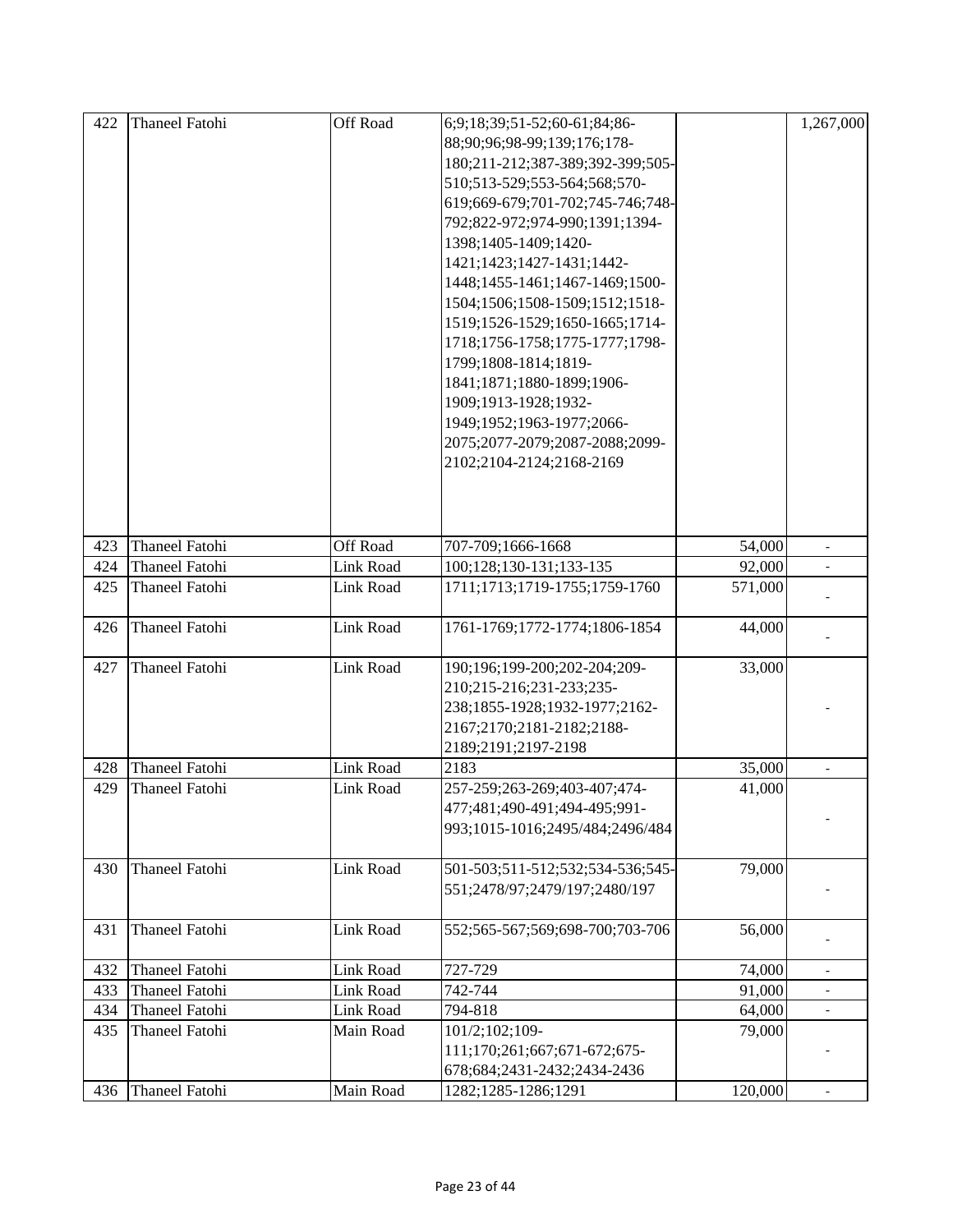| 422 | <b>Thaneel Fatohi</b> | Off Road         | 6;9;18;39;51-52;60-61;84;86-     |         | 1,267,000                    |
|-----|-----------------------|------------------|----------------------------------|---------|------------------------------|
|     |                       |                  | 88;90;96;98-99;139;176;178-      |         |                              |
|     |                       |                  | 180;211-212;387-389;392-399;505- |         |                              |
|     |                       |                  | 510;513-529;553-564;568;570-     |         |                              |
|     |                       |                  | 619;669-679;701-702;745-746;748- |         |                              |
|     |                       |                  | 792;822-972;974-990;1391;1394-   |         |                              |
|     |                       |                  | 1398;1405-1409;1420-             |         |                              |
|     |                       |                  | 1421;1423;1427-1431;1442-        |         |                              |
|     |                       |                  | 1448;1455-1461;1467-1469;1500-   |         |                              |
|     |                       |                  | 1504;1506;1508-1509;1512;1518-   |         |                              |
|     |                       |                  | 1519;1526-1529;1650-1665;1714-   |         |                              |
|     |                       |                  | 1718;1756-1758;1775-1777;1798-   |         |                              |
|     |                       |                  | 1799;1808-1814;1819-             |         |                              |
|     |                       |                  | 1841;1871;1880-1899;1906-        |         |                              |
|     |                       |                  | 1909;1913-1928;1932-             |         |                              |
|     |                       |                  | 1949;1952;1963-1977;2066-        |         |                              |
|     |                       |                  | 2075;2077-2079;2087-2088;2099-   |         |                              |
|     |                       |                  | 2102;2104-2124;2168-2169         |         |                              |
|     |                       |                  |                                  |         |                              |
|     |                       |                  |                                  |         |                              |
|     |                       |                  |                                  |         |                              |
| 423 | <b>Thaneel Fatohi</b> | Off Road         | 707-709;1666-1668                | 54,000  | $\frac{1}{2}$                |
| 424 | <b>Thaneel Fatohi</b> | <b>Link Road</b> | 100;128;130-131;133-135          | 92,000  |                              |
| 425 | Thaneel Fatohi        | Link Road        | 1711;1713;1719-1755;1759-1760    | 571,000 |                              |
|     |                       |                  |                                  |         |                              |
| 426 | Thaneel Fatohi        | Link Road        | 1761-1769;1772-1774;1806-1854    | 44,000  |                              |
|     |                       |                  |                                  |         |                              |
| 427 | <b>Thaneel Fatohi</b> | Link Road        | 190;196;199-200;202-204;209-     | 33,000  |                              |
|     |                       |                  | 210;215-216;231-233;235-         |         |                              |
|     |                       |                  | 238;1855-1928;1932-1977;2162-    |         |                              |
|     |                       |                  | 2167;2170;2181-2182;2188-        |         |                              |
|     |                       |                  | 2189;2191;2197-2198              |         |                              |
| 428 | <b>Thaneel Fatohi</b> | <b>Link Road</b> | 2183                             | 35,000  | $\qquad \qquad \blacksquare$ |
| 429 | <b>Thaneel Fatohi</b> | Link Road        | 257-259;263-269;403-407;474-     | 41,000  |                              |
|     |                       |                  | 477;481;490-491;494-495;991-     |         |                              |
|     |                       |                  | 993;1015-1016;2495/484;2496/484  |         |                              |
|     |                       |                  |                                  |         |                              |
| 430 | Thaneel Fatohi        | Link Road        | 501-503;511-512;532;534-536;545- | 79,000  |                              |
|     |                       |                  | 551;2478/97;2479/197;2480/197    |         |                              |
|     |                       |                  |                                  |         |                              |
| 431 | <b>Thaneel Fatohi</b> | Link Road        | 552;565-567;569;698-700;703-706  | 56,000  |                              |
|     |                       |                  |                                  |         |                              |
| 432 | <b>Thaneel Fatohi</b> | Link Road        | 727-729                          | 74,000  |                              |
| 433 | <b>Thaneel Fatohi</b> | <b>Link Road</b> | 742-744                          | 91,000  |                              |
| 434 | <b>Thaneel Fatohi</b> | Link Road        | 794-818                          | 64,000  | $\overline{\phantom{a}}$     |
| 435 | Thaneel Fatohi        | Main Road        | 101/2;102;109-                   | 79,000  |                              |
|     |                       |                  | 111;170;261;667;671-672;675-     |         |                              |
|     |                       |                  | 678;684;2431-2432;2434-2436      |         |                              |
| 436 | Thaneel Fatohi        | Main Road        | 1282;1285-1286;1291              | 120,000 |                              |
|     |                       |                  |                                  |         |                              |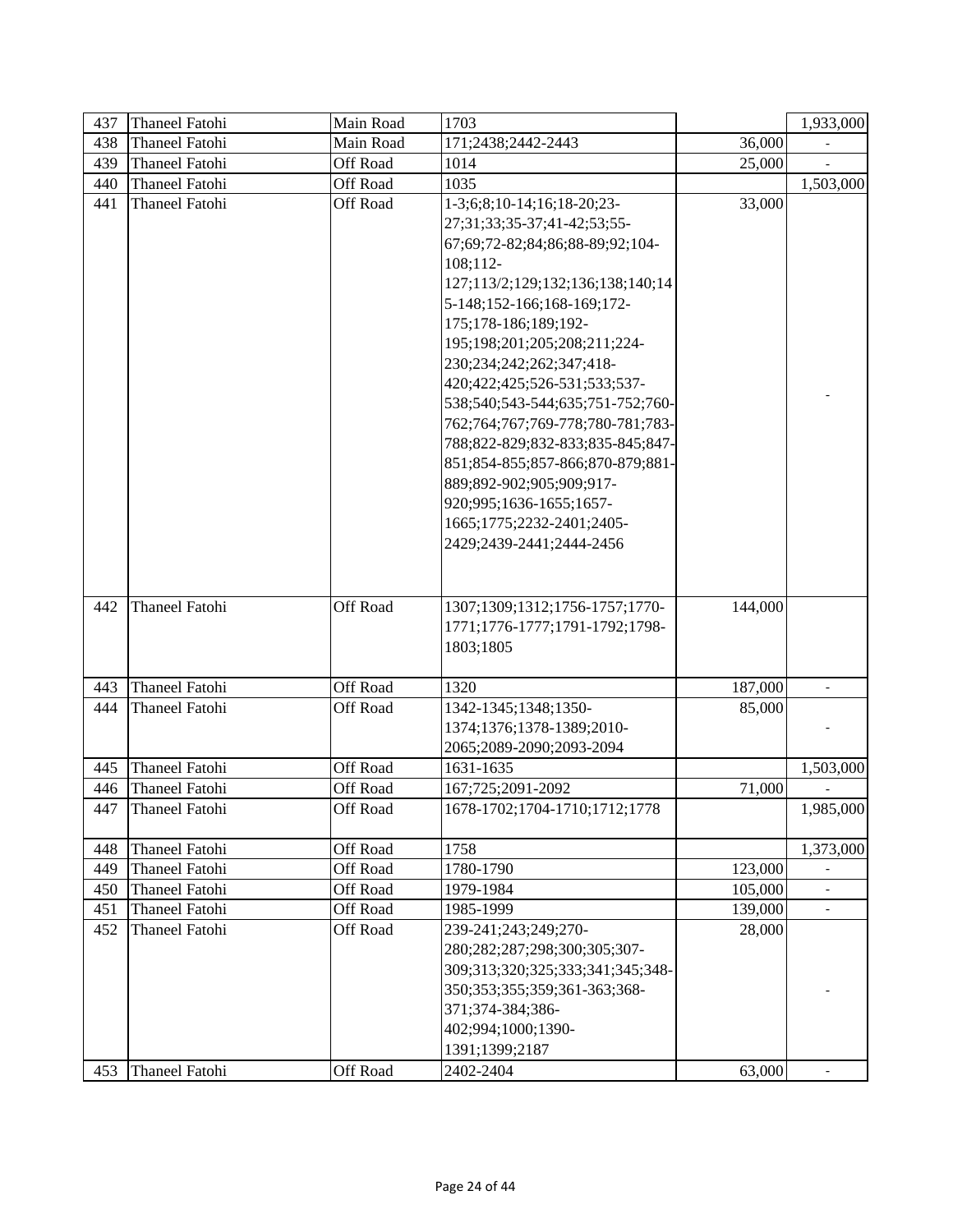| 437 | <b>Thaneel Fatohi</b> | Main Road       | 1703                                                                                                                                                                                                                                                                                                                                                                                                                                                                                                                                                           |         | 1,933,000                |
|-----|-----------------------|-----------------|----------------------------------------------------------------------------------------------------------------------------------------------------------------------------------------------------------------------------------------------------------------------------------------------------------------------------------------------------------------------------------------------------------------------------------------------------------------------------------------------------------------------------------------------------------------|---------|--------------------------|
| 438 | <b>Thaneel Fatohi</b> | Main Road       | 171;2438;2442-2443                                                                                                                                                                                                                                                                                                                                                                                                                                                                                                                                             | 36,000  |                          |
| 439 | <b>Thaneel Fatohi</b> | Off Road        | 1014                                                                                                                                                                                                                                                                                                                                                                                                                                                                                                                                                           | 25,000  |                          |
| 440 | <b>Thaneel Fatohi</b> | Off Road        | 1035                                                                                                                                                                                                                                                                                                                                                                                                                                                                                                                                                           |         | 1,503,000                |
| 441 | <b>Thaneel Fatohi</b> | <b>Off Road</b> | 1-3;6;8;10-14;16;18-20;23-<br>27;31;33;35-37;41-42;53;55-<br>67;69;72-82;84;86;88-89;92;104-<br>108;112-<br>127;113/2;129;132;136;138;140;14<br>5-148;152-166;168-169;172-<br>175;178-186;189;192-<br>195;198;201;205;208;211;224-<br>230;234;242;262;347;418-<br>420;422;425;526-531;533;537-<br>538;540;543-544;635;751-752;760-<br>762;764;767;769-778;780-781;783-<br>788;822-829;832-833;835-845;847-<br>851;854-855;857-866;870-879;881-<br>889;892-902;905;909;917-<br>920;995;1636-1655;1657-<br>1665;1775;2232-2401;2405-<br>2429;2439-2441;2444-2456 | 33,000  |                          |
| 442 | <b>Thaneel Fatohi</b> | Off Road        | 1307;1309;1312;1756-1757;1770-<br>1771;1776-1777;1791-1792;1798-<br>1803;1805                                                                                                                                                                                                                                                                                                                                                                                                                                                                                  | 144,000 |                          |
| 443 | <b>Thaneel Fatohi</b> | Off Road        | 1320                                                                                                                                                                                                                                                                                                                                                                                                                                                                                                                                                           | 187,000 |                          |
| 444 | <b>Thaneel Fatohi</b> | Off Road        | 1342-1345;1348;1350-<br>1374;1376;1378-1389;2010-<br>2065;2089-2090;2093-2094                                                                                                                                                                                                                                                                                                                                                                                                                                                                                  | 85,000  |                          |
| 445 | Thaneel Fatohi        | Off Road        | 1631-1635                                                                                                                                                                                                                                                                                                                                                                                                                                                                                                                                                      |         | 1,503,000                |
| 446 | <b>Thaneel Fatohi</b> | Off Road        | 167;725;2091-2092                                                                                                                                                                                                                                                                                                                                                                                                                                                                                                                                              | 71,000  |                          |
| 447 | Thaneel Fatohi        | Off Road        | 1678-1702;1704-1710;1712;1778                                                                                                                                                                                                                                                                                                                                                                                                                                                                                                                                  |         | 1,985,000                |
| 448 | <b>Thaneel Fatohi</b> | Off Road        | 1758                                                                                                                                                                                                                                                                                                                                                                                                                                                                                                                                                           |         | 1,373,000                |
| 449 | <b>Thaneel Fatohi</b> | <b>Off Road</b> | 1780-1790                                                                                                                                                                                                                                                                                                                                                                                                                                                                                                                                                      | 123,000 |                          |
| 450 | <b>Thaneel Fatohi</b> | Off Road        | 1979-1984                                                                                                                                                                                                                                                                                                                                                                                                                                                                                                                                                      | 105,000 | $\overline{\phantom{a}}$ |
| 451 | <b>Thaneel Fatohi</b> | Off Road        | 1985-1999                                                                                                                                                                                                                                                                                                                                                                                                                                                                                                                                                      | 139,000 | $\blacksquare$           |
| 452 | <b>Thaneel Fatohi</b> | <b>Off Road</b> | 239-241;243;249;270-<br>280;282;287;298;300;305;307-<br>309;313;320;325;333;341;345;348-<br>350;353;355;359;361-363;368-<br>371;374-384;386-<br>402;994;1000;1390-<br>1391;1399;2187                                                                                                                                                                                                                                                                                                                                                                           | 28,000  |                          |
| 453 | <b>Thaneel Fatohi</b> | Off Road        | 2402-2404                                                                                                                                                                                                                                                                                                                                                                                                                                                                                                                                                      | 63,000  |                          |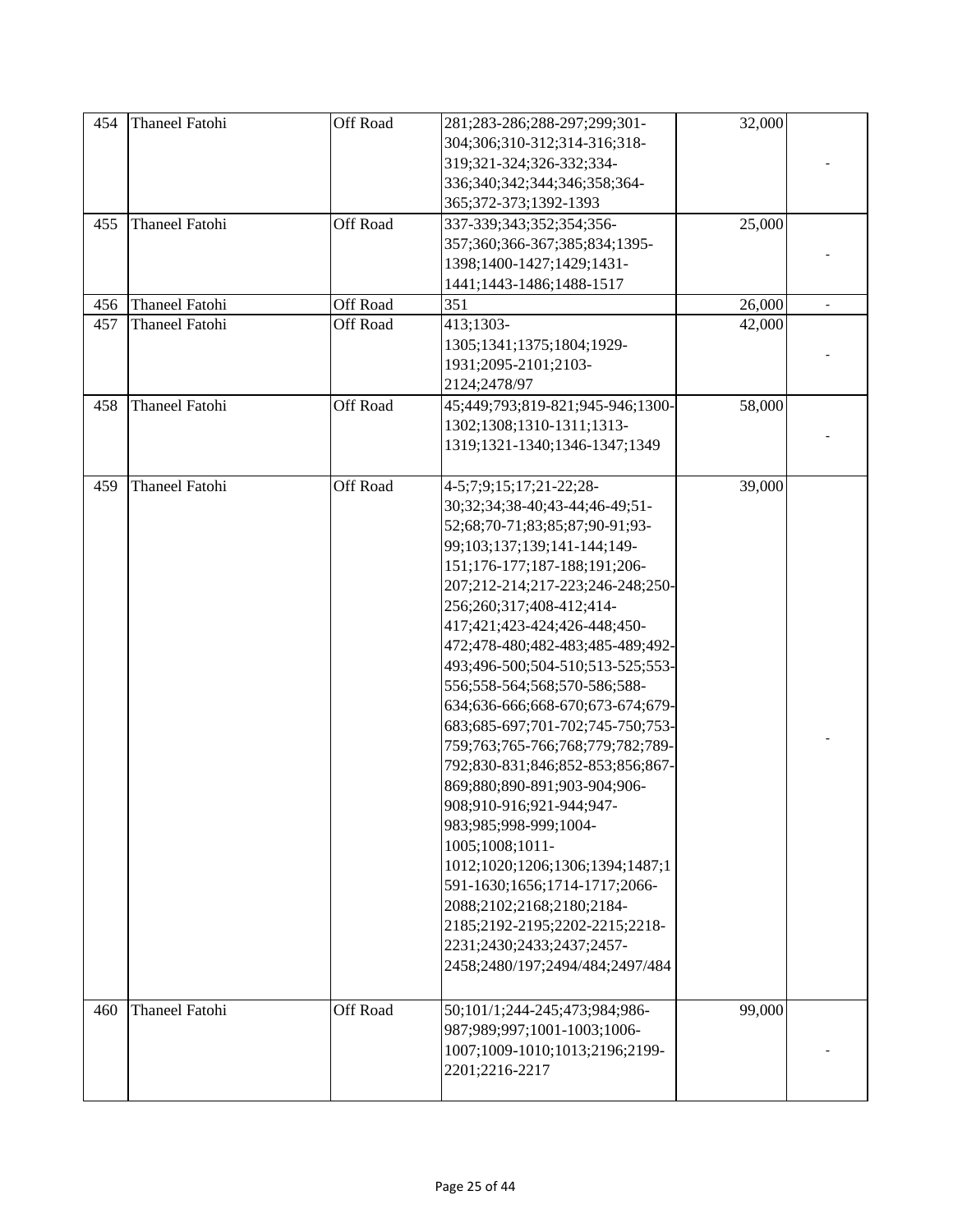| 454 | <b>Thaneel Fatohi</b> | Off Road        | 281;283-286;288-297;299;301-<br>304;306;310-312;314-316;318-<br>319;321-324;326-332;334-<br>336;340;342;344;346;358;364-<br>365;372-373;1392-1393                                                                                                                                                                                                                                                                                                                                                                                                                                                                                                                                                                                                                                                                             | 32,000 |  |
|-----|-----------------------|-----------------|-------------------------------------------------------------------------------------------------------------------------------------------------------------------------------------------------------------------------------------------------------------------------------------------------------------------------------------------------------------------------------------------------------------------------------------------------------------------------------------------------------------------------------------------------------------------------------------------------------------------------------------------------------------------------------------------------------------------------------------------------------------------------------------------------------------------------------|--------|--|
| 455 | <b>Thaneel Fatohi</b> | <b>Off Road</b> | 337-339;343;352;354;356-<br>357;360;366-367;385;834;1395-<br>1398;1400-1427;1429;1431-<br>1441;1443-1486;1488-1517                                                                                                                                                                                                                                                                                                                                                                                                                                                                                                                                                                                                                                                                                                            | 25,000 |  |
| 456 | <b>Thaneel Fatohi</b> | Off Road        | 351                                                                                                                                                                                                                                                                                                                                                                                                                                                                                                                                                                                                                                                                                                                                                                                                                           | 26,000 |  |
| 457 | <b>Thaneel Fatohi</b> | <b>Off Road</b> | 413;1303-<br>1305;1341;1375;1804;1929-<br>1931;2095-2101;2103-<br>2124;2478/97                                                                                                                                                                                                                                                                                                                                                                                                                                                                                                                                                                                                                                                                                                                                                | 42,000 |  |
| 458 | <b>Thaneel Fatohi</b> | Off Road        | 45;449;793;819-821;945-946;1300-<br>1302;1308;1310-1311;1313-<br>1319;1321-1340;1346-1347;1349                                                                                                                                                                                                                                                                                                                                                                                                                                                                                                                                                                                                                                                                                                                                | 58,000 |  |
| 459 | <b>Thaneel Fatohi</b> | <b>Off Road</b> | 4-5;7;9;15;17;21-22;28-<br>30;32;34;38-40;43-44;46-49;51-<br>52;68;70-71;83;85;87;90-91;93-<br>99;103;137;139;141-144;149-<br>151;176-177;187-188;191;206-<br>207;212-214;217-223;246-248;250-<br>256;260;317;408-412;414-<br>417;421;423-424;426-448;450-<br>472;478-480;482-483;485-489;492-<br>493;496-500;504-510;513-525;553-<br>556;558-564;568;570-586;588-<br>634;636-666;668-670;673-674;679-<br>683;685-697;701-702;745-750;753-<br>759;763;765-766;768;779;782;789-<br>792;830-831;846;852-853;856;867-<br>869;880;890-891;903-904;906-<br>908;910-916;921-944;947-<br>983;985;998-999;1004-<br>1005;1008;1011-<br>1012;1020;1206;1306;1394;1487;1<br>591-1630;1656;1714-1717;2066-<br>2088;2102;2168;2180;2184-<br>2185;2192-2195;2202-2215;2218-<br>2231;2430;2433;2437;2457-<br>2458;2480/197;2494/484;2497/484 | 39,000 |  |
| 460 | <b>Thaneel Fatohi</b> | Off Road        | 50;101/1;244-245;473;984;986-<br>987;989;997;1001-1003;1006-<br>1007;1009-1010;1013;2196;2199-<br>2201;2216-2217                                                                                                                                                                                                                                                                                                                                                                                                                                                                                                                                                                                                                                                                                                              | 99,000 |  |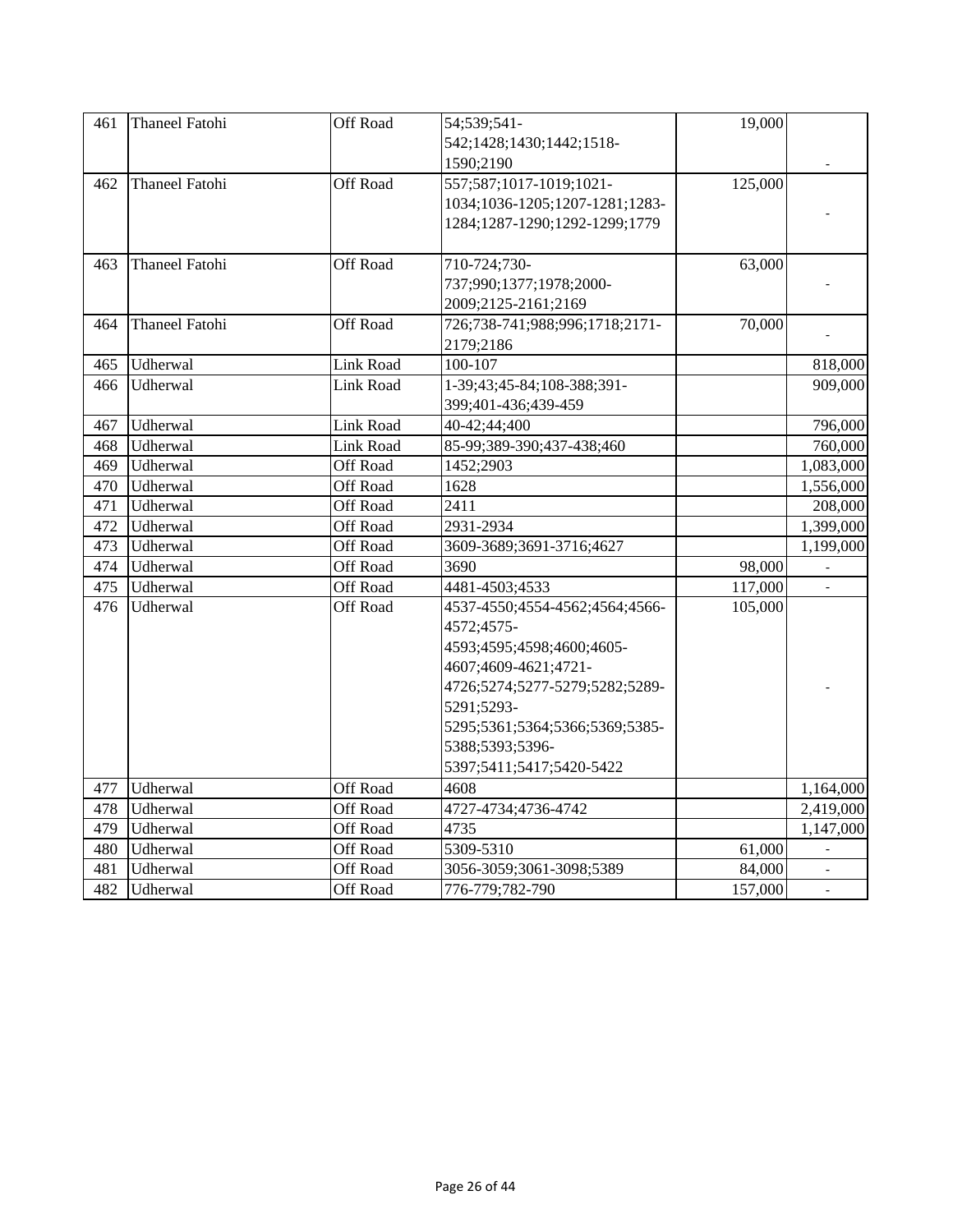| 461 | <b>Thaneel Fatohi</b> | Off Road        | 54;539;541-                    | 19,000  |           |
|-----|-----------------------|-----------------|--------------------------------|---------|-----------|
|     |                       |                 | 542;1428;1430;1442;1518-       |         |           |
|     |                       |                 | 1590;2190                      |         |           |
| 462 | <b>Thaneel Fatohi</b> | Off Road        | 557;587;1017-1019;1021-        | 125,000 |           |
|     |                       |                 | 1034;1036-1205;1207-1281;1283- |         |           |
|     |                       |                 | 1284;1287-1290;1292-1299;1779  |         |           |
|     |                       |                 |                                |         |           |
| 463 | Thaneel Fatohi        | Off Road        | 710-724;730-                   | 63,000  |           |
|     |                       |                 | 737;990;1377;1978;2000-        |         |           |
|     |                       |                 | 2009;2125-2161;2169            |         |           |
| 464 | <b>Thaneel Fatohi</b> | Off Road        | 726;738-741;988;996;1718;2171- | 70,000  |           |
|     |                       |                 | 2179;2186                      |         |           |
| 465 | Udherwal              | Link Road       | 100-107                        |         | 818,000   |
| 466 | Udherwal              | Link Road       | 1-39;43;45-84;108-388;391-     |         | 909,000   |
|     |                       |                 | 399;401-436;439-459            |         |           |
| 467 | Udherwal              | Link Road       | 40-42;44;400                   |         | 796,000   |
| 468 | Udherwal              | Link Road       | 85-99;389-390;437-438;460      |         | 760,000   |
| 469 | Udherwal              | Off Road        | 1452;2903                      |         | 1,083,000 |
| 470 | Udherwal              | Off Road        | 1628                           |         | 1,556,000 |
| 471 | Udherwal              | Off Road        | 2411                           |         | 208,000   |
| 472 | Udherwal              | Off Road        | 2931-2934                      |         | 1,399,000 |
| 473 | Udherwal              | Off Road        | 3609-3689;3691-3716;4627       |         | 1,199,000 |
| 474 | Udherwal              | Off Road        | 3690                           | 98,000  |           |
| 475 | Udherwal              | Off Road        | 4481-4503;4533                 | 117,000 |           |
| 476 | Udherwal              | <b>Off Road</b> | 4537-4550;4554-4562;4564;4566- | 105,000 |           |
|     |                       |                 | 4572;4575-                     |         |           |
|     |                       |                 | 4593;4595;4598;4600;4605-      |         |           |
|     |                       |                 | 4607;4609-4621;4721-           |         |           |
|     |                       |                 | 4726;5274;5277-5279;5282;5289- |         |           |
|     |                       |                 | 5291:5293-                     |         |           |
|     |                       |                 | 5295;5361;5364;5366;5369;5385- |         |           |
|     |                       |                 | 5388;5393;5396-                |         |           |
|     |                       |                 | 5397;5411;5417;5420-5422       |         |           |
| 477 | Udherwal              | Off Road        | 4608                           |         | 1,164,000 |
| 478 | Udherwal              | <b>Off Road</b> | 4727-4734;4736-4742            |         | 2,419,000 |
| 479 | Udherwal              | Off Road        | 4735                           |         | 1,147,000 |
| 480 | Udherwal              | Off Road        | 5309-5310                      | 61,000  |           |
| 481 | Udherwal              | Off Road        | 3056-3059;3061-3098;5389       | 84,000  |           |
| 482 | Udherwal              | Off Road        | 776-779;782-790                | 157,000 |           |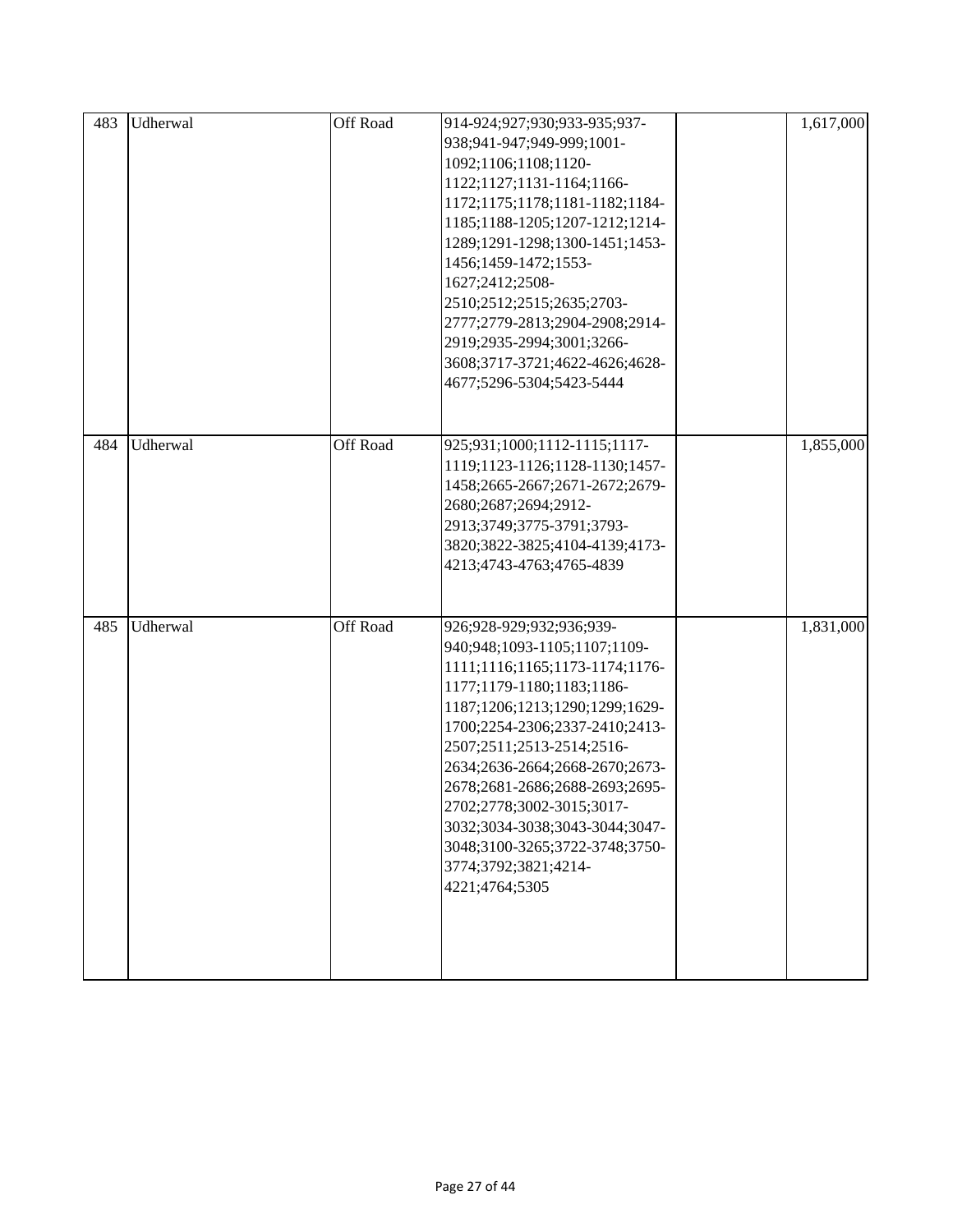| 483 | Udherwal | Off Road | 914-924;927;930;933-935;937-<br>938;941-947;949-999;1001-<br>1092;1106;1108;1120-<br>1122;1127;1131-1164;1166-<br>1172;1175;1178;1181-1182;1184-<br>1185;1188-1205;1207-1212;1214-<br>1289;1291-1298;1300-1451;1453-<br>1456;1459-1472;1553-<br>1627;2412;2508-<br>2510;2512;2515;2635;2703-<br>2777;2779-2813;2904-2908;2914-<br>2919;2935-2994;3001;3266-<br>3608;3717-3721;4622-4626;4628-<br>4677;5296-5304;5423-5444               | 1,617,000 |
|-----|----------|----------|-----------------------------------------------------------------------------------------------------------------------------------------------------------------------------------------------------------------------------------------------------------------------------------------------------------------------------------------------------------------------------------------------------------------------------------------|-----------|
| 484 | Udherwal | Off Road | 925;931;1000;1112-1115;1117-<br>1119;1123-1126;1128-1130;1457-<br>1458;2665-2667;2671-2672;2679-<br>2680;2687;2694;2912-<br>2913;3749;3775-3791;3793-<br>3820;3822-3825;4104-4139;4173-<br>4213;4743-4763;4765-4839                                                                                                                                                                                                                     | 1,855,000 |
| 485 | Udherwal | Off Road | 926;928-929;932;936;939-<br>940;948;1093-1105;1107;1109-<br>1111;1116;1165;1173-1174;1176-<br>1177;1179-1180;1183;1186-<br>1187;1206;1213;1290;1299;1629-<br>1700;2254-2306;2337-2410;2413-<br>2507;2511;2513-2514;2516-<br>2634;2636-2664;2668-2670;2673-<br>2678;2681-2686;2688-2693;2695-<br>2702;2778;3002-3015;3017-<br>3032;3034-3038;3043-3044;3047-<br>3048;3100-3265;3722-3748;3750-<br>3774;3792;3821;4214-<br>4221;4764;5305 | 1,831,000 |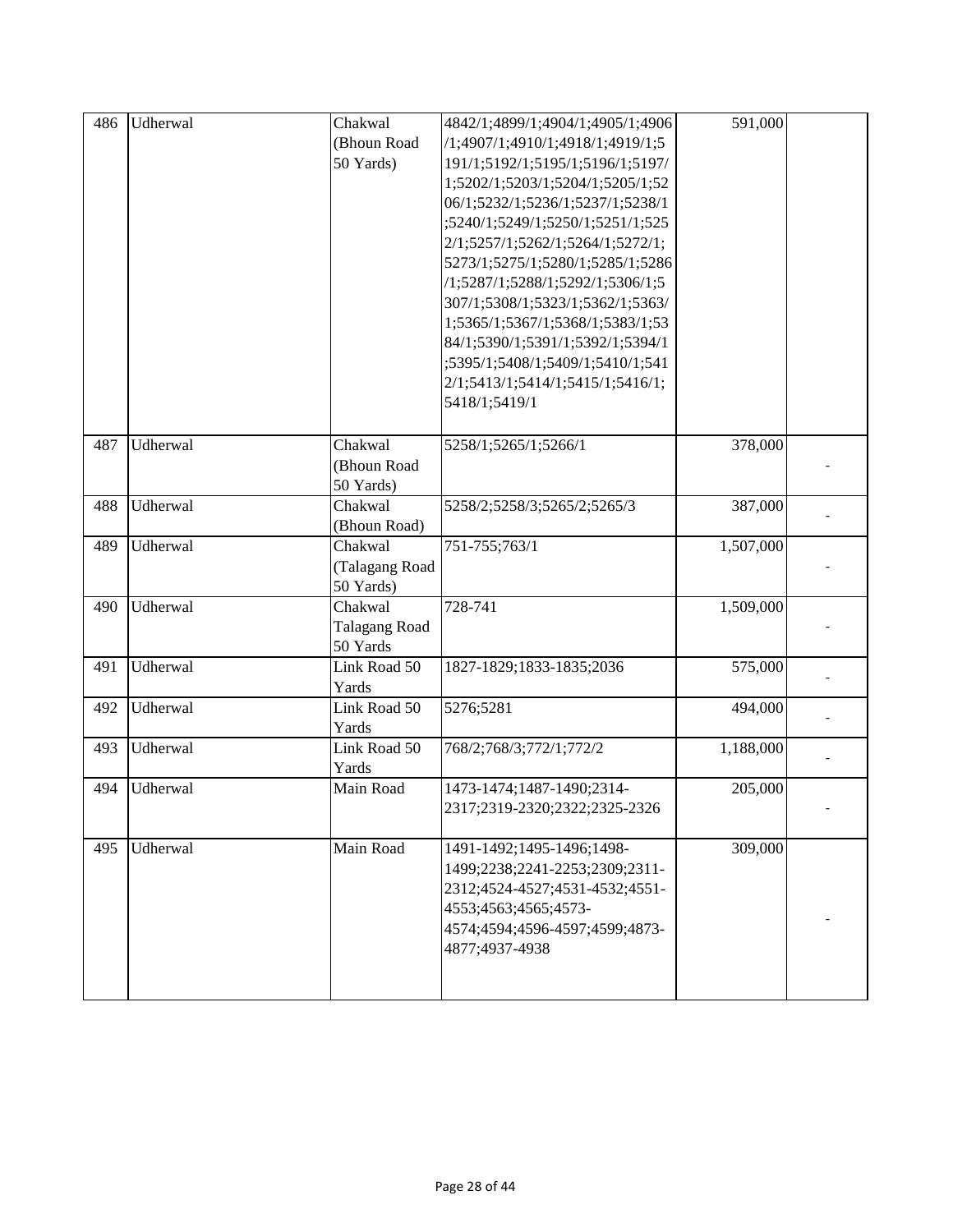| 486 | Udherwal | Chakwal<br>(Bhoun Road<br>50 Yards)    | 4842/1;4899/1;4904/1;4905/1;4906<br>/1;4907/1;4910/1;4918/1;4919/1;5<br>191/1;5192/1;5195/1;5196/1;5197/<br>1;5202/1;5203/1;5204/1;5205/1;52<br>06/1;5232/1;5236/1;5237/1;5238/1<br>;5240/1;5249/1;5250/1;5251/1;525<br>2/1;5257/1;5262/1;5264/1;5272/1;<br>5273/1;5275/1;5280/1;5285/1;5286<br>/1;5287/1;5288/1;5292/1;5306/1;5<br>307/1;5308/1;5323/1;5362/1;5363/<br>1;5365/1;5367/1;5368/1;5383/1;53<br>84/1;5390/1;5391/1;5392/1;5394/1<br>;5395/1;5408/1;5409/1;5410/1;541 | 591,000   |  |
|-----|----------|----------------------------------------|----------------------------------------------------------------------------------------------------------------------------------------------------------------------------------------------------------------------------------------------------------------------------------------------------------------------------------------------------------------------------------------------------------------------------------------------------------------------------------|-----------|--|
|     |          |                                        | 2/1;5413/1;5414/1;5415/1;5416/1;<br>5418/1;5419/1                                                                                                                                                                                                                                                                                                                                                                                                                                |           |  |
| 487 | Udherwal | Chakwal<br>(Bhoun Road<br>50 Yards)    | 5258/1;5265/1;5266/1                                                                                                                                                                                                                                                                                                                                                                                                                                                             | 378,000   |  |
| 488 | Udherwal | Chakwal<br>(Bhoun Road)                | 5258/2;5258/3;5265/2;5265/3                                                                                                                                                                                                                                                                                                                                                                                                                                                      | 387,000   |  |
| 489 | Udherwal | Chakwal<br>(Talagang Road<br>50 Yards) | 751-755;763/1                                                                                                                                                                                                                                                                                                                                                                                                                                                                    | 1,507,000 |  |
| 490 | Udherwal | Chakwal<br>Talagang Road<br>50 Yards   | 728-741                                                                                                                                                                                                                                                                                                                                                                                                                                                                          | 1,509,000 |  |
| 491 | Udherwal | Link Road 50<br>Yards                  | 1827-1829;1833-1835;2036                                                                                                                                                                                                                                                                                                                                                                                                                                                         | 575,000   |  |
| 492 | Udherwal | Link Road 50<br>Yards                  | 5276;5281                                                                                                                                                                                                                                                                                                                                                                                                                                                                        | 494,000   |  |
| 493 | Udherwal | Link Road 50<br>Yards                  | 768/2;768/3;772/1;772/2                                                                                                                                                                                                                                                                                                                                                                                                                                                          | 1,188,000 |  |
| 494 | Udherwal | Main Road                              | 1473-1474;1487-1490;2314-<br>2317;2319-2320;2322;2325-2326                                                                                                                                                                                                                                                                                                                                                                                                                       | 205,000   |  |
| 495 | Udherwal | Main Road                              | 1491-1492;1495-1496;1498-<br>1499;2238;2241-2253;2309;2311-<br>2312;4524-4527;4531-4532;4551-<br>4553;4563;4565;4573-<br>4574;4594;4596-4597;4599;4873-<br>4877;4937-4938                                                                                                                                                                                                                                                                                                        | 309,000   |  |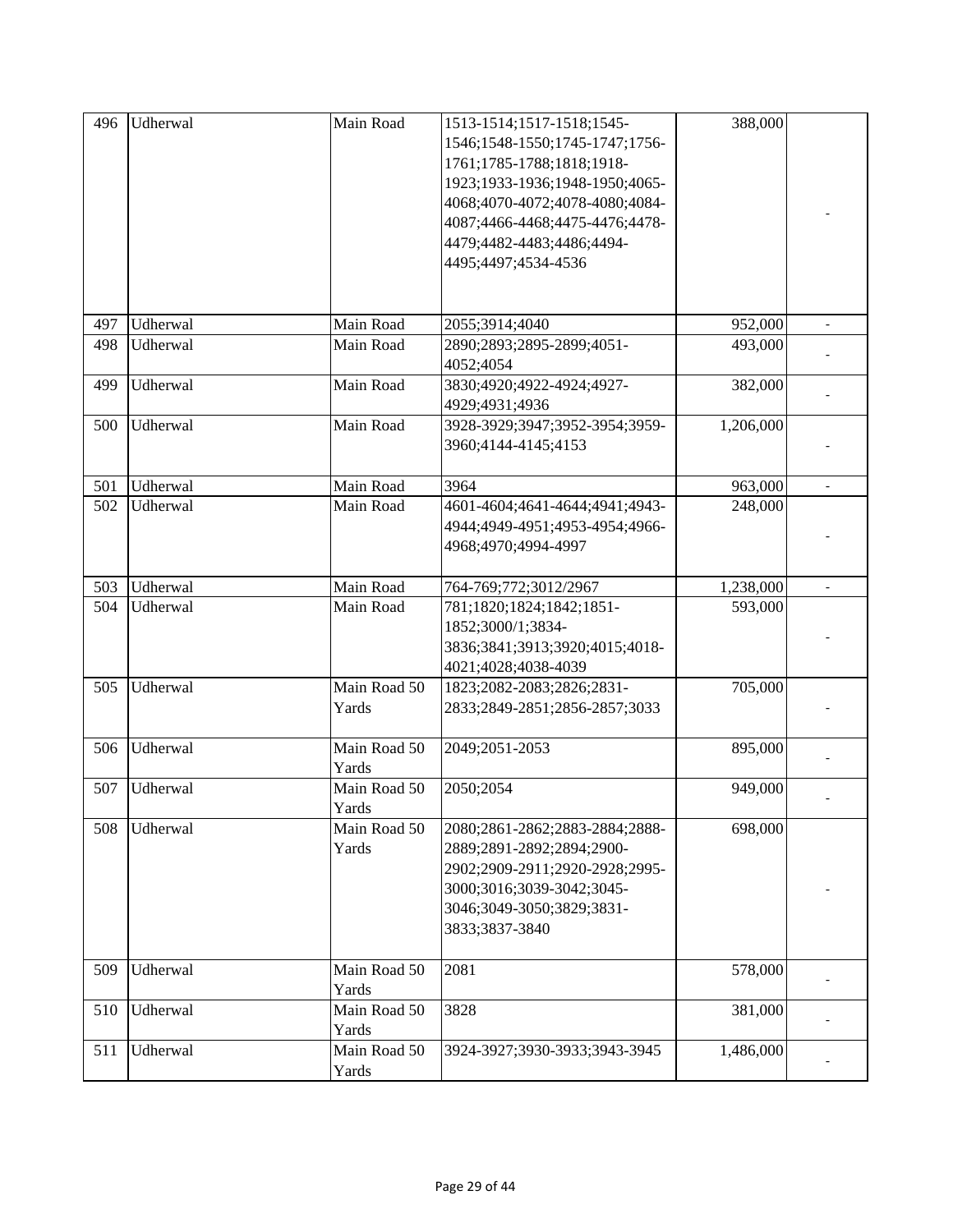| 496 | Udherwal | Main Road    | 1513-1514;1517-1518;1545-      | 388,000   |  |
|-----|----------|--------------|--------------------------------|-----------|--|
|     |          |              | 1546;1548-1550;1745-1747;1756- |           |  |
|     |          |              | 1761;1785-1788;1818;1918-      |           |  |
|     |          |              | 1923;1933-1936;1948-1950;4065- |           |  |
|     |          |              | 4068;4070-4072;4078-4080;4084- |           |  |
|     |          |              | 4087;4466-4468;4475-4476;4478- |           |  |
|     |          |              | 4479;4482-4483;4486;4494-      |           |  |
|     |          |              | 4495;4497;4534-4536            |           |  |
|     |          |              |                                |           |  |
|     |          |              |                                |           |  |
| 497 | Udherwal | Main Road    | 2055;3914;4040                 | 952,000   |  |
| 498 | Udherwal | Main Road    | 2890;2893;2895-2899;4051-      | 493,000   |  |
|     |          |              | 4052;4054                      |           |  |
| 499 | Udherwal | Main Road    | 3830;4920;4922-4924;4927-      | 382,000   |  |
|     |          |              | 4929;4931;4936                 |           |  |
| 500 | Udherwal | Main Road    | 3928-3929;3947;3952-3954;3959- | 1,206,000 |  |
|     |          |              | 3960;4144-4145;4153            |           |  |
|     |          |              |                                |           |  |
| 501 | Udherwal | Main Road    | 3964                           | 963,000   |  |
| 502 | Udherwal | Main Road    | 4601-4604;4641-4644;4941;4943- | 248,000   |  |
|     |          |              | 4944;4949-4951;4953-4954;4966- |           |  |
|     |          |              | 4968;4970;4994-4997            |           |  |
|     |          |              |                                |           |  |
| 503 | Udherwal | Main Road    | 764-769;772;3012/2967          | 1,238,000 |  |
| 504 | Udherwal | Main Road    | 781;1820;1824;1842;1851-       | 593,000   |  |
|     |          |              | 1852;3000/1;3834-              |           |  |
|     |          |              | 3836;3841;3913;3920;4015;4018- |           |  |
|     |          |              | 4021;4028;4038-4039            |           |  |
| 505 | Udherwal | Main Road 50 | 1823;2082-2083;2826;2831-      | 705,000   |  |
|     |          | Yards        | 2833;2849-2851;2856-2857;3033  |           |  |
|     |          |              |                                |           |  |
| 506 | Udherwal | Main Road 50 | 2049;2051-2053                 | 895,000   |  |
|     |          | Yards        |                                |           |  |
| 507 | Udherwal | Main Road 50 | 2050;2054                      | 949,000   |  |
|     |          | Yards        |                                |           |  |
| 508 | Udherwal | Main Road 50 | 2080;2861-2862;2883-2884;2888- | 698,000   |  |
|     |          | Yards        | 2889;2891-2892;2894;2900-      |           |  |
|     |          |              | 2902;2909-2911;2920-2928;2995- |           |  |
|     |          |              | 3000;3016;3039-3042;3045-      |           |  |
|     |          |              | 3046;3049-3050;3829;3831-      |           |  |
|     |          |              | 3833;3837-3840                 |           |  |
|     |          |              |                                |           |  |
| 509 | Udherwal | Main Road 50 | 2081                           | 578,000   |  |
|     |          | Yards        |                                |           |  |
| 510 | Udherwal | Main Road 50 | 3828                           | 381,000   |  |
|     |          | Yards        |                                |           |  |
| 511 | Udherwal | Main Road 50 | 3924-3927;3930-3933;3943-3945  | 1,486,000 |  |
|     |          | Yards        |                                |           |  |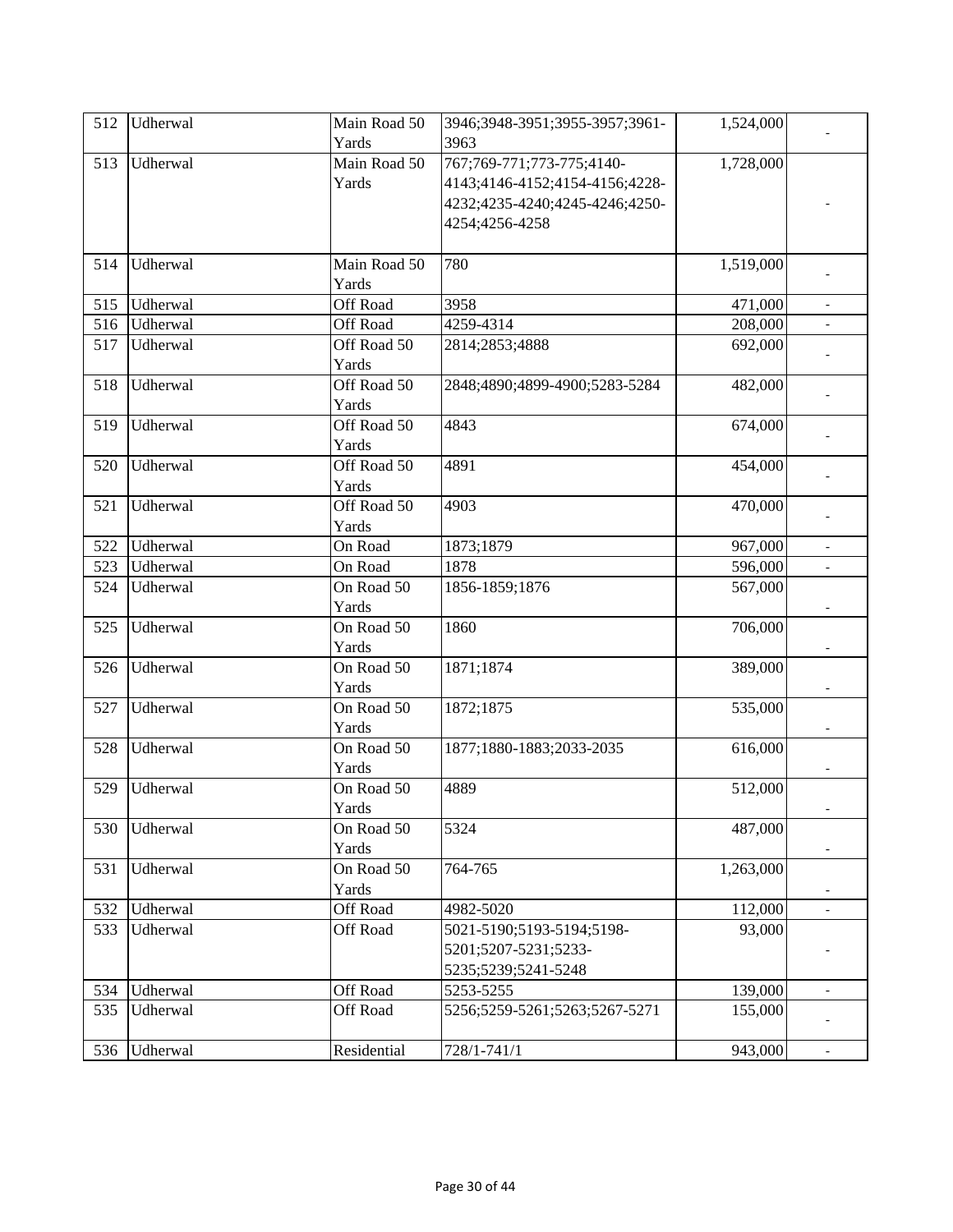| 512 | Udherwal | Main Road 50<br>Yards | 3946;3948-3951;3955-3957;3961-<br>3963 | 1,524,000 |                          |
|-----|----------|-----------------------|----------------------------------------|-----------|--------------------------|
| 513 | Udherwal | Main Road 50          | 767;769-771;773-775;4140-              | 1,728,000 |                          |
|     |          | Yards                 | 4143;4146-4152;4154-4156;4228-         |           |                          |
|     |          |                       | 4232;4235-4240;4245-4246;4250-         |           |                          |
|     |          |                       | 4254;4256-4258                         |           |                          |
|     |          |                       |                                        |           |                          |
| 514 | Udherwal | Main Road 50          | 780                                    | 1,519,000 |                          |
|     |          | Yards                 |                                        |           |                          |
| 515 | Udherwal | Off Road              | 3958                                   | 471,000   | $\overline{\phantom{a}}$ |
| 516 | Udherwal | Off Road              | 4259-4314                              | 208,000   |                          |
| 517 | Udherwal | Off Road 50           | 2814;2853;4888                         | 692,000   |                          |
|     |          | Yards                 |                                        |           |                          |
| 518 | Udherwal | Off Road 50           | 2848;4890;4899-4900;5283-5284          | 482,000   |                          |
|     |          | Yards                 |                                        |           |                          |
| 519 | Udherwal | Off Road 50           | 4843                                   | 674,000   |                          |
|     |          | Yards                 |                                        |           |                          |
| 520 | Udherwal | Off Road 50           | 4891                                   | 454,000   |                          |
|     |          | Yards                 |                                        |           |                          |
| 521 | Udherwal | Off Road 50           | 4903                                   | 470,000   |                          |
|     |          | Yards                 |                                        |           |                          |
| 522 | Udherwal | On Road               | 1873;1879                              | 967,000   |                          |
| 523 | Udherwal | On Road               | 1878                                   | 596,000   |                          |
| 524 | Udherwal | On Road 50            | 1856-1859;1876                         | 567,000   |                          |
|     |          | Yards                 |                                        |           |                          |
| 525 | Udherwal | On Road 50            | 1860                                   | 706,000   |                          |
|     |          | Yards                 |                                        |           |                          |
| 526 | Udherwal | On Road 50            | 1871;1874                              | 389,000   |                          |
|     |          | Yards                 |                                        |           |                          |
| 527 | Udherwal | On Road 50            | 1872;1875                              | 535,000   |                          |
|     |          | Yards                 |                                        |           |                          |
| 528 | Udherwal | On Road 50<br>Yards   | 1877;1880-1883;2033-2035               | 616,000   |                          |
| 529 | Udherwal | On Road 50            | 4889                                   | 512,000   |                          |
|     |          | Yards                 |                                        |           |                          |
| 530 | Udherwal | On Road 50            | 5324                                   | 487,000   |                          |
|     |          | Yards                 |                                        |           |                          |
| 531 | Udherwal | On Road 50            | 764-765                                | 1,263,000 |                          |
|     |          | Yards                 |                                        |           |                          |
| 532 | Udherwal | Off Road              | 4982-5020                              | 112,000   | $\overline{a}$           |
| 533 | Udherwal | Off Road              | 5021-5190;5193-5194;5198-              | 93,000    |                          |
|     |          |                       | 5201;5207-5231;5233-                   |           |                          |
|     |          |                       | 5235;5239;5241-5248                    |           |                          |
| 534 | Udherwal | Off Road              | 5253-5255                              | 139,000   | $\overline{\phantom{a}}$ |
| 535 | Udherwal | Off Road              | 5256;5259-5261;5263;5267-5271          | 155,000   |                          |
|     |          |                       |                                        |           |                          |
| 536 | Udherwal | Residential           | 728/1-741/1                            | 943,000   | $\overline{\phantom{a}}$ |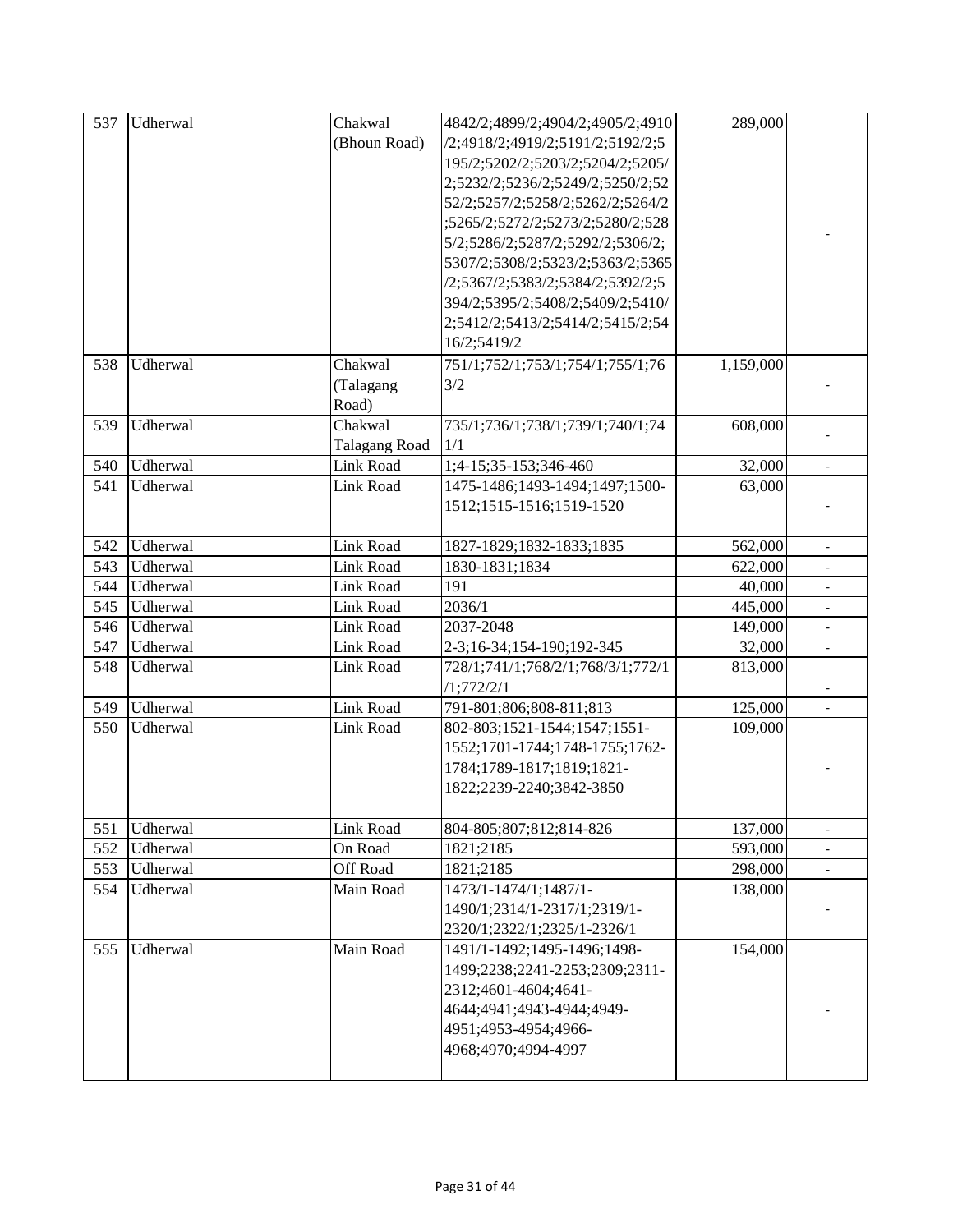| 537 | Udherwal | Chakwal              | 4842/2;4899/2;4904/2;4905/2;4910  | 289,000   |                          |
|-----|----------|----------------------|-----------------------------------|-----------|--------------------------|
|     |          | (Bhoun Road)         | /2;4918/2;4919/2;5191/2;5192/2;5  |           |                          |
|     |          |                      | 195/2;5202/2;5203/2;5204/2;5205/  |           |                          |
|     |          |                      | 2;5232/2;5236/2;5249/2;5250/2;52  |           |                          |
|     |          |                      | 52/2;5257/2;5258/2;5262/2;5264/2  |           |                          |
|     |          |                      | ;5265/2;5272/2;5273/2;5280/2;528  |           |                          |
|     |          |                      | 5/2;5286/2;5287/2;5292/2;5306/2;  |           |                          |
|     |          |                      | 5307/2;5308/2;5323/2;5363/2;5365  |           |                          |
|     |          |                      | /2;5367/2;5383/2;5384/2;5392/2;5  |           |                          |
|     |          |                      | 394/2;5395/2;5408/2;5409/2;5410/  |           |                          |
|     |          |                      | 2;5412/2;5413/2;5414/2;5415/2;54  |           |                          |
|     |          |                      | 16/2;5419/2                       |           |                          |
| 538 | Udherwal | Chakwal              | 751/1;752/1;753/1;754/1;755/1;76  | 1,159,000 |                          |
|     |          | (Talagang            | 3/2                               |           |                          |
|     |          | Road)                |                                   |           |                          |
| 539 | Udherwal | Chakwal              | 735/1;736/1;738/1;739/1;740/1;74  | 608,000   |                          |
|     |          | <b>Talagang Road</b> | 1/1                               |           |                          |
| 540 | Udherwal | Link Road            | 1;4-15;35-153;346-460             | 32,000    |                          |
| 541 | Udherwal | Link Road            | 1475-1486;1493-1494;1497;1500-    | 63,000    |                          |
|     |          |                      | 1512;1515-1516;1519-1520          |           |                          |
|     |          |                      |                                   |           |                          |
| 542 | Udherwal | Link Road            | 1827-1829;1832-1833;1835          | 562,000   |                          |
| 543 | Udherwal | Link Road            | 1830-1831;1834                    | 622,000   |                          |
| 544 | Udherwal | Link Road            | 191                               | 40,000    |                          |
| 545 | Udherwal | Link Road            | 2036/1                            | 445,000   |                          |
| 546 | Udherwal | Link Road            | 2037-2048                         | 149,000   | $\overline{\phantom{a}}$ |
| 547 | Udherwal | Link Road            | 2-3;16-34;154-190;192-345         | 32,000    | $\mathbb{L}^+$           |
| 548 | Udherwal | Link Road            | 728/1;741/1;768/2/1;768/3/1;772/1 | 813,000   |                          |
|     |          |                      | /1;772/2/1                        |           |                          |
| 549 | Udherwal | Link Road            | 791-801;806;808-811;813           | 125,000   |                          |
| 550 | Udherwal | Link Road            | 802-803;1521-1544;1547;1551-      | 109,000   |                          |
|     |          |                      | 1552;1701-1744;1748-1755;1762-    |           |                          |
|     |          |                      | 1784;1789-1817;1819;1821-         |           |                          |
|     |          |                      | 1822;2239-2240;3842-3850          |           |                          |
|     |          |                      |                                   |           |                          |
| 551 | Udherwal | Link Road            | 804-805;807;812;814-826           | 137,000   |                          |
| 552 | Udherwal | On Road              | 1821;2185                         | 593,000   |                          |
| 553 | Udherwal | Off Road             | 1821;2185                         | 298,000   | $\overline{\phantom{a}}$ |
| 554 | Udherwal | Main Road            | 1473/1-1474/1;1487/1-             | 138,000   |                          |
|     |          |                      | 1490/1;2314/1-2317/1;2319/1-      |           |                          |
|     |          |                      | 2320/1;2322/1;2325/1-2326/1       |           |                          |
| 555 | Udherwal | Main Road            | 1491/1-1492;1495-1496;1498-       | 154,000   |                          |
|     |          |                      | 1499;2238;2241-2253;2309;2311-    |           |                          |
|     |          |                      | 2312;4601-4604;4641-              |           |                          |
|     |          |                      | 4644;4941;4943-4944;4949-         |           |                          |
|     |          |                      | 4951;4953-4954;4966-              |           |                          |
|     |          |                      | 4968;4970;4994-4997               |           |                          |
|     |          |                      |                                   |           |                          |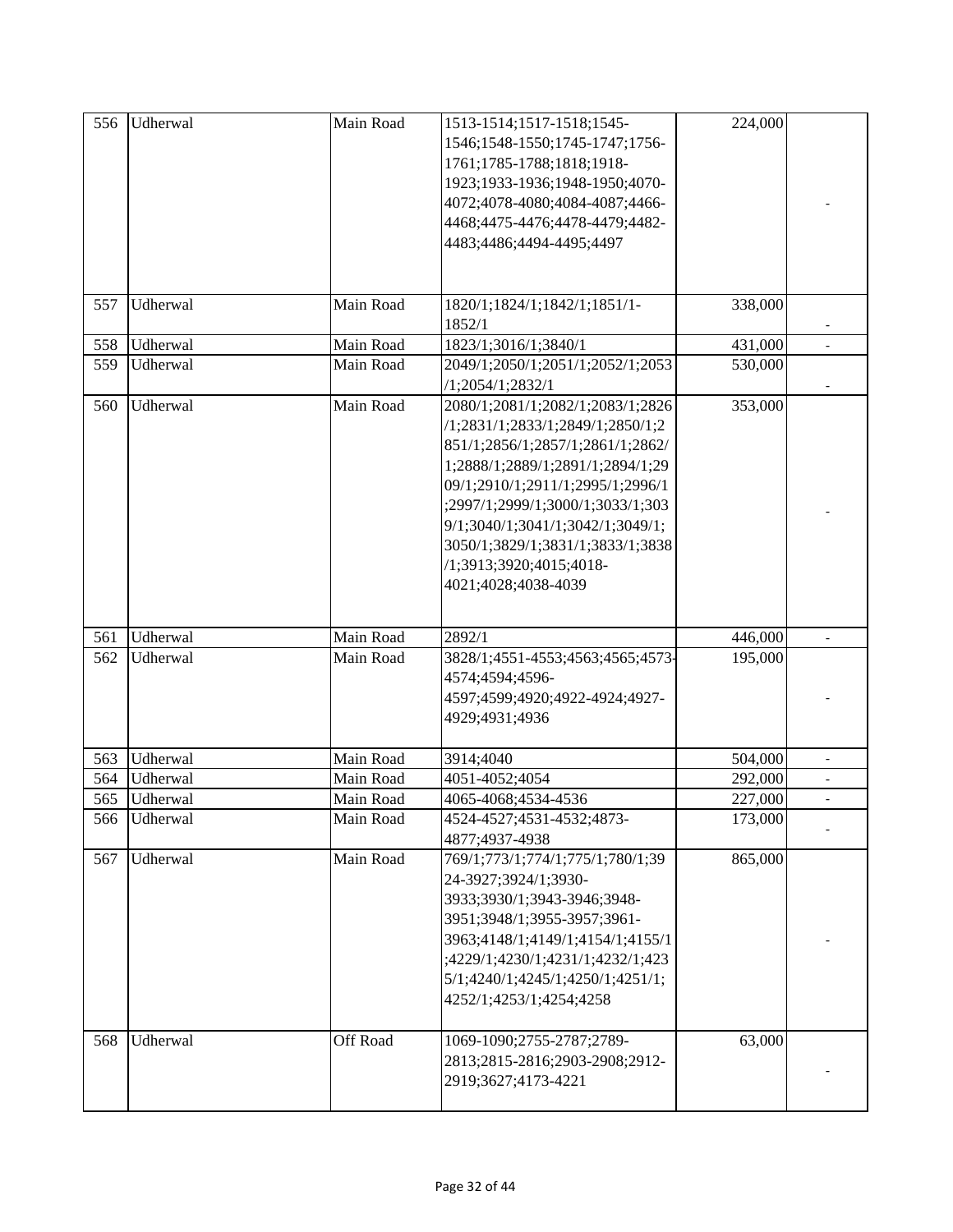| 556 | Udherwal | Main Road | 1513-1514;1517-1518;1545-<br>1546;1548-1550;1745-1747;1756-<br>1761;1785-1788;1818;1918-<br>1923;1933-1936;1948-1950;4070-<br>4072;4078-4080;4084-4087;4466-<br>4468;4475-4476;4478-4479;4482-<br>4483;4486;4494-4495;4497                                                                                                                     | 224,000 |                          |
|-----|----------|-----------|------------------------------------------------------------------------------------------------------------------------------------------------------------------------------------------------------------------------------------------------------------------------------------------------------------------------------------------------|---------|--------------------------|
| 557 | Udherwal | Main Road | 1820/1;1824/1;1842/1;1851/1-<br>1852/1                                                                                                                                                                                                                                                                                                         | 338,000 |                          |
| 558 | Udherwal | Main Road | 1823/1;3016/1;3840/1                                                                                                                                                                                                                                                                                                                           | 431,000 |                          |
| 559 | Udherwal | Main Road | 2049/1;2050/1;2051/1;2052/1;2053<br>/1;2054/1;2832/1                                                                                                                                                                                                                                                                                           | 530,000 |                          |
| 560 | Udherwal | Main Road | 2080/1;2081/1;2082/1;2083/1;2826<br>/1;2831/1;2833/1;2849/1;2850/1;2<br>851/1;2856/1;2857/1;2861/1;2862/<br>1;2888/1;2889/1;2891/1;2894/1;29<br>09/1;2910/1;2911/1;2995/1;2996/1<br>;2997/1;2999/1;3000/1;3033/1;303<br>9/1;3040/1;3041/1;3042/1;3049/1;<br>3050/1;3829/1;3831/1;3833/1;3838<br>/1;3913;3920;4015;4018-<br>4021;4028;4038-4039 | 353,000 |                          |
| 561 | Udherwal | Main Road | 2892/1                                                                                                                                                                                                                                                                                                                                         | 446,000 |                          |
| 562 | Udherwal | Main Road | 3828/1;4551-4553;4563;4565;4573-<br>4574;4594;4596-<br>4597;4599;4920;4922-4924;4927-<br>4929;4931;4936                                                                                                                                                                                                                                        | 195,000 |                          |
| 563 | Udherwal | Main Road | 3914;4040                                                                                                                                                                                                                                                                                                                                      | 504,000 | $\overline{\phantom{a}}$ |
| 564 | Udherwal | Main Road | 4051-4052;4054                                                                                                                                                                                                                                                                                                                                 | 292,000 |                          |
| 565 | Udherwal | Main Road | 4065-4068;4534-4536                                                                                                                                                                                                                                                                                                                            | 227,000 |                          |
| 566 | Udherwal | Main Road | 4524-4527;4531-4532;4873-<br>4877;4937-4938                                                                                                                                                                                                                                                                                                    | 173,000 |                          |
| 567 | Udherwal | Main Road | 769/1;773/1;774/1;775/1;780/1;39<br>24-3927;3924/1;3930-<br>3933;3930/1;3943-3946;3948-<br>3951;3948/1;3955-3957;3961-<br>3963;4148/1;4149/1;4154/1;4155/1<br>;4229/1;4230/1;4231/1;4232/1;423<br>5/1;4240/1;4245/1;4250/1;4251/1;<br>4252/1;4253/1;4254;4258                                                                                  | 865,000 |                          |
| 568 | Udherwal | Off Road  | 1069-1090;2755-2787;2789-<br>2813;2815-2816;2903-2908;2912-<br>2919;3627;4173-4221                                                                                                                                                                                                                                                             | 63,000  |                          |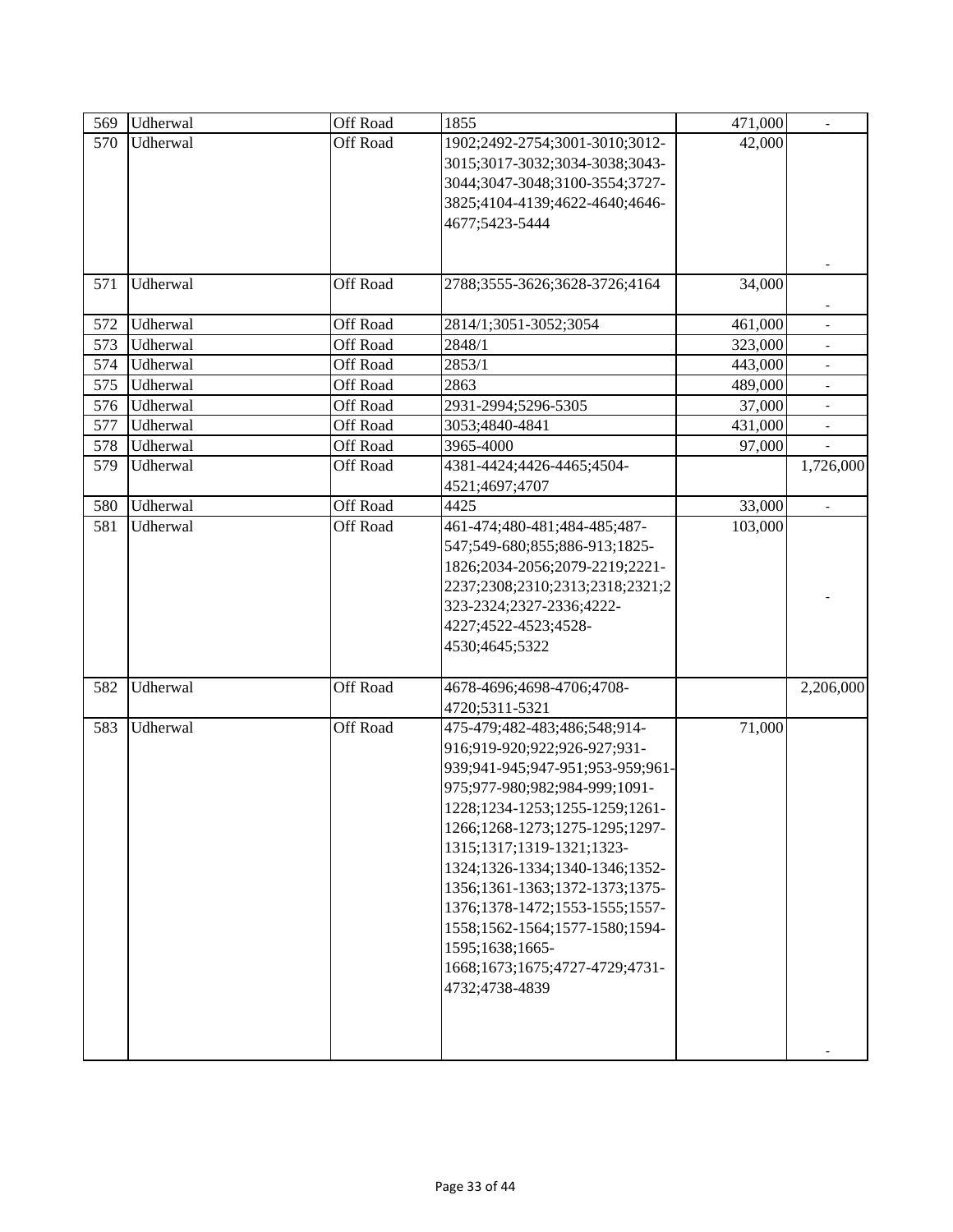| 569 | Udherwal | Off Road        | 1855                             | 471,000 | $\overline{\phantom{a}}$ |
|-----|----------|-----------------|----------------------------------|---------|--------------------------|
| 570 | Udherwal | Off Road        | 1902;2492-2754;3001-3010;3012-   | 42,000  |                          |
|     |          |                 | 3015;3017-3032;3034-3038;3043-   |         |                          |
|     |          |                 | 3044;3047-3048;3100-3554;3727-   |         |                          |
|     |          |                 | 3825;4104-4139;4622-4640;4646-   |         |                          |
|     |          |                 | 4677;5423-5444                   |         |                          |
|     |          |                 |                                  |         |                          |
|     |          |                 |                                  |         |                          |
| 571 | Udherwal | Off Road        | 2788;3555-3626;3628-3726;4164    | 34,000  |                          |
|     |          |                 |                                  |         |                          |
| 572 | Udherwal | Off Road        | 2814/1;3051-3052;3054            | 461,000 |                          |
| 573 | Udherwal | Off Road        | 2848/1                           | 323,000 |                          |
| 574 | Udherwal | Off Road        | 2853/1                           | 443,000 | $\overline{\phantom{a}}$ |
| 575 | Udherwal | Off Road        | 2863                             | 489,000 | $\overline{\phantom{a}}$ |
| 576 | Udherwal | Off Road        | 2931-2994;5296-5305              | 37,000  |                          |
| 577 | Udherwal | Off Road        | 3053;4840-4841                   | 431,000 | $\blacksquare$           |
| 578 | Udherwal | Off Road        | 3965-4000                        | 97,000  |                          |
| 579 | Udherwal | <b>Off Road</b> | 4381-4424;4426-4465;4504-        |         | 1,726,000                |
|     |          |                 | 4521;4697;4707                   |         |                          |
| 580 | Udherwal | Off Road        | 4425                             | 33,000  | $\overline{\phantom{a}}$ |
| 581 | Udherwal | Off Road        | 461-474;480-481;484-485;487-     | 103,000 |                          |
|     |          |                 | 547;549-680;855;886-913;1825-    |         |                          |
|     |          |                 | 1826;2034-2056;2079-2219;2221-   |         |                          |
|     |          |                 | 2237;2308;2310;2313;2318;2321;2  |         |                          |
|     |          |                 | 323-2324;2327-2336;4222-         |         |                          |
|     |          |                 | 4227;4522-4523;4528-             |         |                          |
|     |          |                 | 4530;4645;5322                   |         |                          |
| 582 | Udherwal | Off Road        | 4678-4696;4698-4706;4708-        |         | 2,206,000                |
|     |          |                 | 4720;5311-5321                   |         |                          |
| 583 | Udherwal | Off Road        | 475-479;482-483;486;548;914-     | 71,000  |                          |
|     |          |                 | 916;919-920;922;926-927;931-     |         |                          |
|     |          |                 | 939;941-945;947-951;953-959;961- |         |                          |
|     |          |                 | 975;977-980;982;984-999;1091-    |         |                          |
|     |          |                 | 1228;1234-1253;1255-1259;1261-   |         |                          |
|     |          |                 | 1266;1268-1273;1275-1295;1297-   |         |                          |
|     |          |                 | 1315;1317;1319-1321;1323-        |         |                          |
|     |          |                 | 1324;1326-1334;1340-1346;1352-   |         |                          |
|     |          |                 | 1356;1361-1363;1372-1373;1375-   |         |                          |
|     |          |                 | 1376;1378-1472;1553-1555;1557-   |         |                          |
|     |          |                 | 1558;1562-1564;1577-1580;1594-   |         |                          |
|     |          |                 | 1595;1638;1665-                  |         |                          |
|     |          |                 | 1668;1673;1675;4727-4729;4731-   |         |                          |
|     |          |                 | 4732;4738-4839                   |         |                          |
|     |          |                 |                                  |         |                          |
|     |          |                 |                                  |         |                          |
|     |          |                 |                                  |         |                          |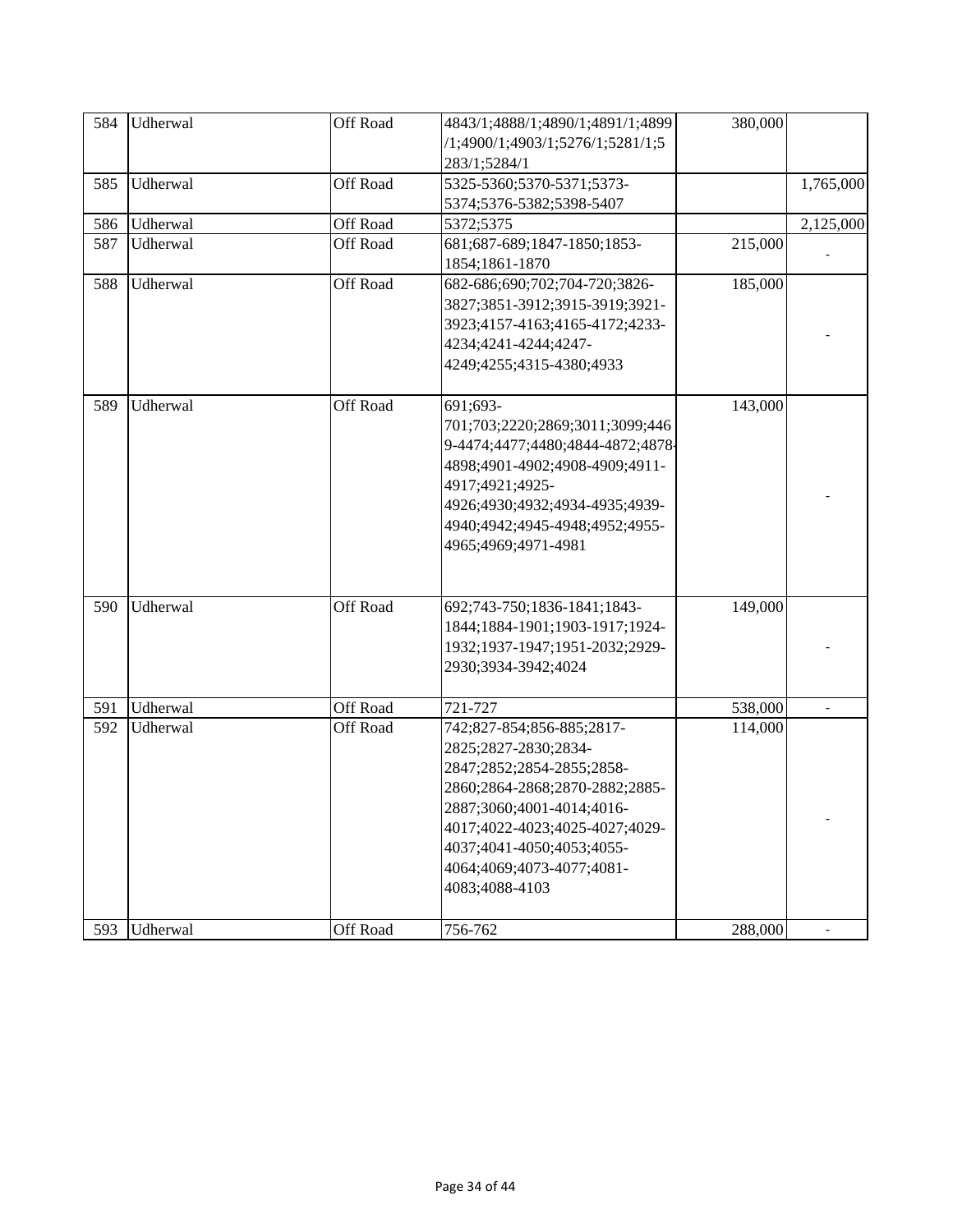| 584 | Udherwal | Off Road | 4843/1;4888/1;4890/1;4891/1;4899 | 380,000 |           |
|-----|----------|----------|----------------------------------|---------|-----------|
|     |          |          | /1;4900/1;4903/1;5276/1;5281/1;5 |         |           |
|     |          |          | 283/1;5284/1                     |         |           |
| 585 | Udherwal | Off Road | 5325-5360;5370-5371;5373-        |         | 1,765,000 |
|     |          |          | 5374;5376-5382;5398-5407         |         |           |
| 586 | Udherwal | Off Road | 5372;5375                        |         | 2,125,000 |
| 587 | Udherwal | Off Road | 681;687-689;1847-1850;1853-      | 215,000 |           |
|     |          |          | 1854;1861-1870                   |         |           |
| 588 | Udherwal | Off Road | 682-686;690;702;704-720;3826-    | 185,000 |           |
|     |          |          | 3827;3851-3912;3915-3919;3921-   |         |           |
|     |          |          | 3923;4157-4163;4165-4172;4233-   |         |           |
|     |          |          | 4234;4241-4244;4247-             |         |           |
|     |          |          | 4249;4255;4315-4380;4933         |         |           |
|     |          |          |                                  |         |           |
| 589 | Udherwal | Off Road | 691;693-                         | 143,000 |           |
|     |          |          | 701;703;2220;2869;3011;3099;446  |         |           |
|     |          |          | 9-4474;4477;4480;4844-4872;4878- |         |           |
|     |          |          | 4898;4901-4902;4908-4909;4911-   |         |           |
|     |          |          | 4917;4921;4925-                  |         |           |
|     |          |          | 4926;4930;4932;4934-4935;4939-   |         |           |
|     |          |          | 4940;4942;4945-4948;4952;4955-   |         |           |
|     |          |          | 4965;4969;4971-4981              |         |           |
|     |          |          |                                  |         |           |
|     |          |          |                                  |         |           |
| 590 | Udherwal | Off Road | 692;743-750;1836-1841;1843-      | 149,000 |           |
|     |          |          | 1844;1884-1901;1903-1917;1924-   |         |           |
|     |          |          | 1932;1937-1947;1951-2032;2929-   |         |           |
|     |          |          | 2930;3934-3942;4024              |         |           |
| 591 | Udherwal | Off Road | 721-727                          | 538,000 |           |
| 592 | Udherwal | Off Road | 742;827-854;856-885;2817-        | 114,000 |           |
|     |          |          | 2825;2827-2830;2834-             |         |           |
|     |          |          | 2847;2852;2854-2855;2858-        |         |           |
|     |          |          |                                  |         |           |
|     |          |          | 2860;2864-2868;2870-2882;2885-   |         |           |
|     |          |          | 2887;3060;4001-4014;4016-        |         |           |
|     |          |          | 4017;4022-4023;4025-4027;4029-   |         |           |
|     |          |          | 4037;4041-4050;4053;4055-        |         |           |
|     |          |          | 4064;4069;4073-4077;4081-        |         |           |
|     |          |          | 4083;4088-4103                   |         |           |
| 593 | Udherwal | Off Road | 756-762                          | 288,000 |           |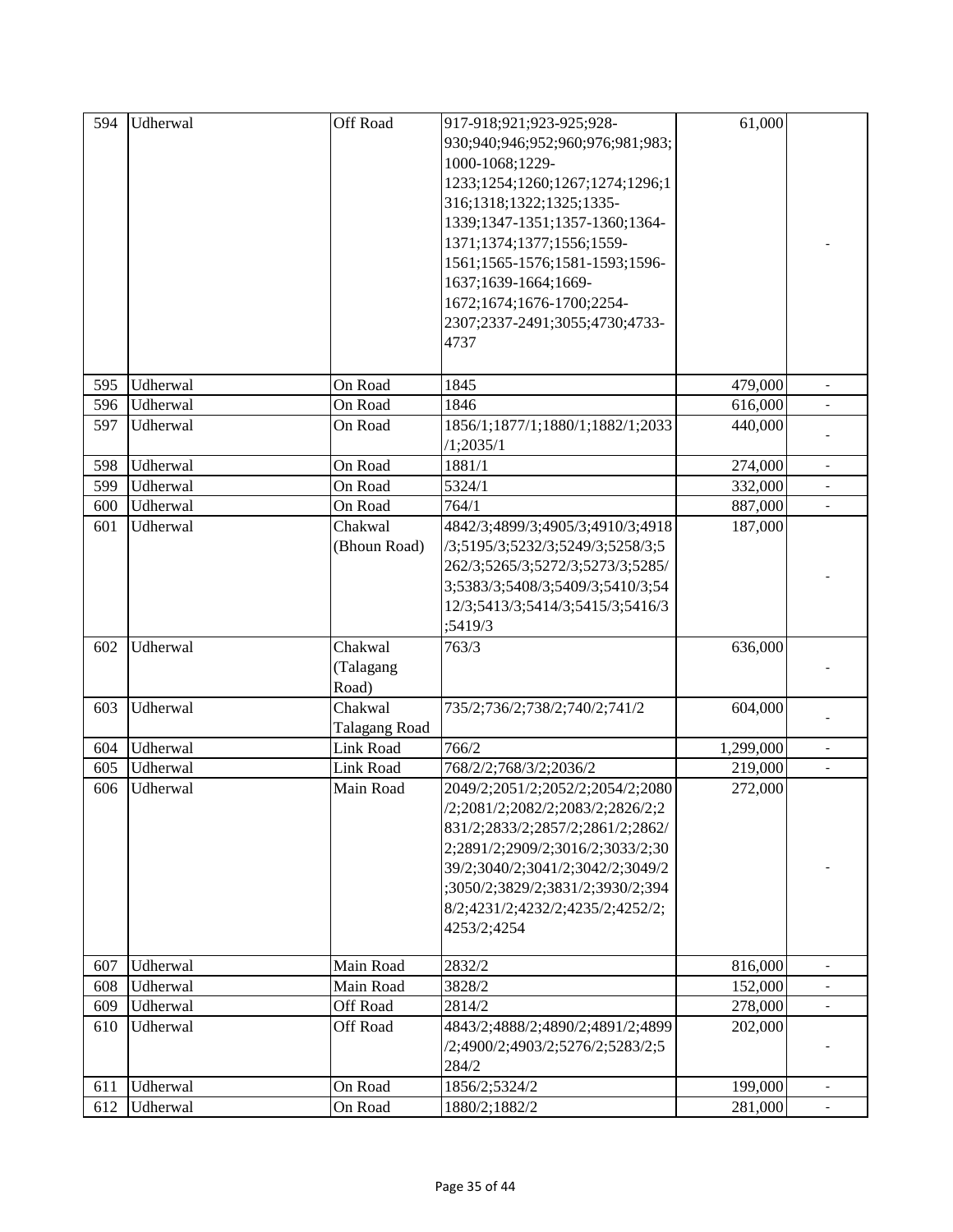| 594 | Udherwal | Off Road         | 917-918;921;923-925;928-         | 61,000    |                          |
|-----|----------|------------------|----------------------------------|-----------|--------------------------|
|     |          |                  | 930;940;946;952;960;976;981;983; |           |                          |
|     |          |                  | 1000-1068;1229-                  |           |                          |
|     |          |                  | 1233;1254;1260;1267;1274;1296;1  |           |                          |
|     |          |                  | 316;1318;1322;1325;1335-         |           |                          |
|     |          |                  | 1339;1347-1351;1357-1360;1364-   |           |                          |
|     |          |                  | 1371;1374;1377;1556;1559-        |           |                          |
|     |          |                  | 1561;1565-1576;1581-1593;1596-   |           |                          |
|     |          |                  | 1637;1639-1664;1669-             |           |                          |
|     |          |                  | 1672;1674;1676-1700;2254-        |           |                          |
|     |          |                  | 2307;2337-2491;3055;4730;4733-   |           |                          |
|     |          |                  | 4737                             |           |                          |
|     |          |                  |                                  |           |                          |
| 595 | Udherwal | On Road          | 1845                             | 479,000   | $\frac{1}{2}$            |
| 596 | Udherwal | On Road          | 1846                             | 616,000   | $\frac{1}{2}$            |
| 597 | Udherwal | On Road          | 1856/1;1877/1;1880/1;1882/1;2033 | 440,000   |                          |
|     |          |                  | /1;2035/1                        |           |                          |
| 598 | Udherwal | On Road          | 1881/1                           | 274,000   |                          |
| 599 | Udherwal | On Road          | 5324/1                           | 332,000   |                          |
| 600 | Udherwal | On Road          | 764/1                            | 887,000   |                          |
| 601 | Udherwal | Chakwal          | 4842/3;4899/3;4905/3;4910/3;4918 | 187,000   |                          |
|     |          | (Bhoun Road)     | /3;5195/3;5232/3;5249/3;5258/3;5 |           |                          |
|     |          |                  | 262/3;5265/3;5272/3;5273/3;5285/ |           |                          |
|     |          |                  | 3;5383/3;5408/3;5409/3;5410/3;54 |           |                          |
|     |          |                  | 12/3;5413/3;5414/3;5415/3;5416/3 |           |                          |
|     |          |                  | ;5419/3                          |           |                          |
| 602 | Udherwal | Chakwal          | 763/3                            | 636,000   |                          |
|     |          | (Talagang        |                                  |           |                          |
|     |          | Road)            |                                  |           |                          |
| 603 | Udherwal | Chakwal          | 735/2;736/2;738/2;740/2;741/2    | 604,000   |                          |
|     |          | Talagang Road    |                                  |           |                          |
| 604 | Udherwal | <b>Link Road</b> | 766/2                            | 1,299,000 |                          |
| 605 | Udherwal | Link Road        | 768/2/2;768/3/2;2036/2           | 219,000   | $\overline{\phantom{0}}$ |
| 606 | Udherwal | Main Road        | 2049/2;2051/2;2052/2;2054/2;2080 | 272,000   |                          |
|     |          |                  | /2;2081/2;2082/2;2083/2;2826/2;2 |           |                          |
|     |          |                  | 831/2;2833/2;2857/2;2861/2;2862/ |           |                          |
|     |          |                  | 2;2891/2;2909/2;3016/2;3033/2;30 |           |                          |
|     |          |                  | 39/2;3040/2;3041/2;3042/2;3049/2 |           |                          |
|     |          |                  | ;3050/2;3829/2;3831/2;3930/2;394 |           |                          |
|     |          |                  | 8/2;4231/2;4232/2;4235/2;4252/2; |           |                          |
|     |          |                  | 4253/2;4254                      |           |                          |
|     |          |                  |                                  |           |                          |
| 607 | Udherwal | Main Road        | 2832/2                           | 816,000   | $\blacksquare$           |
| 608 | Udherwal | Main Road        | 3828/2                           | 152,000   |                          |
| 609 | Udherwal | Off Road         | 2814/2                           | 278,000   |                          |
| 610 | Udherwal | <b>Off Road</b>  | 4843/2;4888/2;4890/2;4891/2;4899 | 202,000   |                          |
|     |          |                  | /2;4900/2;4903/2;5276/2;5283/2;5 |           |                          |
|     |          |                  | 284/2                            |           |                          |
| 611 | Udherwal | On Road          | 1856/2;5324/2                    | 199,000   |                          |
| 612 | Udherwal | On Road          | 1880/2;1882/2                    | 281,000   |                          |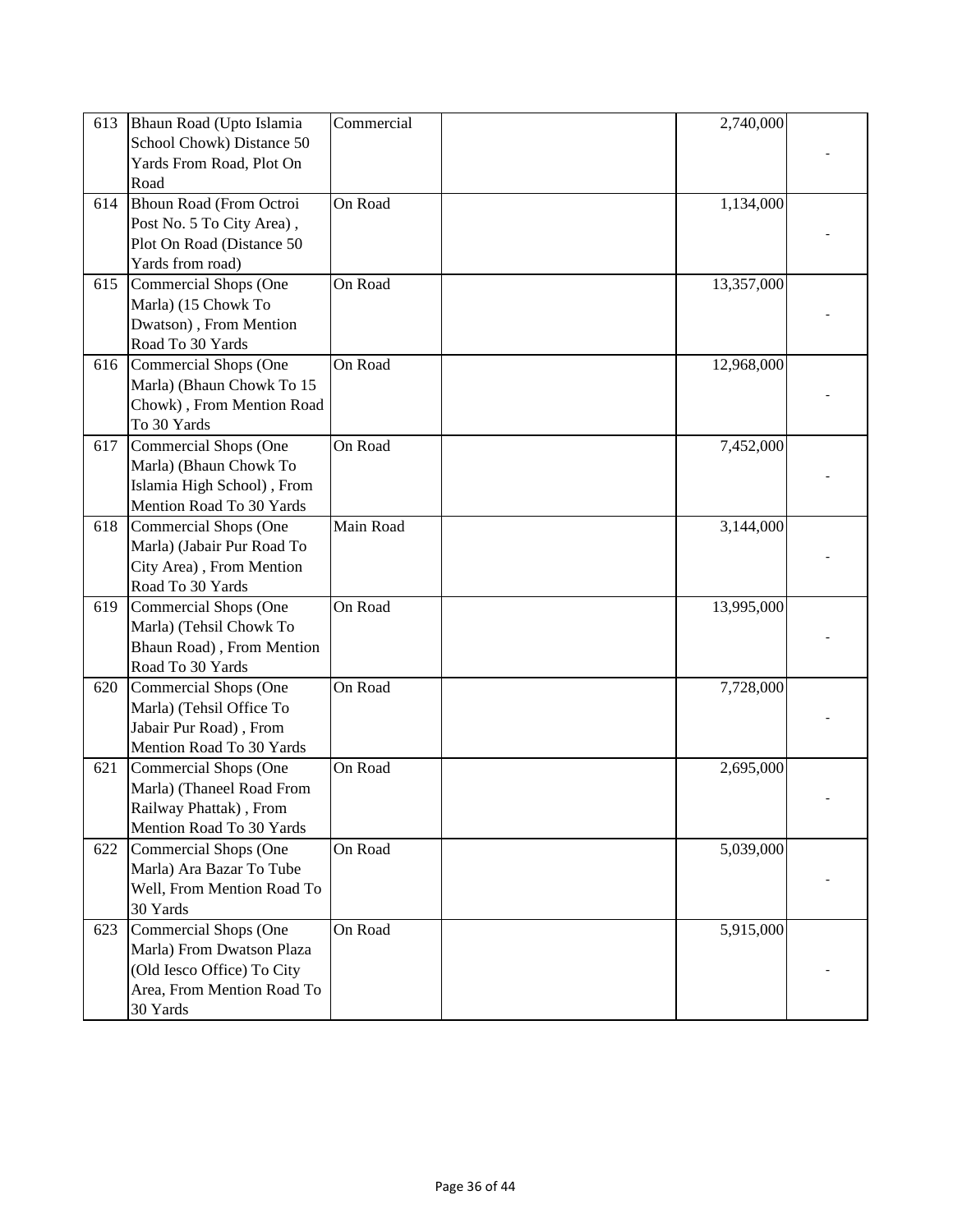| 613 | Bhaun Road (Upto Islamia       | Commercial | 2,740,000  |  |
|-----|--------------------------------|------------|------------|--|
|     | School Chowk) Distance 50      |            |            |  |
|     | Yards From Road, Plot On       |            |            |  |
|     | Road                           |            |            |  |
| 614 | <b>Bhoun Road (From Octroi</b> | On Road    | 1,134,000  |  |
|     | Post No. 5 To City Area),      |            |            |  |
|     | Plot On Road (Distance 50      |            |            |  |
|     | Yards from road)               |            |            |  |
| 615 | Commercial Shops (One          | On Road    | 13,357,000 |  |
|     | Marla) (15 Chowk To            |            |            |  |
|     | Dwatson), From Mention         |            |            |  |
|     |                                |            |            |  |
|     | Road To 30 Yards               |            |            |  |
| 616 | Commercial Shops (One          | On Road    | 12,968,000 |  |
|     | Marla) (Bhaun Chowk To 15      |            |            |  |
|     | Chowk), From Mention Road      |            |            |  |
|     | To 30 Yards                    |            |            |  |
| 617 | <b>Commercial Shops (One</b>   | On Road    | 7,452,000  |  |
|     | Marla) (Bhaun Chowk To         |            |            |  |
|     | Islamia High School), From     |            |            |  |
|     | Mention Road To 30 Yards       |            |            |  |
| 618 | Commercial Shops (One          | Main Road  | 3,144,000  |  |
|     | Marla) (Jabair Pur Road To     |            |            |  |
|     | City Area), From Mention       |            |            |  |
|     | Road To 30 Yards               |            |            |  |
|     |                                |            |            |  |
| 619 | Commercial Shops (One          | On Road    | 13,995,000 |  |
|     | Marla) (Tehsil Chowk To        |            |            |  |
|     | Bhaun Road), From Mention      |            |            |  |
|     | Road To 30 Yards               |            |            |  |
| 620 | Commercial Shops (One          | On Road    | 7,728,000  |  |
|     | Marla) (Tehsil Office To       |            |            |  |
|     | Jabair Pur Road), From         |            |            |  |
|     | Mention Road To 30 Yards       |            |            |  |
| 621 | <b>Commercial Shops (One</b>   | On Road    | 2,695,000  |  |
|     | Marla) (Thaneel Road From      |            |            |  |
|     | Railway Phattak), From         |            |            |  |
|     | Mention Road To 30 Yards       |            |            |  |
| 622 | Commercial Shops (One          | On Road    | 5,039,000  |  |
|     | Marla) Ara Bazar To Tube       |            |            |  |
|     | Well, From Mention Road To     |            |            |  |
|     | 30 Yards                       |            |            |  |
| 623 | Commercial Shops (One          | On Road    | 5,915,000  |  |
|     |                                |            |            |  |
|     | Marla) From Dwatson Plaza      |            |            |  |
|     | (Old Iesco Office) To City     |            |            |  |
|     | Area, From Mention Road To     |            |            |  |
|     | 30 Yards                       |            |            |  |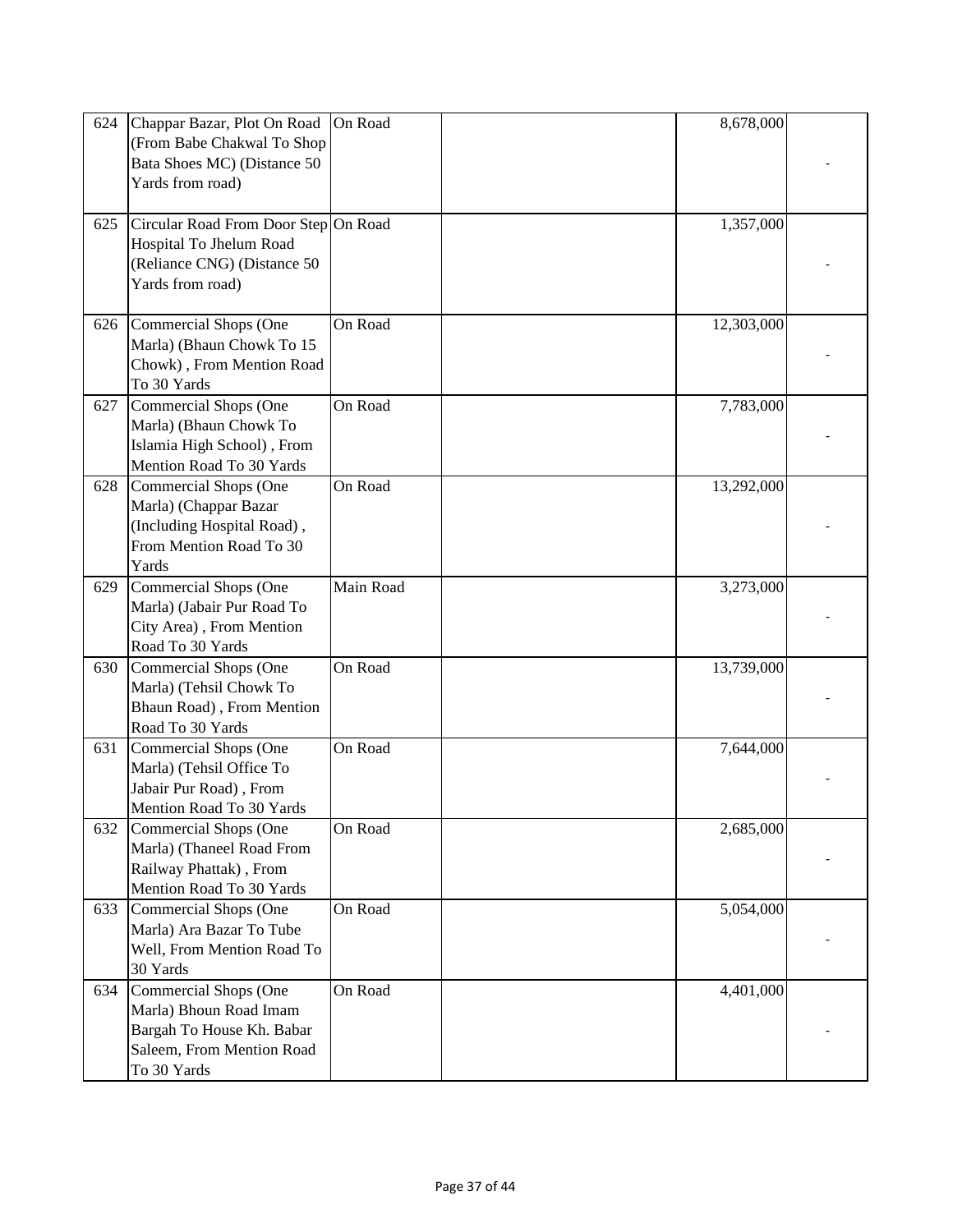| 624 | Chappar Bazar, Plot On Road<br>(From Babe Chakwal To Shop<br>Bata Shoes MC) (Distance 50<br>Yards from road)             | On Road   | 8,678,000  |  |
|-----|--------------------------------------------------------------------------------------------------------------------------|-----------|------------|--|
| 625 | Circular Road From Door Step On Road<br>Hospital To Jhelum Road<br>(Reliance CNG) (Distance 50<br>Yards from road)       |           | 1,357,000  |  |
| 626 | <b>Commercial Shops (One</b><br>Marla) (Bhaun Chowk To 15<br>Chowk), From Mention Road<br>To 30 Yards                    | On Road   | 12,303,000 |  |
| 627 | Commercial Shops (One<br>Marla) (Bhaun Chowk To<br>Islamia High School), From<br>Mention Road To 30 Yards                | On Road   | 7,783,000  |  |
| 628 | Commercial Shops (One<br>Marla) (Chappar Bazar<br>(Including Hospital Road),<br>From Mention Road To 30<br>Yards         | On Road   | 13,292,000 |  |
| 629 | <b>Commercial Shops (One</b><br>Marla) (Jabair Pur Road To<br>City Area), From Mention<br>Road To 30 Yards               | Main Road | 3,273,000  |  |
| 630 | Commercial Shops (One<br>Marla) (Tehsil Chowk To<br>Bhaun Road), From Mention<br>Road To 30 Yards                        | On Road   | 13,739,000 |  |
| 631 | Commercial Shops (One<br>Marla) (Tehsil Office To<br>Jabair Pur Road), From<br>Mention Road To 30 Yards                  | On Road   | 7,644,000  |  |
| 632 | Commercial Shops (One<br>Marla) (Thaneel Road From<br>Railway Phattak), From<br>Mention Road To 30 Yards                 | On Road   | 2,685,000  |  |
| 633 | Commercial Shops (One<br>Marla) Ara Bazar To Tube<br>Well, From Mention Road To<br>30 Yards                              | On Road   | 5,054,000  |  |
| 634 | Commercial Shops (One<br>Marla) Bhoun Road Imam<br>Bargah To House Kh. Babar<br>Saleem, From Mention Road<br>To 30 Yards | On Road   | 4,401,000  |  |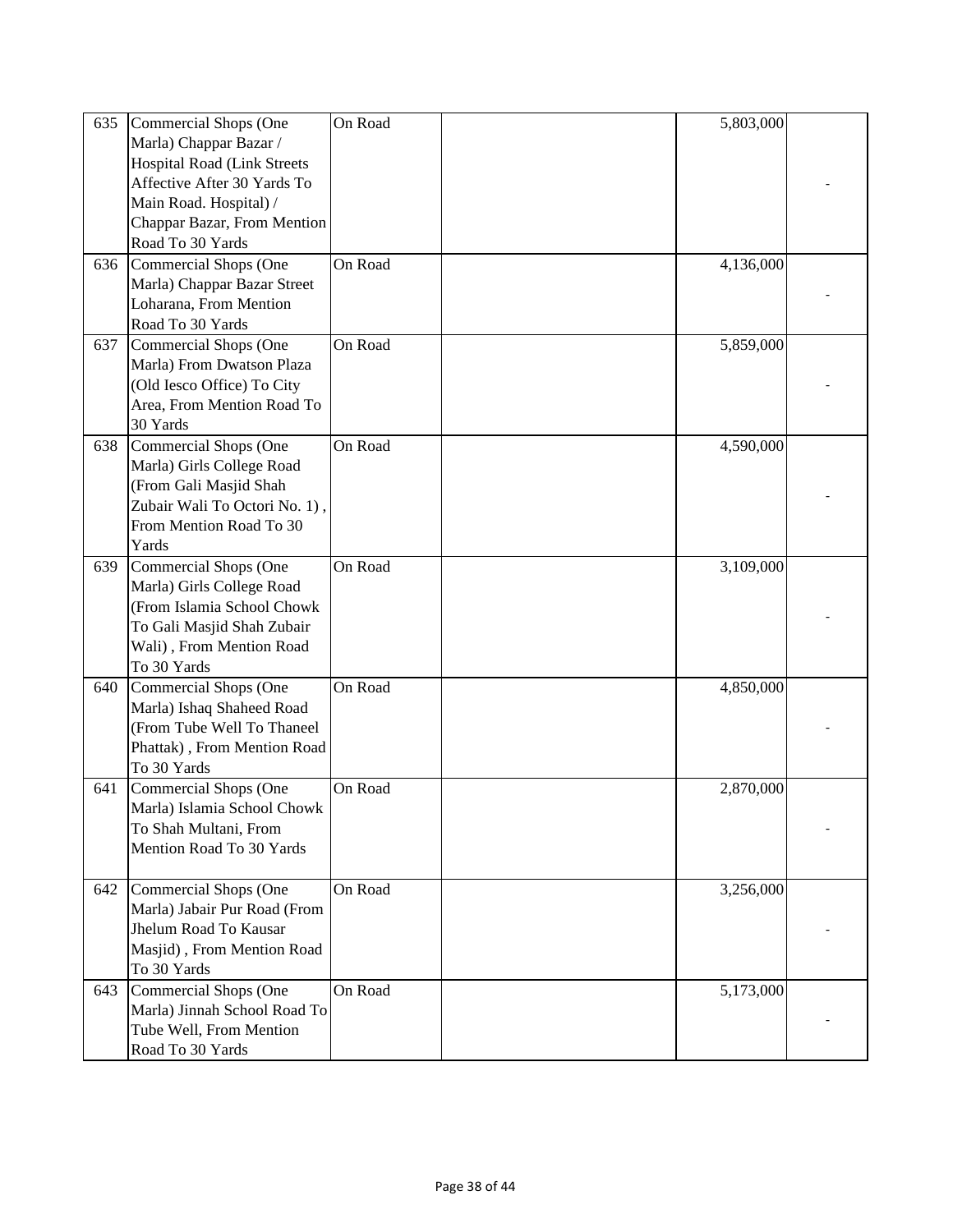| 635 | Commercial Shops (One              | On Road | 5,803,000 |  |
|-----|------------------------------------|---------|-----------|--|
|     | Marla) Chappar Bazar /             |         |           |  |
|     | <b>Hospital Road (Link Streets</b> |         |           |  |
|     | Affective After 30 Yards To        |         |           |  |
|     | Main Road. Hospital) /             |         |           |  |
|     | Chappar Bazar, From Mention        |         |           |  |
|     |                                    |         |           |  |
|     | Road To 30 Yards                   |         |           |  |
| 636 | Commercial Shops (One              | On Road | 4,136,000 |  |
|     | Marla) Chappar Bazar Street        |         |           |  |
|     | Loharana, From Mention             |         |           |  |
|     | Road To 30 Yards                   |         |           |  |
| 637 | Commercial Shops (One              | On Road | 5,859,000 |  |
|     | Marla) From Dwatson Plaza          |         |           |  |
|     | (Old Iesco Office) To City         |         |           |  |
|     | Area, From Mention Road To         |         |           |  |
|     | 30 Yards                           |         |           |  |
| 638 | Commercial Shops (One              | On Road | 4,590,000 |  |
|     | Marla) Girls College Road          |         |           |  |
|     | (From Gali Masjid Shah             |         |           |  |
|     | Zubair Wali To Octori No. 1),      |         |           |  |
|     | From Mention Road To 30            |         |           |  |
|     | Yards                              |         |           |  |
|     |                                    |         |           |  |
| 639 | <b>Commercial Shops (One</b>       | On Road | 3,109,000 |  |
|     | Marla) Girls College Road          |         |           |  |
|     | (From Islamia School Chowk         |         |           |  |
|     | To Gali Masjid Shah Zubair         |         |           |  |
|     | Wali), From Mention Road           |         |           |  |
|     | To 30 Yards                        |         |           |  |
| 640 | Commercial Shops (One              | On Road | 4,850,000 |  |
|     | Marla) Ishaq Shaheed Road          |         |           |  |
|     | (From Tube Well To Thaneel         |         |           |  |
|     | Phattak), From Mention Road        |         |           |  |
|     | To 30 Yards                        |         |           |  |
| 641 | Commercial Shops (One              | On Road | 2,870,000 |  |
|     | Marla) Islamia School Chowk        |         |           |  |
|     | To Shah Multani, From              |         |           |  |
|     | Mention Road To 30 Yards           |         |           |  |
|     |                                    |         |           |  |
| 642 | Commercial Shops (One              | On Road | 3,256,000 |  |
|     |                                    |         |           |  |
|     | Marla) Jabair Pur Road (From       |         |           |  |
|     | Jhelum Road To Kausar              |         |           |  |
|     | Masjid), From Mention Road         |         |           |  |
|     | To 30 Yards                        |         |           |  |
| 643 | Commercial Shops (One              | On Road | 5,173,000 |  |
|     | Marla) Jinnah School Road To       |         |           |  |
|     | Tube Well, From Mention            |         |           |  |
|     | Road To 30 Yards                   |         |           |  |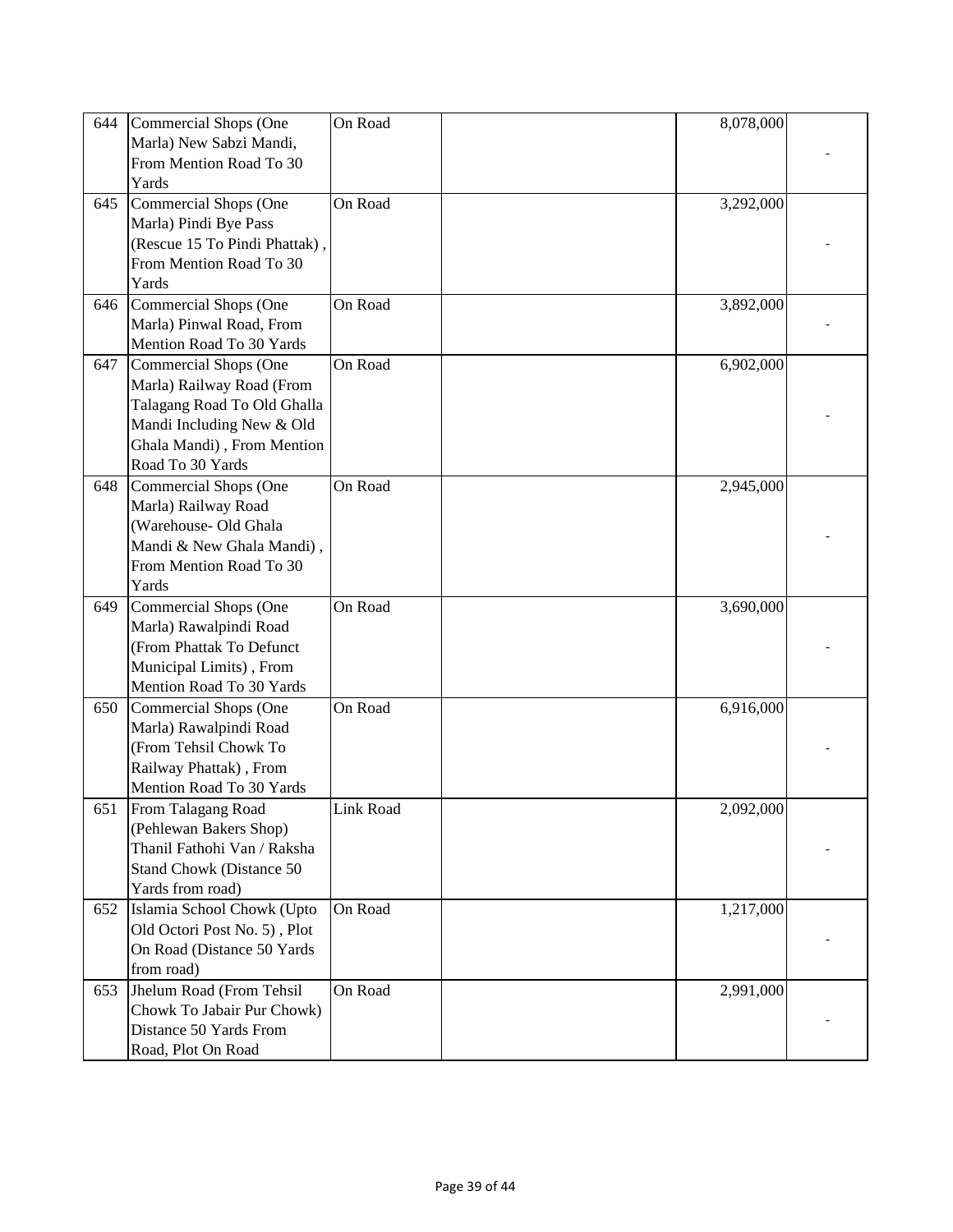| 644 | Commercial Shops (One                           | On Road   | 8,078,000 |  |
|-----|-------------------------------------------------|-----------|-----------|--|
|     | Marla) New Sabzi Mandi,                         |           |           |  |
|     | From Mention Road To 30                         |           |           |  |
|     | Yards                                           |           |           |  |
| 645 | Commercial Shops (One                           | On Road   | 3,292,000 |  |
|     | Marla) Pindi Bye Pass                           |           |           |  |
|     | (Rescue 15 To Pindi Phattak),                   |           |           |  |
|     | From Mention Road To 30                         |           |           |  |
|     | Yards                                           |           |           |  |
|     |                                                 |           |           |  |
| 646 | <b>Commercial Shops (One</b>                    | On Road   | 3,892,000 |  |
|     | Marla) Pinwal Road, From                        |           |           |  |
|     | Mention Road To 30 Yards                        |           |           |  |
| 647 | Commercial Shops (One                           | On Road   | 6,902,000 |  |
|     | Marla) Railway Road (From                       |           |           |  |
|     | Talagang Road To Old Ghalla                     |           |           |  |
|     | Mandi Including New & Old                       |           |           |  |
|     | Ghala Mandi), From Mention                      |           |           |  |
|     | Road To 30 Yards                                |           |           |  |
| 648 | Commercial Shops (One                           | On Road   | 2,945,000 |  |
|     | Marla) Railway Road                             |           |           |  |
|     | (Warehouse- Old Ghala                           |           |           |  |
|     | Mandi & New Ghala Mandi),                       |           |           |  |
|     | From Mention Road To 30                         |           |           |  |
|     | Yards                                           |           |           |  |
| 649 | <b>Commercial Shops (One</b>                    | On Road   | 3,690,000 |  |
|     | Marla) Rawalpindi Road                          |           |           |  |
|     | (From Phattak To Defunct                        |           |           |  |
|     | Municipal Limits), From                         |           |           |  |
|     | Mention Road To 30 Yards                        |           |           |  |
| 650 | Commercial Shops (One                           | On Road   | 6,916,000 |  |
|     |                                                 |           |           |  |
|     | Marla) Rawalpindi Road<br>(From Tehsil Chowk To |           |           |  |
|     |                                                 |           |           |  |
|     | Railway Phattak), From                          |           |           |  |
|     | Mention Road To 30 Yards                        |           |           |  |
| 651 | From Talagang Road                              | Link Road | 2,092,000 |  |
|     | (Pehlewan Bakers Shop)                          |           |           |  |
|     | Thanil Fathohi Van / Raksha                     |           |           |  |
|     | Stand Chowk (Distance 50                        |           |           |  |
|     | Yards from road)                                |           |           |  |
| 652 | Islamia School Chowk (Upto                      | On Road   | 1,217,000 |  |
|     | Old Octori Post No. 5), Plot                    |           |           |  |
|     | On Road (Distance 50 Yards)                     |           |           |  |
|     | from road)                                      |           |           |  |
| 653 | Jhelum Road (From Tehsil                        | On Road   | 2,991,000 |  |
|     | Chowk To Jabair Pur Chowk)                      |           |           |  |
|     | Distance 50 Yards From                          |           |           |  |
|     | Road, Plot On Road                              |           |           |  |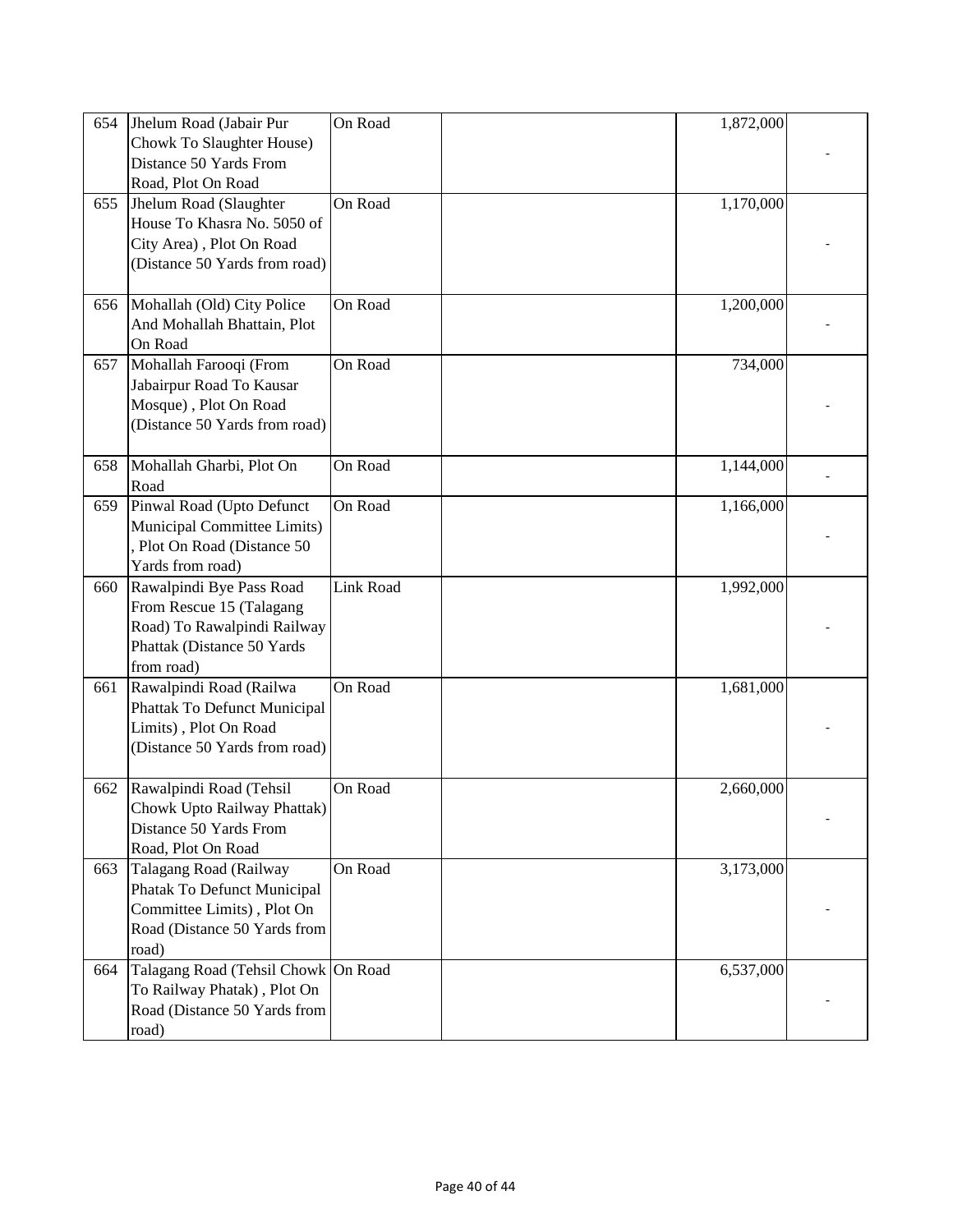| 654 | Jhelum Road (Jabair Pur             | On Road          | 1,872,000 |  |
|-----|-------------------------------------|------------------|-----------|--|
|     | Chowk To Slaughter House)           |                  |           |  |
|     | Distance 50 Yards From              |                  |           |  |
|     | Road, Plot On Road                  |                  |           |  |
| 655 | Jhelum Road (Slaughter              | On Road          | 1,170,000 |  |
|     | House To Khasra No. 5050 of         |                  |           |  |
|     | City Area), Plot On Road            |                  |           |  |
|     | (Distance 50 Yards from road)       |                  |           |  |
|     |                                     |                  |           |  |
| 656 | Mohallah (Old) City Police          | On Road          | 1,200,000 |  |
|     | And Mohallah Bhattain, Plot         |                  |           |  |
|     | On Road                             |                  |           |  |
| 657 | Mohallah Farooqi (From              | On Road          | 734,000   |  |
|     | Jabairpur Road To Kausar            |                  |           |  |
|     | Mosque), Plot On Road               |                  |           |  |
|     | (Distance 50 Yards from road)       |                  |           |  |
|     |                                     |                  |           |  |
| 658 | Mohallah Gharbi, Plot On            | On Road          | 1,144,000 |  |
|     | Road                                |                  |           |  |
| 659 | Pinwal Road (Upto Defunct           | On Road          | 1,166,000 |  |
|     | Municipal Committee Limits)         |                  |           |  |
|     | Plot On Road (Distance 50           |                  |           |  |
|     | Yards from road)                    |                  |           |  |
| 660 | Rawalpindi Bye Pass Road            | <b>Link Road</b> | 1,992,000 |  |
|     | From Rescue 15 (Talagang            |                  |           |  |
|     | Road) To Rawalpindi Railway         |                  |           |  |
|     | Phattak (Distance 50 Yards          |                  |           |  |
|     | from road)                          |                  |           |  |
| 661 | Rawalpindi Road (Railwa             | On Road          | 1,681,000 |  |
|     | Phattak To Defunct Municipal        |                  |           |  |
|     | Limits), Plot On Road               |                  |           |  |
|     | (Distance 50 Yards from road)       |                  |           |  |
|     |                                     |                  |           |  |
| 662 | Rawalpindi Road (Tehsil             | On Road          | 2,660,000 |  |
|     | Chowk Upto Railway Phattak)         |                  |           |  |
|     | Distance 50 Yards From              |                  |           |  |
|     | Road, Plot On Road                  |                  |           |  |
| 663 | Talagang Road (Railway              | On Road          | 3,173,000 |  |
|     | Phatak To Defunct Municipal         |                  |           |  |
|     | Committee Limits), Plot On          |                  |           |  |
|     | Road (Distance 50 Yards from        |                  |           |  |
|     | road)                               |                  |           |  |
| 664 | Talagang Road (Tehsil Chowk On Road |                  | 6,537,000 |  |
|     | To Railway Phatak), Plot On         |                  |           |  |
|     | Road (Distance 50 Yards from        |                  |           |  |
|     | road)                               |                  |           |  |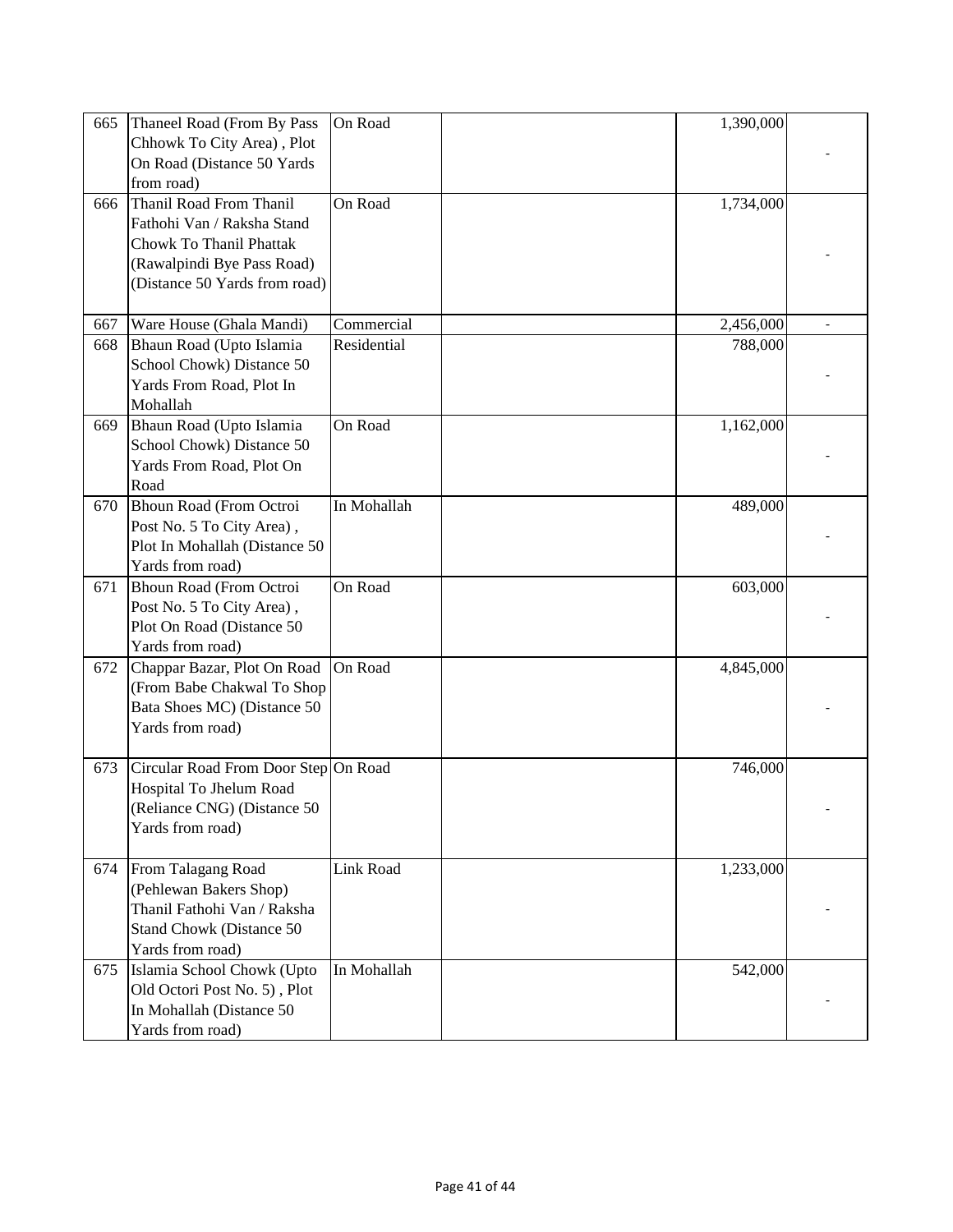| 665 | Thaneel Road (From By Pass           | On Road     | 1,390,000 |  |
|-----|--------------------------------------|-------------|-----------|--|
|     | Chhowk To City Area), Plot           |             |           |  |
|     | On Road (Distance 50 Yards)          |             |           |  |
|     | from road)                           |             |           |  |
| 666 | Thanil Road From Thanil              | On Road     | 1,734,000 |  |
|     | Fathohi Van / Raksha Stand           |             |           |  |
|     | <b>Chowk To Thanil Phattak</b>       |             |           |  |
|     | (Rawalpindi Bye Pass Road)           |             |           |  |
|     | (Distance 50 Yards from road)        |             |           |  |
|     |                                      |             |           |  |
| 667 | Ware House (Ghala Mandi)             | Commercial  | 2,456,000 |  |
| 668 | Bhaun Road (Upto Islamia             | Residential | 788,000   |  |
|     | School Chowk) Distance 50            |             |           |  |
|     | Yards From Road, Plot In             |             |           |  |
|     | Mohallah                             |             |           |  |
| 669 | Bhaun Road (Upto Islamia             | On Road     | 1,162,000 |  |
|     | School Chowk) Distance 50            |             |           |  |
|     | Yards From Road, Plot On             |             |           |  |
|     | Road                                 |             |           |  |
| 670 | Bhoun Road (From Octroi              | In Mohallah | 489,000   |  |
|     | Post No. 5 To City Area),            |             |           |  |
|     | Plot In Mohallah (Distance 50        |             |           |  |
|     | Yards from road)                     |             |           |  |
| 671 | Bhoun Road (From Octroi              | On Road     | 603,000   |  |
|     | Post No. 5 To City Area),            |             |           |  |
|     | Plot On Road (Distance 50            |             |           |  |
|     | Yards from road)                     |             |           |  |
| 672 | Chappar Bazar, Plot On Road          | On Road     | 4,845,000 |  |
|     | (From Babe Chakwal To Shop           |             |           |  |
|     | Bata Shoes MC) (Distance 50          |             |           |  |
|     | Yards from road)                     |             |           |  |
|     |                                      |             |           |  |
| 673 | Circular Road From Door Step On Road |             | 746,000   |  |
|     | Hospital To Jhelum Road              |             |           |  |
|     | (Reliance CNG) (Distance 50          |             |           |  |
|     | Yards from road)                     |             |           |  |
|     |                                      |             |           |  |
| 674 | From Talagang Road                   | Link Road   | 1,233,000 |  |
|     | (Pehlewan Bakers Shop)               |             |           |  |
|     | Thanil Fathohi Van / Raksha          |             |           |  |
|     | Stand Chowk (Distance 50             |             |           |  |
|     | Yards from road)                     |             |           |  |
| 675 | Islamia School Chowk (Upto           | In Mohallah | 542,000   |  |
|     | Old Octori Post No. 5), Plot         |             |           |  |
|     | In Mohallah (Distance 50             |             |           |  |
|     | Yards from road)                     |             |           |  |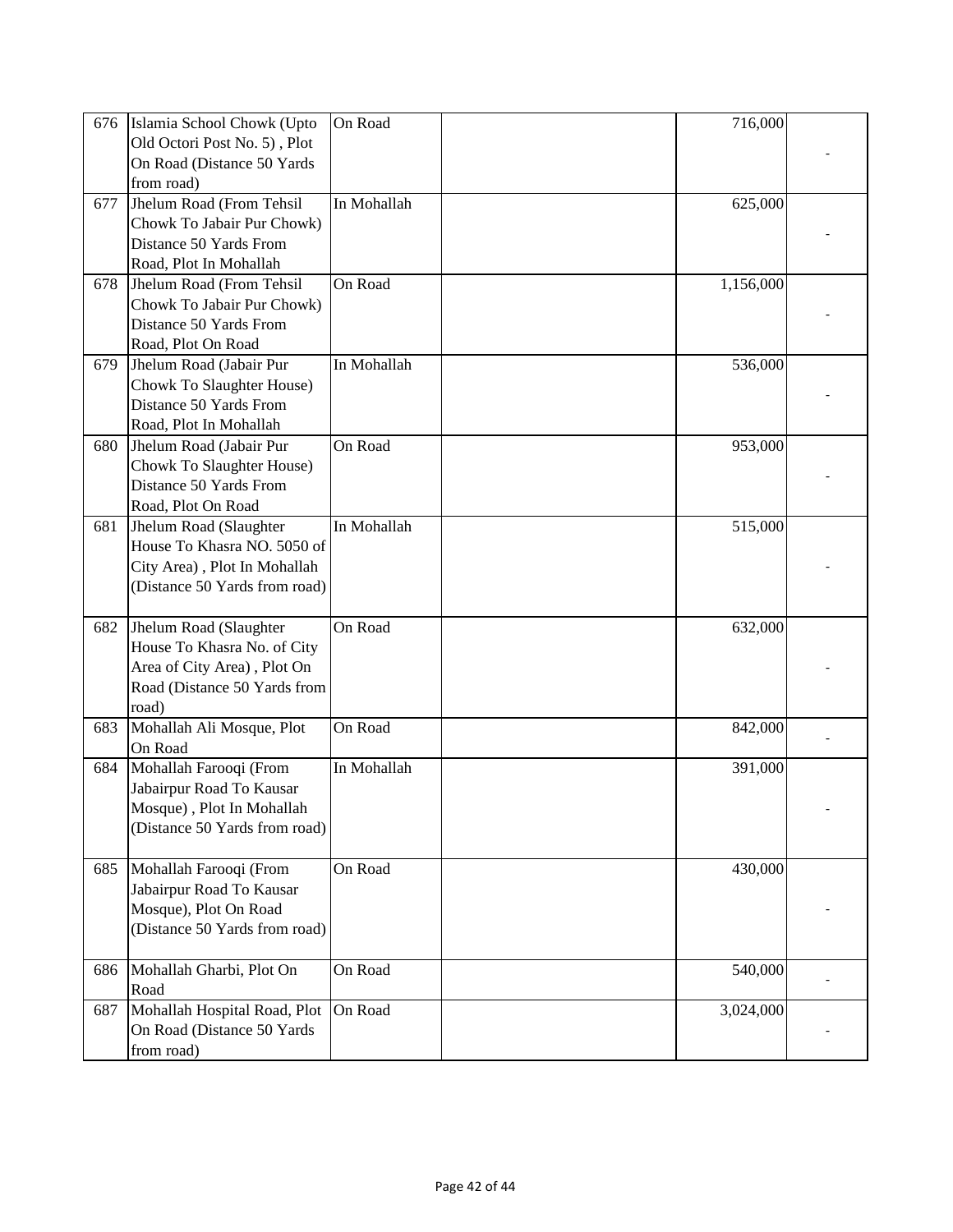| 676 | Islamia School Chowk (Upto    | On Road     | 716,000   |  |
|-----|-------------------------------|-------------|-----------|--|
|     | Old Octori Post No. 5), Plot  |             |           |  |
|     | On Road (Distance 50 Yards    |             |           |  |
|     | from road)                    |             |           |  |
|     |                               |             |           |  |
| 677 | Jhelum Road (From Tehsil      | In Mohallah | 625,000   |  |
|     | Chowk To Jabair Pur Chowk)    |             |           |  |
|     | Distance 50 Yards From        |             |           |  |
|     | Road, Plot In Mohallah        |             |           |  |
| 678 | Jhelum Road (From Tehsil      | On Road     | 1,156,000 |  |
|     | Chowk To Jabair Pur Chowk)    |             |           |  |
|     | Distance 50 Yards From        |             |           |  |
|     | Road, Plot On Road            |             |           |  |
| 679 | Jhelum Road (Jabair Pur       | In Mohallah | 536,000   |  |
|     | Chowk To Slaughter House)     |             |           |  |
|     | Distance 50 Yards From        |             |           |  |
|     |                               |             |           |  |
|     | Road, Plot In Mohallah        |             |           |  |
| 680 | Jhelum Road (Jabair Pur       | On Road     | 953,000   |  |
|     | Chowk To Slaughter House)     |             |           |  |
|     | Distance 50 Yards From        |             |           |  |
|     | Road, Plot On Road            |             |           |  |
| 681 | Jhelum Road (Slaughter        | In Mohallah | 515,000   |  |
|     | House To Khasra NO. 5050 of   |             |           |  |
|     | City Area), Plot In Mohallah  |             |           |  |
|     | (Distance 50 Yards from road) |             |           |  |
|     |                               |             |           |  |
| 682 | Jhelum Road (Slaughter        | On Road     | 632,000   |  |
|     | House To Khasra No. of City   |             |           |  |
|     | Area of City Area), Plot On   |             |           |  |
|     |                               |             |           |  |
|     | Road (Distance 50 Yards from  |             |           |  |
|     | road)                         |             |           |  |
| 683 | Mohallah Ali Mosque, Plot     | On Road     | 842,000   |  |
|     | On Road                       |             |           |  |
| 684 | Mohallah Farooqi (From        | In Mohallah | 391,000   |  |
|     | Jabairpur Road To Kausar      |             |           |  |
|     | Mosque), Plot In Mohallah     |             |           |  |
|     | (Distance 50 Yards from road) |             |           |  |
|     |                               |             |           |  |
| 685 | Mohallah Farooqi (From        | On Road     | 430,000   |  |
|     | Jabairpur Road To Kausar      |             |           |  |
|     | Mosque), Plot On Road         |             |           |  |
|     | (Distance 50 Yards from road) |             |           |  |
|     |                               |             |           |  |
|     |                               |             |           |  |
| 686 | Mohallah Gharbi, Plot On      | On Road     | 540,000   |  |
|     | Road                          |             |           |  |
| 687 | Mohallah Hospital Road, Plot  | On Road     | 3,024,000 |  |
|     | On Road (Distance 50 Yards    |             |           |  |
|     | from road)                    |             |           |  |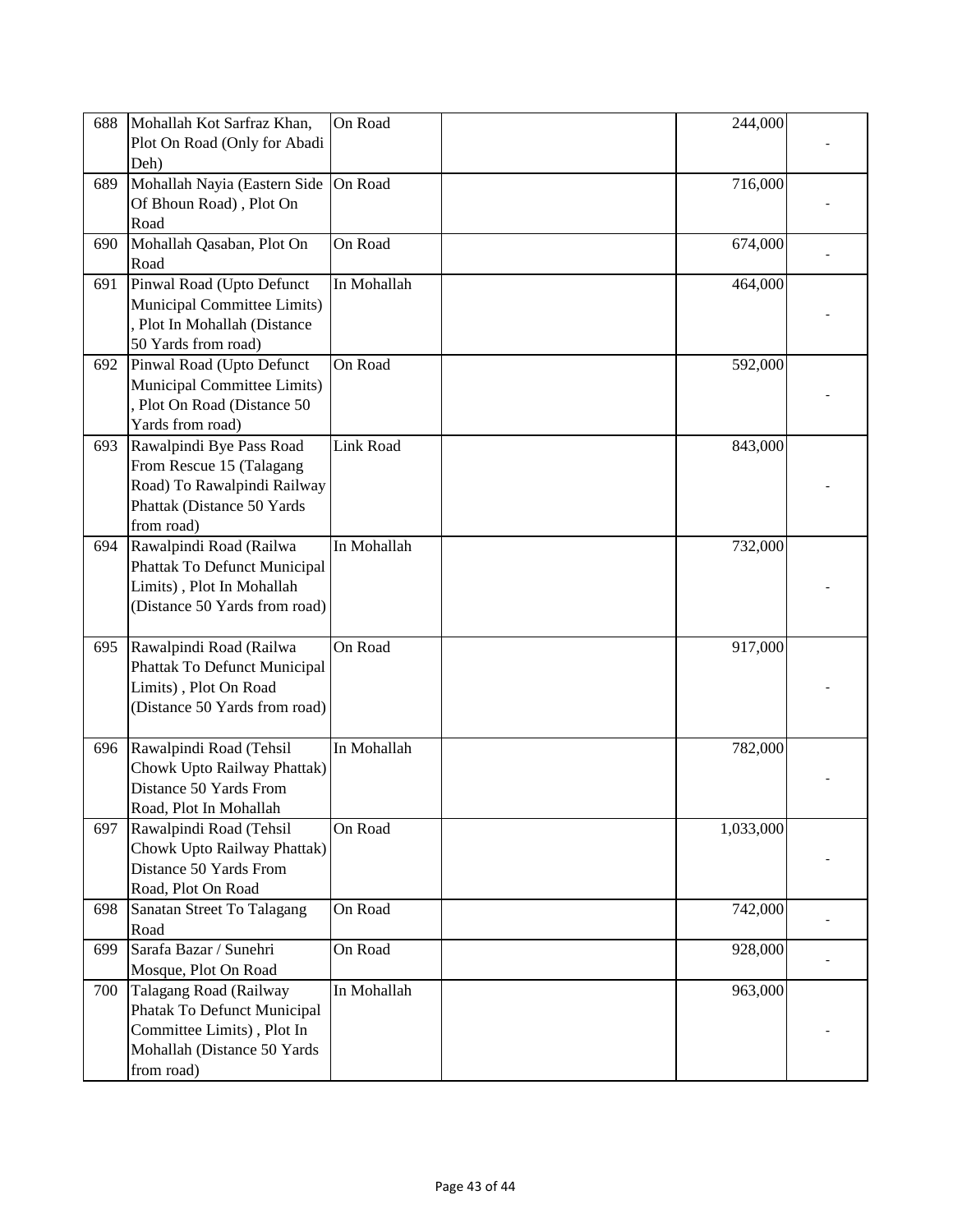| 688 | Mohallah Kot Sarfraz Khan,    | On Road     | 244,000   |  |
|-----|-------------------------------|-------------|-----------|--|
|     | Plot On Road (Only for Abadi  |             |           |  |
|     |                               |             |           |  |
|     | Deh)                          |             |           |  |
| 689 | Mohallah Nayia (Eastern Side  | On Road     | 716,000   |  |
|     | Of Bhoun Road), Plot On       |             |           |  |
|     | Road                          |             |           |  |
| 690 | Mohallah Qasaban, Plot On     | On Road     | 674,000   |  |
|     | Road                          |             |           |  |
|     | Pinwal Road (Upto Defunct     | In Mohallah | 464,000   |  |
| 691 |                               |             |           |  |
|     | Municipal Committee Limits)   |             |           |  |
|     | Plot In Mohallah (Distance    |             |           |  |
|     | 50 Yards from road)           |             |           |  |
| 692 | Pinwal Road (Upto Defunct     | On Road     | 592,000   |  |
|     | Municipal Committee Limits)   |             |           |  |
|     | Plot On Road (Distance 50     |             |           |  |
|     | Yards from road)              |             |           |  |
| 693 | Rawalpindi Bye Pass Road      | Link Road   | 843,000   |  |
|     |                               |             |           |  |
|     | From Rescue 15 (Talagang      |             |           |  |
|     | Road) To Rawalpindi Railway   |             |           |  |
|     | Phattak (Distance 50 Yards    |             |           |  |
|     | from road)                    |             |           |  |
| 694 | Rawalpindi Road (Railwa       | In Mohallah | 732,000   |  |
|     | Phattak To Defunct Municipal  |             |           |  |
|     | Limits), Plot In Mohallah     |             |           |  |
|     | (Distance 50 Yards from road) |             |           |  |
|     |                               |             |           |  |
|     |                               |             |           |  |
| 695 | Rawalpindi Road (Railwa       | On Road     | 917,000   |  |
|     | Phattak To Defunct Municipal  |             |           |  |
|     | Limits), Plot On Road         |             |           |  |
|     | (Distance 50 Yards from road) |             |           |  |
|     |                               |             |           |  |
| 696 | Rawalpindi Road (Tehsil       | In Mohallah | 782,000   |  |
|     | Chowk Upto Railway Phattak)   |             |           |  |
|     | Distance 50 Yards From        |             |           |  |
|     |                               |             |           |  |
|     | Road, Plot In Mohallah        |             |           |  |
| 697 | Rawalpindi Road (Tehsil       | On Road     | 1,033,000 |  |
|     | Chowk Upto Railway Phattak)   |             |           |  |
|     | Distance 50 Yards From        |             |           |  |
|     | Road, Plot On Road            |             |           |  |
| 698 | Sanatan Street To Talagang    | On Road     | 742,000   |  |
|     | Road                          |             |           |  |
| 699 | Sarafa Bazar / Sunehri        | On Road     | 928,000   |  |
|     | Mosque, Plot On Road          |             |           |  |
|     |                               |             |           |  |
| 700 | Talagang Road (Railway        | In Mohallah | 963,000   |  |
|     | Phatak To Defunct Municipal   |             |           |  |
|     | Committee Limits), Plot In    |             |           |  |
|     | Mohallah (Distance 50 Yards   |             |           |  |
|     | from road)                    |             |           |  |